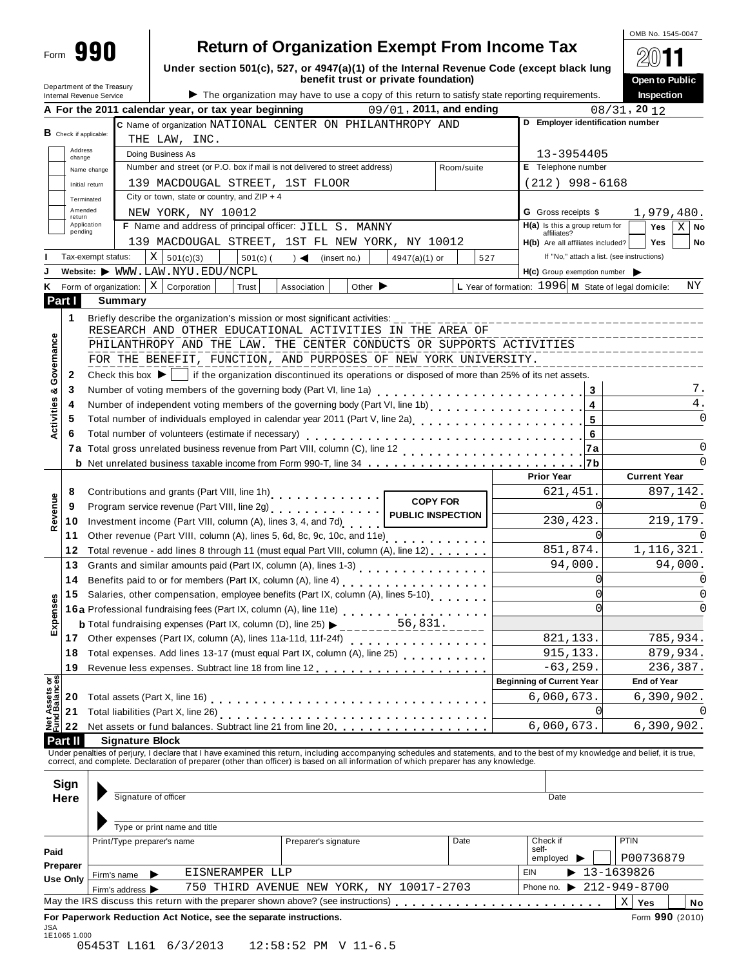|                                              |                                   |                                                                                                                                                                                  |                 |             |                                                      |                          |            |                                                                                                 | OMB No. 1545-0047                |               |
|----------------------------------------------|-----------------------------------|----------------------------------------------------------------------------------------------------------------------------------------------------------------------------------|-----------------|-------------|------------------------------------------------------|--------------------------|------------|-------------------------------------------------------------------------------------------------|----------------------------------|---------------|
| 990<br>Form                                  |                                   |                                                                                                                                                                                  |                 |             | <b>Return of Organization Exempt From Income Tax</b> |                          |            |                                                                                                 |                                  |               |
| Department of the Treasury                   |                                   |                                                                                                                                                                                  |                 |             | benefit trust or private foundation)                 |                          |            | Under section 501(c), 527, or 4947(a)(1) of the Internal Revenue Code (except black lung        | Open to Public                   |               |
| Internal Revenue Service                     |                                   |                                                                                                                                                                                  |                 |             |                                                      |                          |            | The organization may have to use a copy of this return to satisfy state reporting requirements. | Inspection                       |               |
|                                              |                                   | A For the 2011 calendar year, or tax year beginning                                                                                                                              |                 |             |                                                      | 09/01, 2011, and ending  |            |                                                                                                 | 08/31, 2012                      |               |
| <b>B</b> Check if applicable:                |                                   | C Name of organization NATIONAL CENTER ON PHILANTHROPY AND                                                                                                                       |                 |             |                                                      |                          |            | D Employer identification number                                                                |                                  |               |
| Address                                      |                                   | THE LAW, INC.                                                                                                                                                                    |                 |             |                                                      |                          |            |                                                                                                 |                                  |               |
| change                                       |                                   | Doing Business As<br>Number and street (or P.O. box if mail is not delivered to street address)                                                                                  |                 |             |                                                      |                          | Room/suite | 13-3954405<br>E Telephone number                                                                |                                  |               |
| Name change                                  |                                   | 139 MACDOUGAL STREET, 1ST FLOOR                                                                                                                                                  |                 |             |                                                      |                          |            | $(212)$ 998-6168                                                                                |                                  |               |
| Initial return<br>Terminated                 |                                   | City or town, state or country, and $ZIP + 4$                                                                                                                                    |                 |             |                                                      |                          |            |                                                                                                 |                                  |               |
| Amended                                      |                                   | NEW YORK, NY 10012                                                                                                                                                               |                 |             |                                                      |                          |            | <b>G</b> Gross receipts \$                                                                      | 1,979,480.                       |               |
| return<br>Application                        |                                   | F Name and address of principal officer: JILL S. MANNY                                                                                                                           |                 |             |                                                      |                          |            | $H(a)$ is this a group return for                                                               | Yes                              | $X \mid$ No   |
| pending                                      |                                   | 139 MACDOUGAL STREET, 1ST FL NEW YORK, NY 10012                                                                                                                                  |                 |             |                                                      |                          |            | affiliates?<br>H(b) Are all affiliates included?                                                | Yes                              | No            |
| Tax-exempt status:                           |                                   | X   501(c)(3)                                                                                                                                                                    | $501(c)$ (      | ◀           | (insert no.)                                         | $4947(a)(1)$ or          | 527        | If "No," attach a list. (see instructions)                                                      |                                  |               |
|                                              |                                   | Website: WWW.LAW.NYU.EDU/NCPL                                                                                                                                                    |                 |             |                                                      |                          |            | H(c) Group exemption number                                                                     |                                  |               |
|                                              |                                   | Form of organization: $\mid X \mid$ Corporation                                                                                                                                  | Trust           | Association | Other $\blacktriangleright$                          |                          |            | L Year of formation: 1996 M State of legal domicile:                                            |                                  | ΝY            |
| Part I                                       | Summary                           |                                                                                                                                                                                  |                 |             |                                                      |                          |            |                                                                                                 |                                  |               |
| 1                                            |                                   |                                                                                                                                                                                  |                 |             |                                                      |                          |            |                                                                                                 |                                  |               |
|                                              |                                   | RESEARCH AND OTHER EDUCATIONAL ACTIVITIES IN THE AREA OF                                                                                                                         |                 |             |                                                      |                          |            |                                                                                                 |                                  |               |
| Governance                                   |                                   | PHILANTHROPY AND THE LAW. THE CENTER CONDUCTS OR SUPPORTS ACTIVITIES                                                                                                             |                 |             |                                                      |                          |            |                                                                                                 |                                  |               |
|                                              |                                   | FOR THE BENEFIT, FUNCTION, AND PURPOSES OF NEW YORK UNIVERSITY.                                                                                                                  |                 |             |                                                      |                          |            |                                                                                                 |                                  |               |
| $\mathbf{2}$                                 |                                   | Check this box $\blacktriangleright$   if the organization discontinued its operations or disposed of more than 25% of its net assets.                                           |                 |             |                                                      |                          |            |                                                                                                 |                                  |               |
| 3<br>ಳ                                       |                                   |                                                                                                                                                                                  |                 |             |                                                      |                          |            | 3                                                                                               |                                  | 7.            |
| Activities<br>4                              |                                   |                                                                                                                                                                                  |                 |             |                                                      |                          |            |                                                                                                 |                                  | 4.            |
| 5                                            |                                   | Total number of individuals employed in calendar year 2011 (Part V, line 2a)<br>Total number of individuals employed in calendar year 2011 (Part V, line 2a)                     |                 |             |                                                      |                          |            | ${\bf 5}$                                                                                       |                                  | $\Omega$      |
| 6                                            |                                   | Total number of volunteers (estimate if necessary)                                                                                                                               |                 |             |                                                      |                          |            | 6                                                                                               |                                  |               |
| 7a                                           |                                   |                                                                                                                                                                                  |                 |             |                                                      |                          |            | 7a                                                                                              |                                  | $\Omega$      |
|                                              |                                   |                                                                                                                                                                                  |                 |             |                                                      |                          |            |                                                                                                 |                                  | $\Omega$      |
|                                              |                                   |                                                                                                                                                                                  |                 |             |                                                      |                          |            | <b>Prior Year</b>                                                                               | <b>Current Year</b>              |               |
| 8                                            |                                   | Contributions and grants (Part VIII, line 1h)<br>                                                                                                                                |                 |             |                                                      | <b>COPY FOR</b>          |            | 621,451                                                                                         |                                  | 897,142.      |
| Revenue<br>9                                 |                                   | Program service revenue (Part VIII, line 2g)                                                                                                                                     |                 |             |                                                      | <b>PUBLIC INSPECTION</b> |            | 0                                                                                               |                                  | O             |
| 10                                           |                                   | Investment income (Part VIII, column (A), lines 3, 4, and 7d)                                                                                                                    |                 |             |                                                      |                          |            | 230,423.                                                                                        |                                  | 219,179.      |
| 11                                           |                                   | Other revenue (Part VIII, column (A), lines 5, 6d, 8c, 9c, 10c, and 11e)<br>                                                                                                     |                 |             |                                                      |                          |            | $\Omega$                                                                                        |                                  | $\Omega$      |
| 12                                           |                                   | Total revenue - add lines 8 through 11 (must equal Part VIII, column (A), line 12)                                                                                               |                 |             |                                                      |                          |            | 851,874.                                                                                        | 1,116,321.                       |               |
| 13                                           |                                   | Grants and similar amounts paid (Part IX, column (A), lines 1-3)                                                                                                                 |                 |             |                                                      |                          |            | 94,000                                                                                          |                                  | 94,000        |
| 14                                           |                                   | Benefits paid to or for members (Part IX, column (A), line 4)                                                                                                                    |                 |             |                                                      |                          |            | 0<br>$\Omega$                                                                                   |                                  | 0             |
| 15                                           |                                   | Salaries, other compensation, employee benefits (Part IX, column (A), lines 5-10)                                                                                                |                 |             |                                                      |                          |            | $\Omega$                                                                                        |                                  | 0<br>$\Omega$ |
| Expenses                                     |                                   | 16a Professional fundraising fees (Part IX, column (A), line 11e)<br>16a Professional fundraising fees (Part IX, column (A), line 11e)                                           |                 |             |                                                      |                          |            |                                                                                                 |                                  |               |
|                                              |                                   | <b>b</b> Total fundraising expenses (Part IX, column (D), line 25) $\blacktriangleright$                                                                                         |                 |             |                                                      | 56,831.                  |            | 821,133.                                                                                        |                                  | 785,934.      |
| 17                                           |                                   | Total expenses. Add lines 13-17 (must equal Part IX, column (A), line 25)                                                                                                        |                 |             |                                                      |                          |            | 915, 133.                                                                                       |                                  | 879,934.      |
| 18<br>19                                     |                                   |                                                                                                                                                                                  |                 |             |                                                      |                          |            | $-63, 259.$                                                                                     |                                  | 236,387.      |
|                                              |                                   |                                                                                                                                                                                  |                 |             |                                                      |                          |            | <b>Beginning of Current Year</b>                                                                | <b>End of Year</b>               |               |
| <b>Net Assets or<br/>Fund Balances</b><br>20 |                                   |                                                                                                                                                                                  |                 |             |                                                      |                          |            | 6,060,673.                                                                                      | 6, 390, 902.                     |               |
| 21                                           |                                   |                                                                                                                                                                                  |                 |             |                                                      |                          |            | Ω                                                                                               |                                  | O             |
| 22                                           |                                   |                                                                                                                                                                                  |                 |             |                                                      |                          |            | 6,060,673.                                                                                      | 6,390,902.                       |               |
| <b>Part II</b>                               | <b>Signature Block</b>            |                                                                                                                                                                                  |                 |             |                                                      |                          |            |                                                                                                 |                                  |               |
|                                              |                                   | Under penalties of perjury, I declare that I have examined this return, including accompanying schedules and statements, and to the best of my knowledge and belief, it is true, |                 |             |                                                      |                          |            |                                                                                                 |                                  |               |
|                                              |                                   | correct, and complete. Declaration of preparer (other than officer) is based on all information of which preparer has any knowledge.                                             |                 |             |                                                      |                          |            |                                                                                                 |                                  |               |
| Sign                                         |                                   |                                                                                                                                                                                  |                 |             |                                                      |                          |            |                                                                                                 |                                  |               |
| Here                                         | Signature of officer              |                                                                                                                                                                                  |                 |             |                                                      |                          |            | Date                                                                                            |                                  |               |
|                                              |                                   |                                                                                                                                                                                  |                 |             |                                                      |                          |            |                                                                                                 |                                  |               |
|                                              |                                   | Type or print name and title                                                                                                                                                     |                 |             |                                                      |                          |            |                                                                                                 |                                  |               |
|                                              | Print/Type preparer's name        |                                                                                                                                                                                  |                 |             | Preparer's signature                                 |                          | Date       | Check if                                                                                        | <b>PTIN</b>                      |               |
| Paid                                         |                                   |                                                                                                                                                                                  |                 |             |                                                      |                          |            | self-<br>employed                                                                               | P00736879                        |               |
| Preparer                                     | Firm's name $\blacktriangleright$ |                                                                                                                                                                                  | EISNERAMPER LLP |             |                                                      |                          |            | EIN                                                                                             | $\blacktriangleright$ 13-1639826 |               |
| Use Only                                     | Firm's address >                  |                                                                                                                                                                                  |                 |             | 750 THIRD AVENUE NEW YORK, NY 10017-2703             |                          |            | Phone no. $\triangleright$ 212-949-8700                                                         |                                  |               |
|                                              |                                   |                                                                                                                                                                                  |                 |             |                                                      |                          |            |                                                                                                 | $X \mid Y$ es                    | No            |
|                                              |                                   | For Paperwork Reduction Act Notice, see the separate instructions.                                                                                                               |                 |             |                                                      |                          |            |                                                                                                 | Form 990 (2010)                  |               |
| 1E1065 1.000                                 |                                   | 05453T L161 6/3/2013                                                                                                                                                             |                 |             | 12:58:52 PM V 11-6.5                                 |                          |            |                                                                                                 |                                  |               |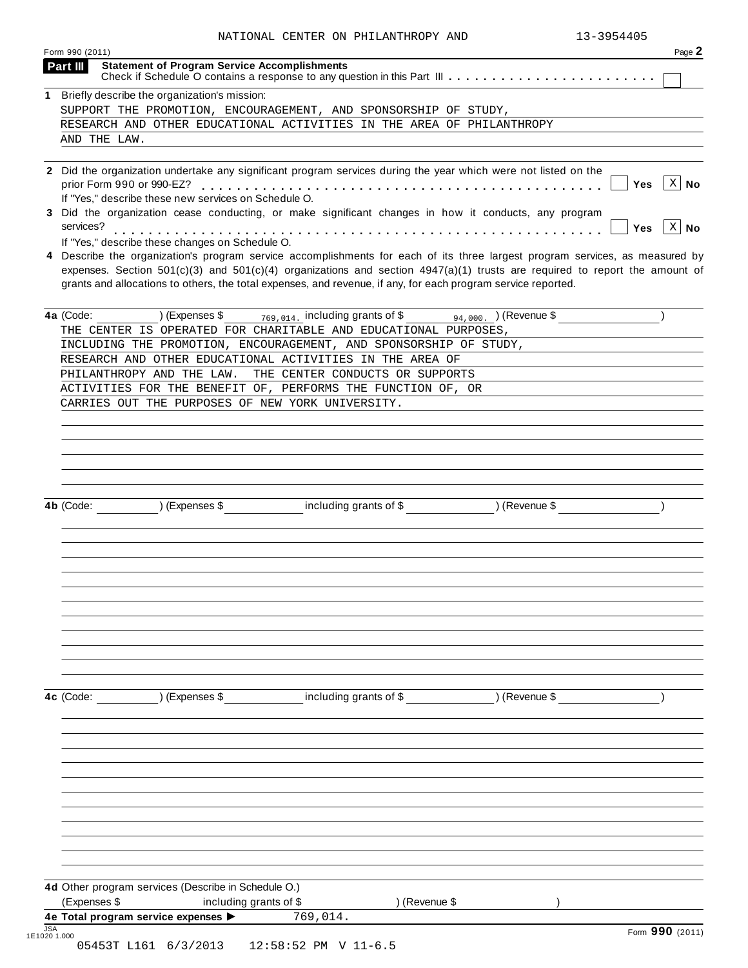| NATIONAL CENTER ON PHILANTHROPY AND |  | 13-3954405 |
|-------------------------------------|--|------------|

| Form 990 (2011)<br>Part III | <b>Statement of Program Service Accomplishments</b>           |                                                                                                                                                                                                                                                                                                                                                                                   |               | Page 2                      |
|-----------------------------|---------------------------------------------------------------|-----------------------------------------------------------------------------------------------------------------------------------------------------------------------------------------------------------------------------------------------------------------------------------------------------------------------------------------------------------------------------------|---------------|-----------------------------|
|                             |                                                               |                                                                                                                                                                                                                                                                                                                                                                                   |               |                             |
|                             | 1 Briefly describe the organization's mission:                |                                                                                                                                                                                                                                                                                                                                                                                   |               |                             |
|                             |                                                               | SUPPORT THE PROMOTION, ENCOURAGEMENT, AND SPONSORSHIP OF STUDY,                                                                                                                                                                                                                                                                                                                   |               |                             |
| AND THE LAW.                |                                                               | RESEARCH AND OTHER EDUCATIONAL ACTIVITIES IN THE AREA OF PHILANTHROPY                                                                                                                                                                                                                                                                                                             |               |                             |
|                             |                                                               |                                                                                                                                                                                                                                                                                                                                                                                   |               |                             |
|                             |                                                               | 2 Did the organization undertake any significant program services during the year which were not listed on the                                                                                                                                                                                                                                                                    |               |                             |
| prior Form 990 or 990-EZ?   | If "Yes," describe these new services on Schedule O.          |                                                                                                                                                                                                                                                                                                                                                                                   |               | $\vert$ X $\vert$ No<br>Yes |
| services?                   |                                                               | 3 Did the organization cease conducting, or make significant changes in how it conducts, any program                                                                                                                                                                                                                                                                              |               | $\vert$ X $\vert$ No<br>Yes |
|                             | If "Yes," describe these changes on Schedule O.               |                                                                                                                                                                                                                                                                                                                                                                                   |               |                             |
|                             |                                                               | 4 Describe the organization's program service accomplishments for each of its three largest program services, as measured by<br>expenses. Section $501(c)(3)$ and $501(c)(4)$ organizations and section $4947(a)(1)$ trusts are required to report the amount of<br>grants and allocations to others, the total expenses, and revenue, if any, for each program service reported. |               |                             |
| 4a (Code:                   |                                                               | $(1)$ (Expenses \$ $\frac{3}{169,014}$ including grants of \$ $\frac{94,000}{94,000}$ (Revenue \$                                                                                                                                                                                                                                                                                 |               |                             |
|                             |                                                               | THE CENTER IS OPERATED FOR CHARITABLE AND EDUCATIONAL PURPOSES,                                                                                                                                                                                                                                                                                                                   |               |                             |
|                             |                                                               | INCLUDING THE PROMOTION, ENCOURAGEMENT, AND SPONSORSHIP OF STUDY,<br>RESEARCH AND OTHER EDUCATIONAL ACTIVITIES IN THE AREA OF                                                                                                                                                                                                                                                     |               |                             |
|                             |                                                               | PHILANTHROPY AND THE LAW. THE CENTER CONDUCTS OR SUPPORTS                                                                                                                                                                                                                                                                                                                         |               |                             |
|                             |                                                               | ACTIVITIES FOR THE BENEFIT OF, PERFORMS THE FUNCTION OF, OR                                                                                                                                                                                                                                                                                                                       |               |                             |
|                             |                                                               | CARRIES OUT THE PURPOSES OF NEW YORK UNIVERSITY.                                                                                                                                                                                                                                                                                                                                  |               |                             |
|                             |                                                               |                                                                                                                                                                                                                                                                                                                                                                                   |               |                             |
|                             |                                                               |                                                                                                                                                                                                                                                                                                                                                                                   |               |                             |
|                             |                                                               |                                                                                                                                                                                                                                                                                                                                                                                   |               |                             |
|                             |                                                               |                                                                                                                                                                                                                                                                                                                                                                                   |               |                             |
|                             |                                                               |                                                                                                                                                                                                                                                                                                                                                                                   |               |                             |
|                             |                                                               |                                                                                                                                                                                                                                                                                                                                                                                   |               |                             |
|                             | 4b (Code: ) (Expenses \$                                      | including grants of \$ (Revenue \$                                                                                                                                                                                                                                                                                                                                                |               |                             |
|                             |                                                               |                                                                                                                                                                                                                                                                                                                                                                                   |               |                             |
|                             |                                                               |                                                                                                                                                                                                                                                                                                                                                                                   |               |                             |
|                             |                                                               |                                                                                                                                                                                                                                                                                                                                                                                   |               |                             |
|                             |                                                               |                                                                                                                                                                                                                                                                                                                                                                                   |               |                             |
|                             |                                                               |                                                                                                                                                                                                                                                                                                                                                                                   |               |                             |
|                             |                                                               |                                                                                                                                                                                                                                                                                                                                                                                   |               |                             |
|                             |                                                               |                                                                                                                                                                                                                                                                                                                                                                                   |               |                             |
|                             |                                                               |                                                                                                                                                                                                                                                                                                                                                                                   |               |                             |
|                             |                                                               |                                                                                                                                                                                                                                                                                                                                                                                   |               |                             |
|                             |                                                               |                                                                                                                                                                                                                                                                                                                                                                                   |               |                             |
|                             |                                                               |                                                                                                                                                                                                                                                                                                                                                                                   |               |                             |
|                             |                                                               |                                                                                                                                                                                                                                                                                                                                                                                   |               |                             |
|                             |                                                               |                                                                                                                                                                                                                                                                                                                                                                                   |               |                             |
| 4c (Code:                   | ) (Expenses \$                                                | including grants of \$                                                                                                                                                                                                                                                                                                                                                            | ) (Revenue \$ |                             |
|                             |                                                               |                                                                                                                                                                                                                                                                                                                                                                                   |               |                             |
|                             |                                                               |                                                                                                                                                                                                                                                                                                                                                                                   |               |                             |
|                             |                                                               |                                                                                                                                                                                                                                                                                                                                                                                   |               |                             |
|                             |                                                               |                                                                                                                                                                                                                                                                                                                                                                                   |               |                             |
|                             |                                                               |                                                                                                                                                                                                                                                                                                                                                                                   |               |                             |
|                             |                                                               |                                                                                                                                                                                                                                                                                                                                                                                   |               |                             |
|                             |                                                               |                                                                                                                                                                                                                                                                                                                                                                                   |               |                             |
|                             |                                                               |                                                                                                                                                                                                                                                                                                                                                                                   |               |                             |
|                             |                                                               |                                                                                                                                                                                                                                                                                                                                                                                   |               |                             |
|                             |                                                               |                                                                                                                                                                                                                                                                                                                                                                                   |               |                             |
|                             |                                                               |                                                                                                                                                                                                                                                                                                                                                                                   |               |                             |
|                             | 4d Other program services (Describe in Schedule O.)           |                                                                                                                                                                                                                                                                                                                                                                                   |               |                             |
| (Expenses \$                | including grants of \$<br>4e Total program service expenses > | ) (Revenue \$<br>769,014.                                                                                                                                                                                                                                                                                                                                                         |               |                             |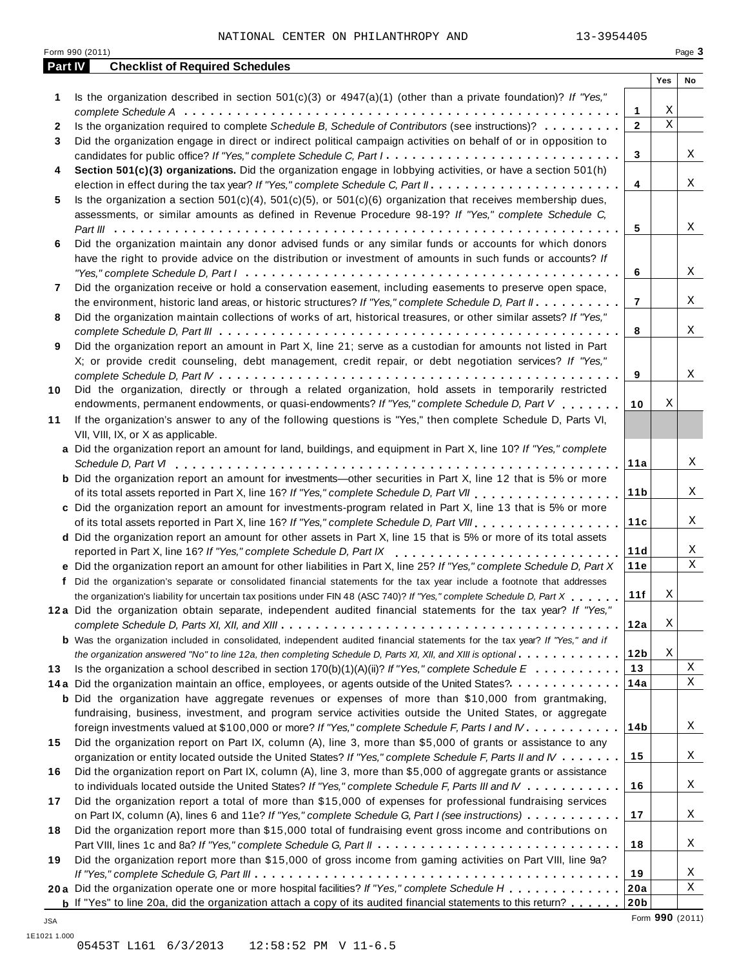|         | NATIONAL CENTER ON PHILANTHROPY AND<br>13-3954405                                                                                                                                                                                                    |                         |             |                  |
|---------|------------------------------------------------------------------------------------------------------------------------------------------------------------------------------------------------------------------------------------------------------|-------------------------|-------------|------------------|
| Part IV | Form 990 (2011)<br><b>Checklist of Required Schedules</b>                                                                                                                                                                                            |                         |             | Page 3           |
|         |                                                                                                                                                                                                                                                      |                         | Yes         | No               |
| 1       | Is the organization described in section $501(c)(3)$ or $4947(a)(1)$ (other than a private foundation)? If "Yes,"                                                                                                                                    |                         |             |                  |
|         |                                                                                                                                                                                                                                                      | 1                       | Χ           |                  |
| 2       | Is the organization required to complete Schedule B, Schedule of Contributors (see instructions)?                                                                                                                                                    | $\mathbf{2}$            | $\mathbf X$ |                  |
| 3       | Did the organization engage in direct or indirect political campaign activities on behalf of or in opposition to                                                                                                                                     |                         |             |                  |
|         | candidates for public office? If "Yes," complete Schedule C, Part I.                                                                                                                                                                                 | 3                       |             | Χ                |
| 4       | Section 501(c)(3) organizations. Did the organization engage in lobbying activities, or have a section 501(h)                                                                                                                                        | 4                       |             | Χ                |
| 5.      | Is the organization a section $501(c)(4)$ , $501(c)(5)$ , or $501(c)(6)$ organization that receives membership dues,                                                                                                                                 |                         |             |                  |
|         | assessments, or similar amounts as defined in Revenue Procedure 98-19? If "Yes," complete Schedule C,                                                                                                                                                |                         |             |                  |
|         |                                                                                                                                                                                                                                                      | 5                       |             | X                |
| 6       | Did the organization maintain any donor advised funds or any similar funds or accounts for which donors                                                                                                                                              |                         |             |                  |
|         | have the right to provide advice on the distribution or investment of amounts in such funds or accounts? If                                                                                                                                          |                         |             |                  |
|         |                                                                                                                                                                                                                                                      | 6                       |             | Χ                |
| 7       | Did the organization receive or hold a conservation easement, including easements to preserve open space,                                                                                                                                            |                         |             |                  |
|         | the environment, historic land areas, or historic structures? If "Yes," complete Schedule D, Part II.                                                                                                                                                | $\overline{\mathbf{r}}$ |             | X                |
| 8       | Did the organization maintain collections of works of art, historical treasures, or other similar assets? If "Yes,"                                                                                                                                  |                         |             |                  |
|         |                                                                                                                                                                                                                                                      | 8                       |             | Χ                |
| 9       | Did the organization report an amount in Part X, line 21; serve as a custodian for amounts not listed in Part                                                                                                                                        |                         |             |                  |
|         | X; or provide credit counseling, debt management, credit repair, or debt negotiation services? If "Yes,"                                                                                                                                             | 9                       |             | Χ                |
| 10      | Did the organization, directly or through a related organization, hold assets in temporarily restricted                                                                                                                                              |                         |             |                  |
|         | endowments, permanent endowments, or quasi-endowments? If "Yes," complete Schedule D, Part V                                                                                                                                                         | 10                      | Χ           |                  |
| 11      | If the organization's answer to any of the following questions is "Yes," then complete Schedule D, Parts VI,                                                                                                                                         |                         |             |                  |
|         | VII, VIII, IX, or X as applicable.                                                                                                                                                                                                                   |                         |             |                  |
|         | a Did the organization report an amount for land, buildings, and equipment in Part X, line 10? If "Yes," complete                                                                                                                                    |                         |             |                  |
|         |                                                                                                                                                                                                                                                      | 11a                     |             | X                |
|         | <b>b</b> Did the organization report an amount for investments—other securities in Part X, line 12 that is 5% or more                                                                                                                                |                         |             |                  |
|         |                                                                                                                                                                                                                                                      | 11 <sub>b</sub>         |             | X                |
|         | c Did the organization report an amount for investments-program related in Part X, line 13 that is 5% or more                                                                                                                                        |                         |             |                  |
|         |                                                                                                                                                                                                                                                      | 11c                     |             | X                |
|         | d Did the organization report an amount for other assets in Part X, line 15 that is 5% or more of its total assets                                                                                                                                   |                         |             |                  |
|         | reported in Part X, line 16? If "Yes," complete Schedule D, Part IX                                                                                                                                                                                  | 11d<br>11e              |             | X<br>$\mathbf X$ |
|         | e Did the organization report an amount for other liabilities in Part X, line 25? If "Yes," complete Schedule D, Part X<br>f Did the organization's separate or consolidated financial statements for the tax year include a footnote that addresses |                         |             |                  |
|         | the organization's liability for uncertain tax positions under FIN 48 (ASC 740)? If "Yes," complete Schedule D, Part X                                                                                                                               | 11f                     | Χ           |                  |
|         | 12a Did the organization obtain separate, independent audited financial statements for the tax year? If "Yes,"                                                                                                                                       |                         |             |                  |
|         |                                                                                                                                                                                                                                                      | 12a                     | Χ           |                  |
|         | <b>b</b> Was the organization included in consolidated, independent audited financial statements for the tax year? If "Yes," and if                                                                                                                  |                         |             |                  |
|         | the organization answered "No" to line 12a, then completing Schedule D, Parts XI, XII, and XIII is optional                                                                                                                                          | 12 <sub>b</sub>         | Χ           |                  |
| 13      | Is the organization a school described in section $170(b)(1)(A)(ii)?$ If "Yes," complete Schedule E                                                                                                                                                  | 13                      |             | X                |
|         | 14a Did the organization maintain an office, employees, or agents outside of the United States?                                                                                                                                                      | 14a                     |             | X                |
|         | <b>b</b> Did the organization have aggregate revenues or expenses of more than \$10,000 from grantmaking,                                                                                                                                            |                         |             |                  |
|         | fundraising, business, investment, and program service activities outside the United States, or aggregate                                                                                                                                            |                         |             |                  |
|         | foreign investments valued at \$100,000 or more? If "Yes," complete Schedule F, Parts I and IV                                                                                                                                                       | 14b                     |             | X                |
| 15      | Did the organization report on Part IX, column (A), line 3, more than \$5,000 of grants or assistance to any<br>organization or entity located outside the United States? If "Yes," complete Schedule F, Parts II and IV                             | 15                      |             | Χ                |
| 16      | Did the organization report on Part IX, column (A), line 3, more than \$5,000 of aggregate grants or assistance                                                                                                                                      |                         |             |                  |
|         | to individuals located outside the United States? If "Yes," complete Schedule F, Parts III and IV                                                                                                                                                    | 16                      |             | X                |
| 17      | Did the organization report a total of more than \$15,000 of expenses for professional fundraising services                                                                                                                                          |                         |             |                  |
|         | on Part IX, column (A), lines 6 and 11e? If "Yes," complete Schedule G, Part I (see instructions)                                                                                                                                                    | 17                      |             | X                |
| 18      | Did the organization report more than \$15,000 total of fundraising event gross income and contributions on                                                                                                                                          |                         |             |                  |
|         |                                                                                                                                                                                                                                                      | 18                      |             | X                |
| 19      | Did the organization report more than \$15,000 of gross income from gaming activities on Part VIII, line 9a?                                                                                                                                         |                         |             |                  |
|         |                                                                                                                                                                                                                                                      | 19                      |             | X                |
|         | 20a Did the organization operate one or more hospital facilities? If "Yes," complete Schedule H                                                                                                                                                      | 20a                     |             | Χ                |
|         | <b>b</b> If "Yes" to line 20a, did the organization attach a copy of its audited financial statements to this return? $\ldots$                                                                                                                       | 20 <sub>b</sub>         |             |                  |

Form **990** (2011) JSA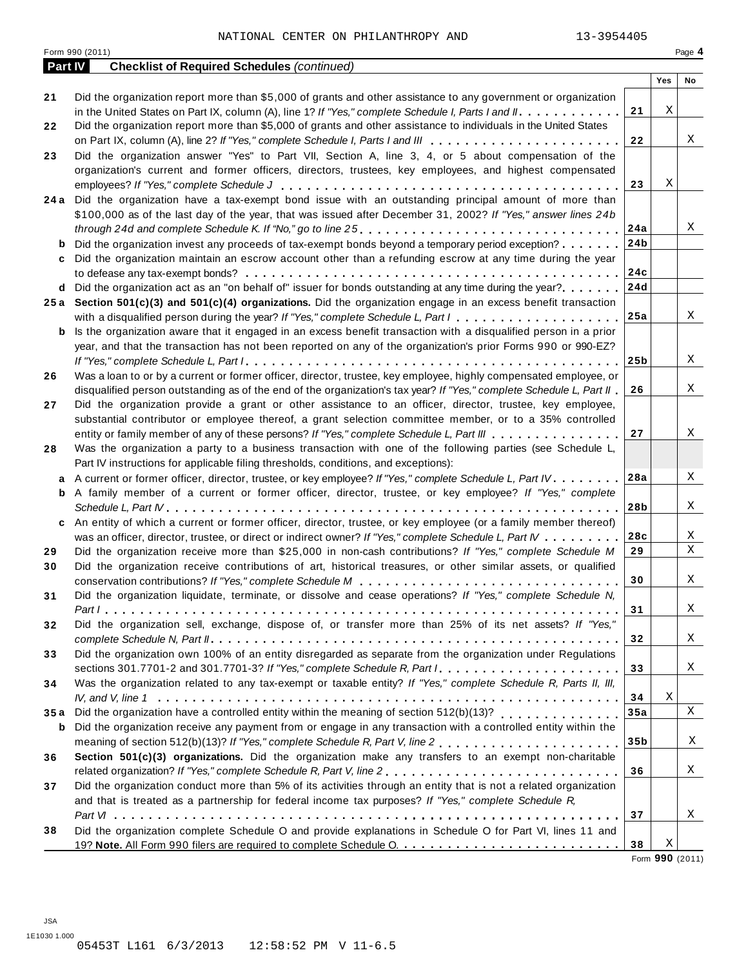|                | Form 990 (2011)                                                                                                      |                 |     | Page 4 |
|----------------|----------------------------------------------------------------------------------------------------------------------|-----------------|-----|--------|
| <b>Part IV</b> | <b>Checklist of Required Schedules (continued)</b>                                                                   |                 |     |        |
|                |                                                                                                                      |                 | Yes | No     |
| 21             | Did the organization report more than \$5,000 of grants and other assistance to any government or organization       |                 |     |        |
|                | in the United States on Part IX, column (A), line 1? If "Yes," complete Schedule I, Parts I and II.                  | 21              | Χ   |        |
| 22             | Did the organization report more than \$5,000 of grants and other assistance to individuals in the United States     |                 |     |        |
|                |                                                                                                                      | 22              |     | X      |
| 23             | Did the organization answer "Yes" to Part VII, Section A, line 3, 4, or 5 about compensation of the                  |                 |     |        |
|                | organization's current and former officers, directors, trustees, key employees, and highest compensated              |                 |     |        |
|                |                                                                                                                      | 23              | Χ   |        |
|                | 24a Did the organization have a tax-exempt bond issue with an outstanding principal amount of more than              |                 |     |        |
|                | \$100,000 as of the last day of the year, that was issued after December 31, 2002? If "Yes," answer lines 24b        |                 |     |        |
|                |                                                                                                                      | 24a             |     | Χ      |
|                |                                                                                                                      | 24 <sub>b</sub> |     |        |
| b              | Did the organization invest any proceeds of tax-exempt bonds beyond a temporary period exception?                    |                 |     |        |
| c              | Did the organization maintain an escrow account other than a refunding escrow at any time during the year            |                 |     |        |
|                |                                                                                                                      | 24c             |     |        |
| d              | Did the organization act as an "on behalf of" issuer for bonds outstanding at any time during the year?              | 24d             |     |        |
|                | 25a Section 501(c)(3) and 501(c)(4) organizations. Did the organization engage in an excess benefit transaction      |                 |     |        |
|                |                                                                                                                      | 25a             |     | Χ      |
| b              | Is the organization aware that it engaged in an excess benefit transaction with a disqualified person in a prior     |                 |     |        |
|                | year, and that the transaction has not been reported on any of the organization's prior Forms 990 or 990-EZ?         |                 |     |        |
|                |                                                                                                                      | 25 <sub>b</sub> |     | Χ      |
| 26             | Was a loan to or by a current or former officer, director, trustee, key employee, highly compensated employee, or    |                 |     |        |
|                | disqualified person outstanding as of the end of the organization's tax year? If "Yes," complete Schedule L, Part II | 26              |     | Χ      |
| 27             | Did the organization provide a grant or other assistance to an officer, director, trustee, key employee,             |                 |     |        |
|                | substantial contributor or employee thereof, a grant selection committee member, or to a 35% controlled              |                 |     |        |
|                |                                                                                                                      | 27              |     | Χ      |
|                | entity or family member of any of these persons? If "Yes," complete Schedule L, Part III                             |                 |     |        |
| 28             | Was the organization a party to a business transaction with one of the following parties (see Schedule L,            |                 |     |        |
|                | Part IV instructions for applicable filing thresholds, conditions, and exceptions):                                  |                 |     |        |
| a              | A current or former officer, director, trustee, or key employee? If "Yes," complete Schedule L, Part IV.             | 28a             |     | Χ      |
| b              | A family member of a current or former officer, director, trustee, or key employee? If "Yes," complete               |                 |     |        |
|                |                                                                                                                      | 28b             |     | Χ      |
| c              | An entity of which a current or former officer, director, trustee, or key employee (or a family member thereof)      |                 |     |        |
|                | was an officer, director, trustee, or direct or indirect owner? If "Yes," complete Schedule L, Part IV               | 28c             |     | Χ      |
| 29             | Did the organization receive more than \$25,000 in non-cash contributions? If "Yes," complete Schedule M             | 29              |     | X      |
| 30             | Did the organization receive contributions of art, historical treasures, or other similar assets, or qualified       |                 |     |        |
|                |                                                                                                                      | 30              |     | Χ      |
| 31             | Did the organization liquidate, terminate, or dissolve and cease operations? If "Yes," complete Schedule N,          |                 |     |        |
|                |                                                                                                                      | 31              |     | Χ      |
| 32             | Did the organization sell, exchange, dispose of, or transfer more than 25% of its net assets? If "Yes,"              |                 |     |        |
|                |                                                                                                                      | 32              |     | X      |
|                | Did the organization own 100% of an entity disregarded as separate from the organization under Regulations           |                 |     |        |
| 33             |                                                                                                                      |                 |     |        |
|                | sections 301.7701-2 and 301.7701-3? If "Yes," complete Schedule R, Part I.                                           | 33              |     | X      |
| 34             | Was the organization related to any tax-exempt or taxable entity? If "Yes," complete Schedule R, Parts II, III,      |                 |     |        |
|                |                                                                                                                      | 34              | Χ   |        |
| 35 a           | Did the organization have a controlled entity within the meaning of section 512(b)(13)?                              | 35a             |     | X      |
| b              | Did the organization receive any payment from or engage in any transaction with a controlled entity within the       |                 |     |        |
|                |                                                                                                                      | 35 <sub>b</sub> |     | X      |
| 36             | Section 501(c)(3) organizations. Did the organization make any transfers to an exempt non-charitable                 |                 |     |        |
|                | related organization? If "Yes," complete Schedule R, Part V, line 2                                                  | 36              |     | Χ      |
| 37             | Did the organization conduct more than 5% of its activities through an entity that is not a related organization     |                 |     |        |
|                | and that is treated as a partnership for federal income tax purposes? If "Yes," complete Schedule $R$ ,              |                 |     |        |
|                |                                                                                                                      | 37              |     | Χ      |
|                | Did the organization complete Schedule O and provide explanations in Schedule O for Part VI, lines 11 and            |                 |     |        |
| 38             |                                                                                                                      | 38              | X   |        |
|                |                                                                                                                      |                 |     |        |

Form **990** (2011)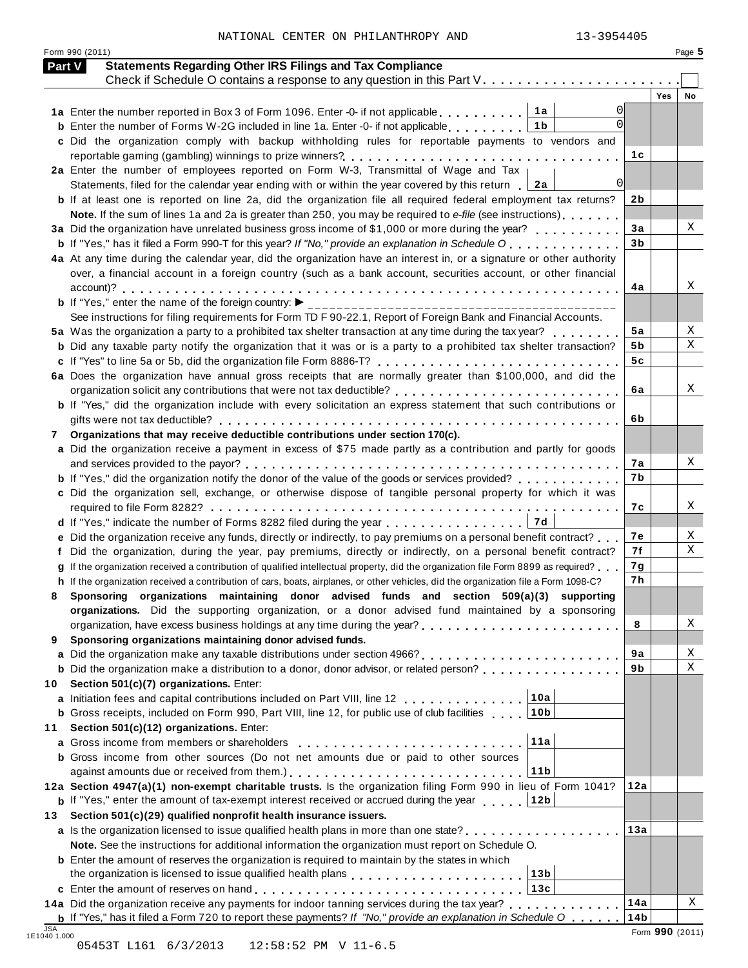|  | NATIONAL CENTER ON PHILANTHROPY AND | 13-3954405 |
|--|-------------------------------------|------------|
|  |                                     |            |

|            | Form 990 (2011)                                                                                                                                                                                                                                      |                 |     | Page 5 |
|------------|------------------------------------------------------------------------------------------------------------------------------------------------------------------------------------------------------------------------------------------------------|-----------------|-----|--------|
|            | <b>Statements Regarding Other IRS Filings and Tax Compliance</b><br><b>Part V</b>                                                                                                                                                                    |                 |     |        |
|            | Check if Schedule O contains a response to any question in this Part V.                                                                                                                                                                              |                 |     |        |
|            |                                                                                                                                                                                                                                                      |                 | Yes | No     |
|            | 0<br>1a<br>1a Enter the number reported in Box 3 of Form 1096. Enter -0- if not applicable                                                                                                                                                           |                 |     |        |
|            | $\Omega$<br>1b<br><b>b</b> Enter the number of Forms W-2G included in line 1a. Enter -0- if not applicable                                                                                                                                           |                 |     |        |
|            | c Did the organization comply with backup withholding rules for reportable payments to vendors and                                                                                                                                                   |                 |     |        |
|            |                                                                                                                                                                                                                                                      | 1 C             |     |        |
|            | 2a Enter the number of employees reported on Form W-3, Transmittal of Wage and Tax<br>$\Omega$<br>Statements, filed for the calendar year ending with or within the year covered by this return.<br>2a                                               |                 |     |        |
|            | <b>b</b> If at least one is reported on line 2a, did the organization file all required federal employment tax returns?                                                                                                                              | 2b              |     |        |
|            | Note. If the sum of lines 1a and 2a is greater than 250, you may be required to e-file (see instructions)                                                                                                                                            |                 |     |        |
|            | 3a Did the organization have unrelated business gross income of \$1,000 or more during the year?                                                                                                                                                     | 3a              |     | Χ      |
|            | <b>b</b> If "Yes," has it filed a Form 990-T for this year? If "No," provide an explanation in Schedule O                                                                                                                                            | 3 <sub>b</sub>  |     |        |
|            | 4a At any time during the calendar year, did the organization have an interest in, or a signature or other authority                                                                                                                                 |                 |     |        |
|            | over, a financial account in a foreign country (such as a bank account, securities account, or other financial                                                                                                                                       |                 |     |        |
|            |                                                                                                                                                                                                                                                      | 4a              |     | Χ      |
|            | <b>b</b> If "Yes," enter the name of the foreign country: $\blacktriangleright$<br>________________________________                                                                                                                                  |                 |     |        |
|            | See instructions for filing requirements for Form TD F 90-22.1, Report of Foreign Bank and Financial Accounts.                                                                                                                                       |                 |     |        |
|            | 5a Was the organization a party to a prohibited tax shelter transaction at any time during the tax year?                                                                                                                                             | 5a              |     | Χ      |
|            | <b>b</b> Did any taxable party notify the organization that it was or is a party to a prohibited tax shelter transaction?                                                                                                                            | 5 b             |     | X      |
|            | c If "Yes" to line 5a or 5b, did the organization file Form 8886-T?<br>6a Does the organization have annual gross receipts that are normally greater than \$100,000, and did the                                                                     | 5c              |     |        |
|            | organization solicit any contributions that were not tax deductible?                                                                                                                                                                                 | 6a              |     | Χ      |
|            | <b>b</b> If "Yes," did the organization include with every solicitation an express statement that such contributions or                                                                                                                              |                 |     |        |
|            |                                                                                                                                                                                                                                                      | 6b              |     |        |
| 7          | Organizations that may receive deductible contributions under section 170(c).                                                                                                                                                                        |                 |     |        |
|            | a Did the organization receive a payment in excess of \$75 made partly as a contribution and partly for goods                                                                                                                                        |                 |     |        |
|            |                                                                                                                                                                                                                                                      | 7а              |     | Χ      |
|            | <b>b</b> If "Yes," did the organization notify the donor of the value of the goods or services provided?                                                                                                                                             | 7b              |     |        |
|            | c Did the organization sell, exchange, or otherwise dispose of tangible personal property for which it was                                                                                                                                           |                 |     |        |
|            |                                                                                                                                                                                                                                                      | 7с              |     | Χ      |
|            | 7d<br>d If "Yes," indicate the number of Forms 8282 filed during the year                                                                                                                                                                            |                 |     |        |
|            | e Did the organization receive any funds, directly or indirectly, to pay premiums on a personal benefit contract?                                                                                                                                    | 7е              |     | Χ<br>Χ |
|            | f Did the organization, during the year, pay premiums, directly or indirectly, on a personal benefit contract?<br>g If the organization received a contribution of qualified intellectual property, did the organization file Form 8899 as required? | 7f<br>7g        |     |        |
|            | h If the organization received a contribution of cars, boats, airplanes, or other vehicles, did the organization file a Form 1098-C?                                                                                                                 | 7h              |     |        |
|            | Sponsoring organizations maintaining donor advised funds and section 509(a)(3) supporting                                                                                                                                                            |                 |     |        |
|            | organizations. Did the supporting organization, or a donor advised fund maintained by a sponsoring                                                                                                                                                   |                 |     |        |
|            |                                                                                                                                                                                                                                                      | 8               |     | Χ      |
| 9          | Sponsoring organizations maintaining donor advised funds.                                                                                                                                                                                            |                 |     |        |
|            |                                                                                                                                                                                                                                                      | 9a              |     | Χ      |
|            | <b>b</b> Did the organization make a distribution to a donor, donor advisor, or related person?                                                                                                                                                      | 9 <sub>b</sub>  |     | Χ      |
| 10         | Section 501(c)(7) organizations. Enter:                                                                                                                                                                                                              |                 |     |        |
|            | 10a<br>a Initiation fees and capital contributions included on Part VIII, line 12                                                                                                                                                                    |                 |     |        |
|            | 10b<br><b>b</b> Gross receipts, included on Form 990, Part VIII, line 12, for public use of club facilities                                                                                                                                          |                 |     |        |
| 11         | Section 501(c)(12) organizations. Enter:                                                                                                                                                                                                             |                 |     |        |
|            | 11a<br>a Gross income from members or shareholders<br><b>b</b> Gross income from other sources (Do not net amounts due or paid to other sources                                                                                                      |                 |     |        |
|            | 11 <sub>b</sub>                                                                                                                                                                                                                                      |                 |     |        |
|            | 12a Section 4947(a)(1) non-exempt charitable trusts. Is the organization filing Form 990 in lieu of Form 1041?                                                                                                                                       | 12a             |     |        |
|            | <b>b</b> If "Yes," enter the amount of tax-exempt interest received or accrued during the year<br>12b                                                                                                                                                |                 |     |        |
| 13.        | Section 501(c)(29) qualified nonprofit health insurance issuers.                                                                                                                                                                                     |                 |     |        |
|            | a Is the organization licensed to issue qualified health plans in more than one state?                                                                                                                                                               | 13a             |     |        |
|            | Note. See the instructions for additional information the organization must report on Schedule O.                                                                                                                                                    |                 |     |        |
|            | <b>b</b> Enter the amount of reserves the organization is required to maintain by the states in which                                                                                                                                                |                 |     |        |
|            | 13 <sub>b</sub>                                                                                                                                                                                                                                      |                 |     |        |
|            | 13c                                                                                                                                                                                                                                                  |                 |     |        |
|            | 14a Did the organization receive any payments for indoor tanning services during the tax year?                                                                                                                                                       | 14a             |     | Χ      |
| <b>JSA</b> | <b>b</b> If "Yes," has it filed a Form 720 to report these payments? If "No," provide an explanation in Schedule O $\dots$                                                                                                                           | 14 <sub>b</sub> |     |        |

12:58:52 PM V 11-6.5

Form **990** (2011) 1E1040 1.000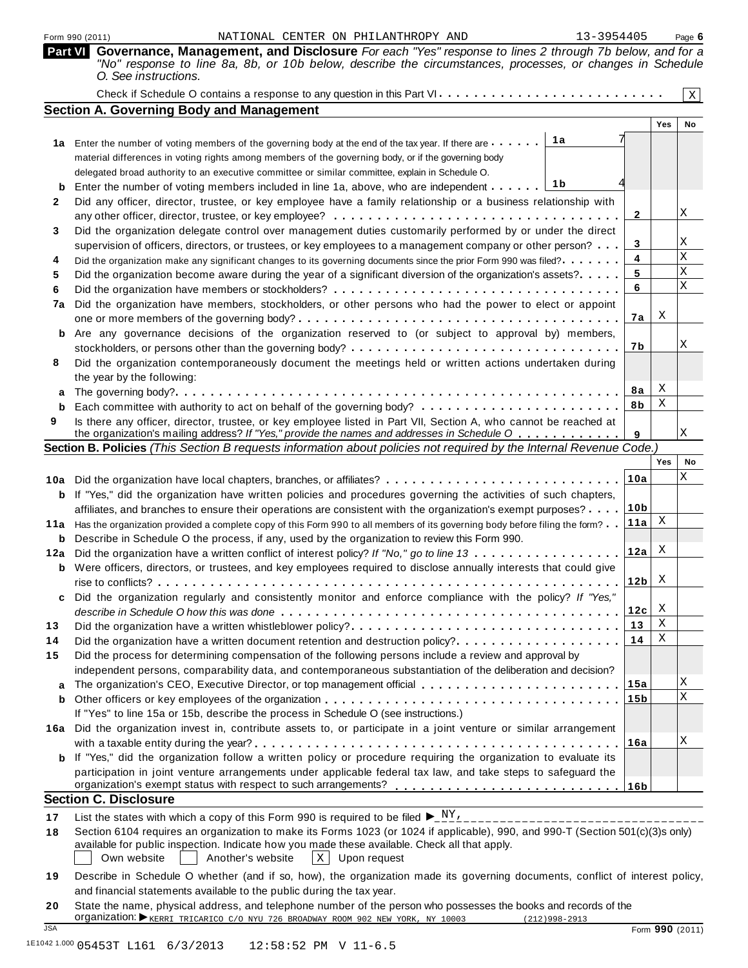|                                                                                                                     |        | Page 6                                                                                                                                                                                                             |
|---------------------------------------------------------------------------------------------------------------------|--------|--------------------------------------------------------------------------------------------------------------------------------------------------------------------------------------------------------------------|
|                                                                                                                     |        | Governance, Management, and Disclosure For each "Yes" response to lines 2 through 7b below, and for a<br>"No" response to line 8a, 8b, or 10b below, describe the circumstances, processes, or changes in Schedule |
|                                                                                                                     |        | Χ                                                                                                                                                                                                                  |
|                                                                                                                     |        |                                                                                                                                                                                                                    |
|                                                                                                                     | Yes    | No                                                                                                                                                                                                                 |
|                                                                                                                     |        |                                                                                                                                                                                                                    |
|                                                                                                                     |        |                                                                                                                                                                                                                    |
|                                                                                                                     |        |                                                                                                                                                                                                                    |
|                                                                                                                     |        |                                                                                                                                                                                                                    |
|                                                                                                                     |        |                                                                                                                                                                                                                    |
| 2                                                                                                                   |        | Χ                                                                                                                                                                                                                  |
|                                                                                                                     |        |                                                                                                                                                                                                                    |
| 3                                                                                                                   |        | Χ                                                                                                                                                                                                                  |
| 4                                                                                                                   |        | Χ                                                                                                                                                                                                                  |
| 5                                                                                                                   |        | Χ                                                                                                                                                                                                                  |
| 6                                                                                                                   |        | Χ                                                                                                                                                                                                                  |
|                                                                                                                     |        |                                                                                                                                                                                                                    |
| 7а                                                                                                                  | X      |                                                                                                                                                                                                                    |
|                                                                                                                     |        |                                                                                                                                                                                                                    |
| 7b                                                                                                                  |        | Χ                                                                                                                                                                                                                  |
|                                                                                                                     |        |                                                                                                                                                                                                                    |
|                                                                                                                     |        |                                                                                                                                                                                                                    |
| 8a                                                                                                                  | X      |                                                                                                                                                                                                                    |
| 8b                                                                                                                  | Χ      |                                                                                                                                                                                                                    |
|                                                                                                                     |        |                                                                                                                                                                                                                    |
| 9                                                                                                                   |        | Χ                                                                                                                                                                                                                  |
| Section B. Policies (This Section B requests information about policies not required by the Internal Revenue Code.) |        |                                                                                                                                                                                                                    |
|                                                                                                                     | Yes    | No                                                                                                                                                                                                                 |
| 10a                                                                                                                 |        | Χ                                                                                                                                                                                                                  |
|                                                                                                                     |        |                                                                                                                                                                                                                    |
| <u>10b</u>                                                                                                          |        |                                                                                                                                                                                                                    |
| 11a                                                                                                                 | X      |                                                                                                                                                                                                                    |
|                                                                                                                     | X      |                                                                                                                                                                                                                    |
| 12a                                                                                                                 |        |                                                                                                                                                                                                                    |
| $12b$ $X$                                                                                                           |        |                                                                                                                                                                                                                    |
|                                                                                                                     |        |                                                                                                                                                                                                                    |
|                                                                                                                     |        |                                                                                                                                                                                                                    |
| 12c                                                                                                                 | X<br>X |                                                                                                                                                                                                                    |
| 13                                                                                                                  | X      |                                                                                                                                                                                                                    |
| 14                                                                                                                  |        |                                                                                                                                                                                                                    |
|                                                                                                                     |        |                                                                                                                                                                                                                    |
|                                                                                                                     |        | Χ                                                                                                                                                                                                                  |
| <u> 15a</u><br>15 <sub>b</sub>                                                                                      |        | X                                                                                                                                                                                                                  |
|                                                                                                                     |        |                                                                                                                                                                                                                    |
|                                                                                                                     |        |                                                                                                                                                                                                                    |
| 16a                                                                                                                 |        | Χ                                                                                                                                                                                                                  |
|                                                                                                                     |        |                                                                                                                                                                                                                    |
|                                                                                                                     |        |                                                                                                                                                                                                                    |
|                                                                                                                     |        |                                                                                                                                                                                                                    |
|                                                                                                                     |        |                                                                                                                                                                                                                    |
|                                                                                                                     |        |                                                                                                                                                                                                                    |
|                                                                                                                     |        |                                                                                                                                                                                                                    |
|                                                                                                                     |        |                                                                                                                                                                                                                    |
|                                                                                                                     |        |                                                                                                                                                                                                                    |
|                                                                                                                     |        | Section 6104 requires an organization to make its Forms 1023 (or 1024 if applicable), 990, and 990-T (Section 501(c)(3)s only)                                                                                     |

- **19** Describe in Schedule O whether (and if so, how), the organization made its governing documents, conflict of interest policy, and financial statements available to the public during the tax year.
- **20** State the name, physical address, and telephone number of the person who possesses the books and records of the **20** State the name, physical address, and telephone number of the person who possesses the books and reco organization: ▶ RERRI TRICARICO C/O NYU 726 BROADWAY ROOM 902 NEW YORK, NY 10003 (212)998-2913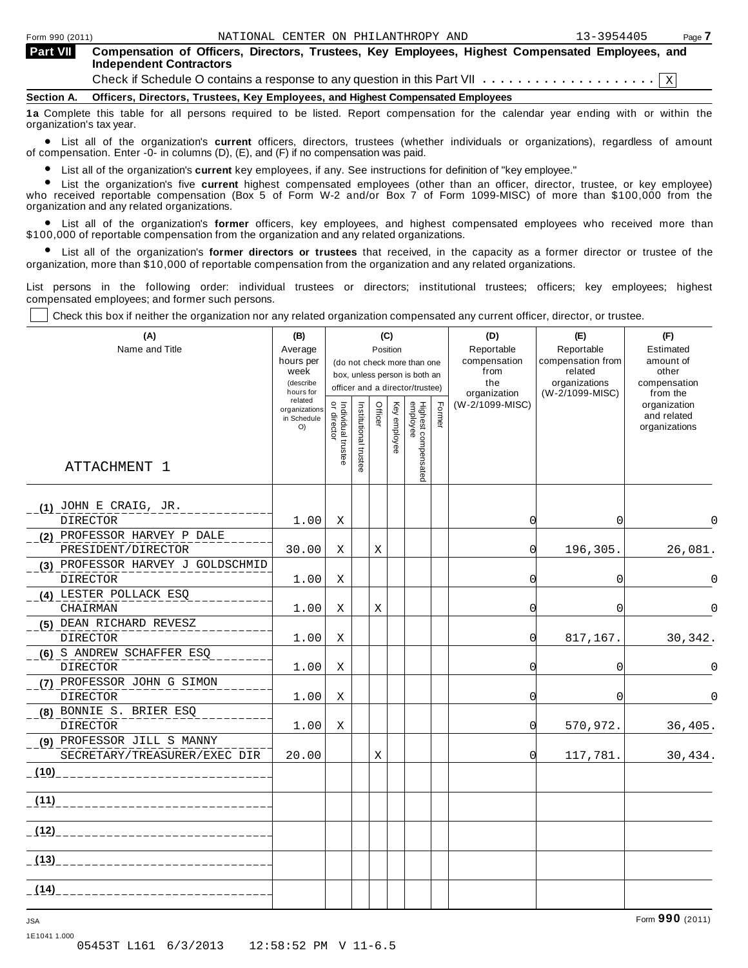**Compensation of Officers, Directors, Trustees, Key Employees, Highest Compensated Employees, and Independent Contractors Part VII** Independent Contractors<br>Check if Schedule O contains a response to any question in this Part VII ,,,,,,,,,,,,,,,,,,<u>x</u>

**Section A. Officers, Directors, Trustees, Key Employees, and Highest Compensated Employees**

**1a** Complete this table for all persons required to be listed. Report compensation for the calendar year ending with or within the

organization's tax year.<br>● List all of the organization's current officers, directors, trustees (whether individuals or organizations), regardless of amount<br>of compensation Enter -0- in columns (D) (E) and (E) if no compe of compensation. Enter -0- in columns (D), (E), and (F) if no compensation was paid.

List all of the organization's **current** key employees, if any. See instructions for definition of "key employee."

Ompensation. Enter -o- in columns (D), (L), and (F) if no compensation was paid.<br>● List all of the organization's **current** highest compensated employees (other than an officer, director, trustee, or key employee)<br>● List who received reportable compensation (Box 5 of Form W-2 and/or Box 7 of Form 1099-MISC) of more than \$100,000 from the organization and any related organizations.

anization and any related organizations.<br>● List all of the organization's **former** officers, key employees, and highest compensated employees who received more than \$100,000 of reportable compensation from the organization and any related organizations.

% List all of the organization's **former directors or trustees** that received, in the capacity as a former director or trustee of the organization, more than \$10,000 of reportable compensation from the organization and any related organizations.

List persons in the following order: individual trustees or directors; institutional trustees; officers; key employees; highest compensated employees; and former such persons.

Check this box if neither the organization nor any related organization compensated any current officer, director, or trustee.

| (A)                                                        | (B)                                                    |                                   |                       |         | (C)          |                                                                                                 |        | (D)                                                       | (E)                                                                            | (F)                                                         |
|------------------------------------------------------------|--------------------------------------------------------|-----------------------------------|-----------------------|---------|--------------|-------------------------------------------------------------------------------------------------|--------|-----------------------------------------------------------|--------------------------------------------------------------------------------|-------------------------------------------------------------|
| Name and Title                                             | Average<br>hours per<br>week<br>(describe<br>hours for |                                   |                       |         | Position     | (do not check more than one<br>box, unless person is both an<br>officer and a director/trustee) |        | Reportable<br>compensation<br>from<br>the<br>organization | Reportable<br>compensation from<br>related<br>organizations<br>(W-2/1099-MISC) | Estimated<br>amount of<br>other<br>compensation<br>from the |
| ATTACHMENT 1                                               | related<br>organizations<br>in Schedule<br>O()         | Individual trustee<br>or director | Institutional trustee | Officer | Key employee | Highest compensated<br>employee                                                                 | Former | (W-2/1099-MISC)                                           |                                                                                | organization<br>and related<br>organizations                |
| $(1)$ JOHN E CRAIG, JR.<br><b>DIRECTOR</b>                 | 1.00                                                   | Χ                                 |                       |         |              |                                                                                                 |        | $\Omega$                                                  | 0                                                                              | $\Omega$                                                    |
| (2) PROFESSOR HARVEY P DALE<br>PRESIDENT/DIRECTOR          | 30.00                                                  | X                                 |                       | X       |              |                                                                                                 |        | 0                                                         | 196,305.                                                                       | 26,081.                                                     |
| (3) PROFESSOR HARVEY J GOLDSCHMID<br><b>DIRECTOR</b>       | 1.00                                                   | Χ                                 |                       |         |              |                                                                                                 |        | 0                                                         | 0                                                                              | 0                                                           |
| (4) LESTER POLLACK ESQ<br>CHAIRMAN                         | 1.00                                                   | Χ                                 |                       | X       |              |                                                                                                 |        | $\Omega$                                                  | $\overline{0}$                                                                 | $\mathbf 0$                                                 |
| (5) DEAN RICHARD REVESZ<br><b>DIRECTOR</b>                 | 1.00                                                   | Χ                                 |                       |         |              |                                                                                                 |        | 0                                                         | 817,167.                                                                       | 30,342.                                                     |
| (6) S ANDREW SCHAFFER ESQ<br><b>DIRECTOR</b>               | 1.00                                                   | Χ                                 |                       |         |              |                                                                                                 |        | $\sqrt{ }$                                                | 0                                                                              | $\Omega$                                                    |
| (7) PROFESSOR JOHN G SIMON<br><b>DIRECTOR</b>              | 1.00                                                   | Χ                                 |                       |         |              |                                                                                                 |        | 0                                                         | 0                                                                              | $\Omega$                                                    |
| (8) BONNIE S. BRIER ESQ<br><b>DIRECTOR</b>                 | 1.00                                                   | Χ                                 |                       |         |              |                                                                                                 |        | 0                                                         | 570,972.                                                                       | 36,405.                                                     |
| (9) PROFESSOR JILL S MANNY<br>SECRETARY/TREASURER/EXEC DIR | 20.00                                                  |                                   |                       | X       |              |                                                                                                 |        | 0                                                         | 117,781.                                                                       | 30,434.                                                     |
|                                                            |                                                        |                                   |                       |         |              |                                                                                                 |        |                                                           |                                                                                |                                                             |
|                                                            |                                                        |                                   |                       |         |              |                                                                                                 |        |                                                           |                                                                                |                                                             |
| _ (12)___________________________________                  |                                                        |                                   |                       |         |              |                                                                                                 |        |                                                           |                                                                                |                                                             |
|                                                            |                                                        |                                   |                       |         |              |                                                                                                 |        |                                                           |                                                                                |                                                             |
|                                                            |                                                        |                                   |                       |         |              |                                                                                                 |        |                                                           |                                                                                |                                                             |

Form **990** (2011) JSA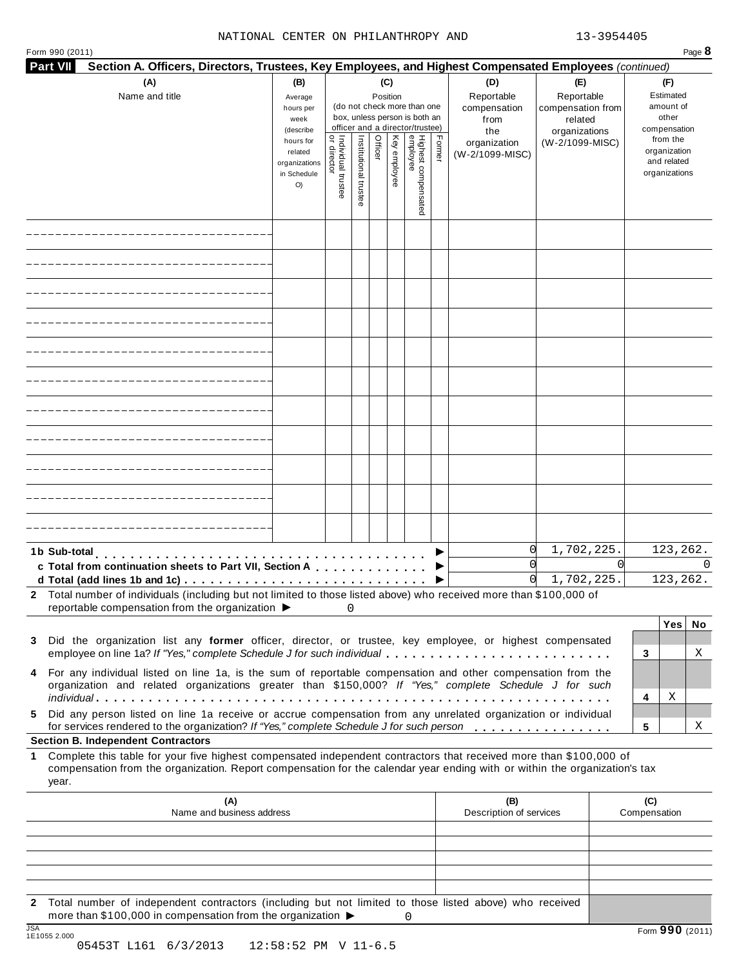#### NATIONAL CENTER ON PHILANTHROPY AND 13-3954405

| Form 990 (2011) |                                                                                                                                                                                                                                                  |                                                                         |                                     |                       |                 |              |                                                                    |        |                                           |                                                   |          |                                                                          | Page 8 |              |
|-----------------|--------------------------------------------------------------------------------------------------------------------------------------------------------------------------------------------------------------------------------------------------|-------------------------------------------------------------------------|-------------------------------------|-----------------------|-----------------|--------------|--------------------------------------------------------------------|--------|-------------------------------------------|---------------------------------------------------|----------|--------------------------------------------------------------------------|--------|--------------|
| <b>Part VII</b> | Section A. Officers, Directors, Trustees, Key Employees, and Highest Compensated Employees (continued)                                                                                                                                           |                                                                         |                                     |                       |                 |              |                                                                    |        |                                           |                                                   |          |                                                                          |        |              |
|                 | (A)<br>Name and title                                                                                                                                                                                                                            | (B)<br>Average<br>hours per<br>week                                     |                                     |                       | (C)<br>Position |              | (do not check more than one<br>box, unless person is both an       |        | (D)<br>Reportable<br>compensation<br>from | (E)<br>Reportable<br>compensation from<br>related |          | (F)<br>Estimated<br>amount of<br>other                                   |        |              |
|                 |                                                                                                                                                                                                                                                  | (describe<br>hours for<br>related<br>organizations<br>in Schedule<br>O) | Individual trustee<br>  or director | Institutional trustee | Officer         | Key employee | officer and a director/trustee)<br>Highest compensated<br>employee | Former | the<br>organization<br>(W-2/1099-MISC)    | organizations<br>(W-2/1099-MISC)                  |          | compensation<br>from the<br>organization<br>and related<br>organizations |        |              |
|                 |                                                                                                                                                                                                                                                  |                                                                         |                                     |                       |                 |              |                                                                    |        |                                           |                                                   |          |                                                                          |        |              |
|                 |                                                                                                                                                                                                                                                  |                                                                         |                                     |                       |                 |              |                                                                    |        |                                           |                                                   |          |                                                                          |        |              |
|                 |                                                                                                                                                                                                                                                  |                                                                         |                                     |                       |                 |              |                                                                    |        |                                           |                                                   |          |                                                                          |        |              |
|                 |                                                                                                                                                                                                                                                  |                                                                         |                                     |                       |                 |              |                                                                    |        |                                           |                                                   |          |                                                                          |        |              |
|                 |                                                                                                                                                                                                                                                  |                                                                         |                                     |                       |                 |              |                                                                    |        |                                           |                                                   |          |                                                                          |        |              |
|                 |                                                                                                                                                                                                                                                  |                                                                         |                                     |                       |                 |              |                                                                    |        |                                           |                                                   |          |                                                                          |        |              |
|                 |                                                                                                                                                                                                                                                  |                                                                         |                                     |                       |                 |              |                                                                    |        |                                           |                                                   |          |                                                                          |        |              |
|                 |                                                                                                                                                                                                                                                  |                                                                         |                                     |                       |                 |              |                                                                    |        |                                           |                                                   |          |                                                                          |        |              |
|                 |                                                                                                                                                                                                                                                  |                                                                         |                                     |                       |                 |              |                                                                    |        |                                           |                                                   |          |                                                                          |        |              |
|                 |                                                                                                                                                                                                                                                  |                                                                         |                                     |                       |                 |              |                                                                    |        |                                           |                                                   |          |                                                                          |        |              |
|                 |                                                                                                                                                                                                                                                  |                                                                         |                                     |                       |                 |              |                                                                    |        |                                           |                                                   |          |                                                                          |        |              |
|                 | 1b Sub-total                                                                                                                                                                                                                                     |                                                                         |                                     |                       |                 |              |                                                                    |        |                                           | 1,702,225.                                        |          | 123, 262.                                                                |        |              |
|                 | c Total from continuation sheets to Part VII, Section A                                                                                                                                                                                          |                                                                         |                                     |                       |                 |              |                                                                    |        | O<br>01                                   | 1,702,225.                                        | $\Omega$ | 123, 262.                                                                |        | <sup>0</sup> |
|                 | 2 Total number of individuals (including but not limited to those listed above) who received more than \$100,000 of<br>reportable compensation from the organization $\blacktriangleright$                                                       |                                                                         | 0                                   |                       |                 |              |                                                                    |        |                                           |                                                   |          |                                                                          |        |              |
|                 |                                                                                                                                                                                                                                                  |                                                                         |                                     |                       |                 |              |                                                                    |        |                                           |                                                   |          | Yes <sub>1</sub>                                                         | No     |              |
|                 | 3 Did the organization list any former officer, director, or trustee, key employee, or highest compensated<br>employee on line 1a? If "Yes," complete Schedule J for such individual                                                             |                                                                         |                                     |                       |                 |              |                                                                    |        |                                           |                                                   |          | 3                                                                        | Χ      |              |
|                 | 4 For any individual listed on line 1a, is the sum of reportable compensation and other compensation from the<br>organization and related organizations greater than \$150,000? If "Yes," complete Schedule J for such                           |                                                                         |                                     |                       |                 |              |                                                                    |        |                                           |                                                   |          | Χ<br>4                                                                   |        |              |
| 5.              | Did any person listed on line 1a receive or accrue compensation from any unrelated organization or individual<br>for services rendered to the organization? If "Yes," complete Schedule J for such person                                        |                                                                         |                                     |                       |                 |              |                                                                    |        |                                           |                                                   |          | 5                                                                        | Χ      |              |
|                 | <b>Section B. Independent Contractors</b>                                                                                                                                                                                                        |                                                                         |                                     |                       |                 |              |                                                                    |        |                                           |                                                   |          |                                                                          |        |              |
| 1<br>year.      | Complete this table for your five highest compensated independent contractors that received more than \$100,000 of<br>compensation from the organization. Report compensation for the calendar year ending with or within the organization's tax |                                                                         |                                     |                       |                 |              |                                                                    |        |                                           |                                                   |          |                                                                          |        |              |
|                 | (A)<br>Name and business address                                                                                                                                                                                                                 |                                                                         |                                     |                       |                 |              |                                                                    |        | (B)<br>Description of services            |                                                   |          | (C)<br>Compensation                                                      |        |              |
|                 |                                                                                                                                                                                                                                                  |                                                                         |                                     |                       |                 |              |                                                                    |        |                                           |                                                   |          |                                                                          |        |              |
|                 |                                                                                                                                                                                                                                                  |                                                                         |                                     |                       |                 |              |                                                                    |        |                                           |                                                   |          |                                                                          |        |              |
|                 |                                                                                                                                                                                                                                                  |                                                                         |                                     |                       |                 |              |                                                                    |        |                                           |                                                   |          |                                                                          |        |              |

**2** Total number of independent contractors (including but not limited to those listed above) who received more than \$100,000 in compensation from the organization  $\rightarrow$  0 3SA<br>
1E1055 2.000<br>
05453T L161 6/3/2013 12:58:52 PM V 11-6.5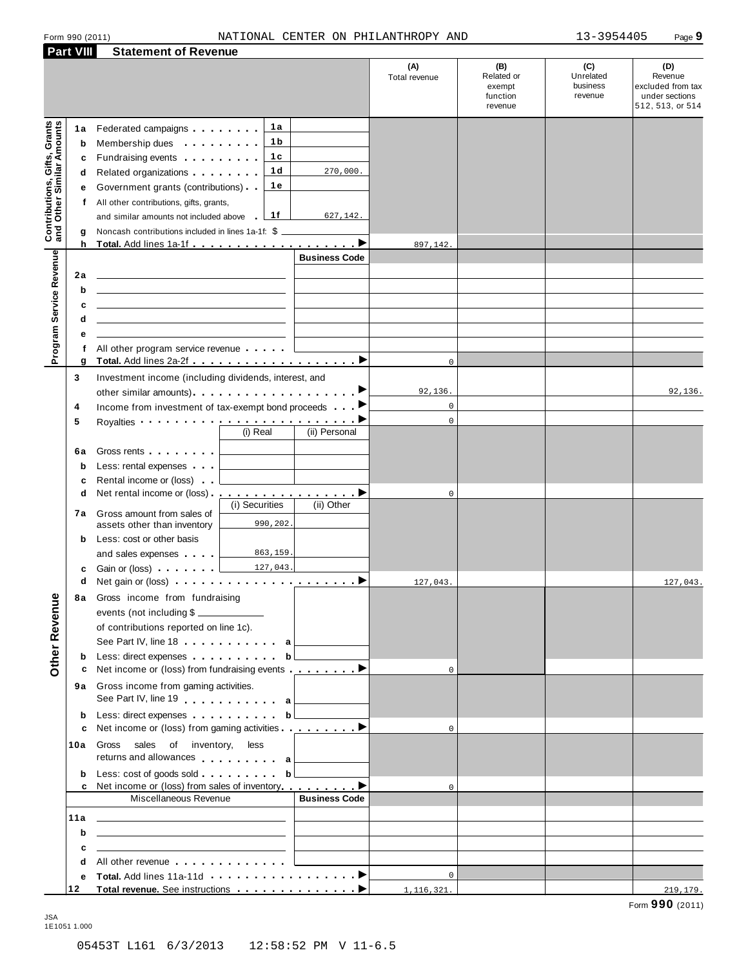#### Form <sup>990</sup> (2011) Page **9** NATIONAL CENTER ON PHILANTHROPY AND 13-3954405

Form **990** (2011)

|                                                           | <b>Part VIII</b> | <b>Statement of Revenue</b>                                                                                                                                                                                                              |                      |                      |                                                    |                                         |                                                                           |
|-----------------------------------------------------------|------------------|------------------------------------------------------------------------------------------------------------------------------------------------------------------------------------------------------------------------------------------|----------------------|----------------------|----------------------------------------------------|-----------------------------------------|---------------------------------------------------------------------------|
|                                                           |                  |                                                                                                                                                                                                                                          |                      | (A)<br>Total revenue | (B)<br>Related or<br>exempt<br>function<br>revenue | (C)<br>Unrelated<br>business<br>revenue | (D)<br>Revenue<br>excluded from tax<br>under sections<br>512, 513, or 514 |
|                                                           | 1a               | 1 a<br>Federated campaigns <b>contains</b>                                                                                                                                                                                               |                      |                      |                                                    |                                         |                                                                           |
| Contributions, Gifts, Grants<br>and Other Similar Amounts |                  | 1 b<br>Membership dues <b>All Accords</b> Membership dues                                                                                                                                                                                |                      |                      |                                                    |                                         |                                                                           |
|                                                           | b                | 1c                                                                                                                                                                                                                                       |                      |                      |                                                    |                                         |                                                                           |
|                                                           | c                | Fundraising events <b>Exercises</b><br>1 <sub>d</sub>                                                                                                                                                                                    |                      |                      |                                                    |                                         |                                                                           |
|                                                           | d                | Related organizations <b>contains</b> and the Related organizations and all the Relations of the Relations of the Relations of the Relations of the Relations of the Relations of the Relations of the Relations of the Relations o      | 270,000.             |                      |                                                    |                                         |                                                                           |
|                                                           | е                | 1 e<br>Government grants (contributions)                                                                                                                                                                                                 |                      |                      |                                                    |                                         |                                                                           |
|                                                           | f                | All other contributions, gifts, grants,                                                                                                                                                                                                  |                      |                      |                                                    |                                         |                                                                           |
|                                                           |                  | 1f<br>and similar amounts not included above                                                                                                                                                                                             | 627,142.             |                      |                                                    |                                         |                                                                           |
|                                                           | g                | Noncash contributions included in lines 1a-1f: \$                                                                                                                                                                                        |                      |                      |                                                    |                                         |                                                                           |
|                                                           | h                |                                                                                                                                                                                                                                          |                      | 897,142.             |                                                    |                                         |                                                                           |
|                                                           |                  |                                                                                                                                                                                                                                          | <b>Business Code</b> |                      |                                                    |                                         |                                                                           |
|                                                           | 2a               | <u> 1989 - Johann Barbara, martxa alemaniar arg</u>                                                                                                                                                                                      |                      |                      |                                                    |                                         |                                                                           |
|                                                           | b                | the control of the control of the control of the control of the control of the control of                                                                                                                                                |                      |                      |                                                    |                                         |                                                                           |
|                                                           | c                | the control of the control of the control of the control of the control of the control of                                                                                                                                                |                      |                      |                                                    |                                         |                                                                           |
|                                                           | d                | the contract of the contract of the contract of the contract of the contract of                                                                                                                                                          |                      |                      |                                                    |                                         |                                                                           |
|                                                           | е                |                                                                                                                                                                                                                                          |                      |                      |                                                    |                                         |                                                                           |
| Program Service Revenue                                   | f                | All other program service revenue                                                                                                                                                                                                        |                      |                      |                                                    |                                         |                                                                           |
|                                                           | g                |                                                                                                                                                                                                                                          |                      | $\mathbf{0}$         |                                                    |                                         |                                                                           |
|                                                           | 3                | Investment income (including dividends, interest, and                                                                                                                                                                                    |                      |                      |                                                    |                                         |                                                                           |
|                                                           |                  |                                                                                                                                                                                                                                          |                      | 92,136.              |                                                    |                                         | 92,136.                                                                   |
|                                                           | 4                | Income from investment of tax-exempt bond proceeds                                                                                                                                                                                       |                      | $\mathsf 0$          |                                                    |                                         |                                                                           |
|                                                           | 5                | Royalties $\cdots$ $\cdots$ $\cdots$ $\cdots$ $\cdots$ $\cdots$ $\cdots$ $\cdots$                                                                                                                                                        |                      | $\mathbf{0}$         |                                                    |                                         |                                                                           |
|                                                           |                  | (i) Real                                                                                                                                                                                                                                 | (ii) Personal        |                      |                                                    |                                         |                                                                           |
|                                                           | 6а               | Gross rents <b>Container and Container</b>                                                                                                                                                                                               |                      |                      |                                                    |                                         |                                                                           |
|                                                           |                  | Less: rental expenses                                                                                                                                                                                                                    |                      |                      |                                                    |                                         |                                                                           |
|                                                           | b                | Rental income or (loss)                                                                                                                                                                                                                  |                      |                      |                                                    |                                         |                                                                           |
|                                                           | c<br>d           |                                                                                                                                                                                                                                          |                      | $\mathbf{0}$         |                                                    |                                         |                                                                           |
|                                                           |                  | (i) Securities                                                                                                                                                                                                                           | (ii) Other           |                      |                                                    |                                         |                                                                           |
|                                                           | 7а               | Gross amount from sales of<br>990,202.                                                                                                                                                                                                   |                      |                      |                                                    |                                         |                                                                           |
|                                                           |                  | assets other than inventory                                                                                                                                                                                                              |                      |                      |                                                    |                                         |                                                                           |
|                                                           | b                | Less: cost or other basis<br>863,159.                                                                                                                                                                                                    |                      |                      |                                                    |                                         |                                                                           |
|                                                           |                  | and sales expenses<br>127,043.                                                                                                                                                                                                           |                      |                      |                                                    |                                         |                                                                           |
|                                                           | c                | Gain or (loss) [<br>Net gain or (loss) $\cdots$ $\cdots$ $\cdots$ $\cdots$ $\cdots$ $\cdots$ $\cdots$                                                                                                                                    |                      |                      |                                                    |                                         |                                                                           |
|                                                           | d                |                                                                                                                                                                                                                                          |                      | 127,043.             |                                                    |                                         | 127,043.                                                                  |
| Other Revenue                                             | 8а               | Gross income from fundraising                                                                                                                                                                                                            |                      |                      |                                                    |                                         |                                                                           |
|                                                           |                  | events (not including \$                                                                                                                                                                                                                 |                      |                      |                                                    |                                         |                                                                           |
|                                                           |                  | of contributions reported on line 1c).                                                                                                                                                                                                   |                      |                      |                                                    |                                         |                                                                           |
|                                                           |                  | See Part IV, line 18 a                                                                                                                                                                                                                   |                      |                      |                                                    |                                         |                                                                           |
|                                                           | b                | Less: direct expenses b                                                                                                                                                                                                                  |                      |                      |                                                    |                                         |                                                                           |
|                                                           | c                | Net income or (loss) from fundraising events <u></u> ▶                                                                                                                                                                                   |                      | $\Omega$             |                                                    |                                         |                                                                           |
|                                                           | 9а               | Gross income from gaming activities.                                                                                                                                                                                                     |                      |                      |                                                    |                                         |                                                                           |
|                                                           |                  | See Part IV, line 19 extending the set of the set of the set of the set of the set of the set of the set of the                                                                                                                          |                      |                      |                                                    |                                         |                                                                           |
|                                                           | b                | Less: direct expenses b                                                                                                                                                                                                                  |                      |                      |                                                    |                                         |                                                                           |
|                                                           | c                | Net income or (loss) from gaming activities <u></u> ▶                                                                                                                                                                                    |                      | $\mathbf{0}$         |                                                    |                                         |                                                                           |
|                                                           | 10a              | Gross sales of inventory,<br>less<br>returns and allowances allowances                                                                                                                                                                   |                      |                      |                                                    |                                         |                                                                           |
|                                                           | b                |                                                                                                                                                                                                                                          |                      |                      |                                                    |                                         |                                                                           |
|                                                           | c                | Net income or (loss) from sales of inventory <b>and the set of</b> inventory <b>and the set of the set of the set of the set of the set of the set of the set of the set of the set of the set of the set of the set of the set of t</b> |                      | $\mathbf{0}$         |                                                    |                                         |                                                                           |
|                                                           |                  | Miscellaneous Revenue                                                                                                                                                                                                                    | <b>Business Code</b> |                      |                                                    |                                         |                                                                           |
|                                                           | 11a              | <u> 1989 - Johann Stein, mars an de Britannich (b. 1989)</u>                                                                                                                                                                             |                      |                      |                                                    |                                         |                                                                           |
|                                                           | b                | <u> 1989 - Johann Barbara, martxa alemaniar arg</u>                                                                                                                                                                                      |                      |                      |                                                    |                                         |                                                                           |
|                                                           | c                | <u> 1989 - Johann Stein, mars an deutscher Stein und der Stein und der Stein und der Stein und der Stein und der</u>                                                                                                                     |                      |                      |                                                    |                                         |                                                                           |
|                                                           | d                | All other revenue entitled and a series of the series of the series of the series of the series of the series                                                                                                                            |                      |                      |                                                    |                                         |                                                                           |
|                                                           | е                |                                                                                                                                                                                                                                          |                      | $\mathbf{0}$         |                                                    |                                         |                                                                           |
|                                                           | 12               |                                                                                                                                                                                                                                          |                      | 1, 116, 321.         |                                                    |                                         | 219, 179.                                                                 |
|                                                           |                  |                                                                                                                                                                                                                                          |                      |                      |                                                    |                                         |                                                                           |

JSA 1E1051 1.000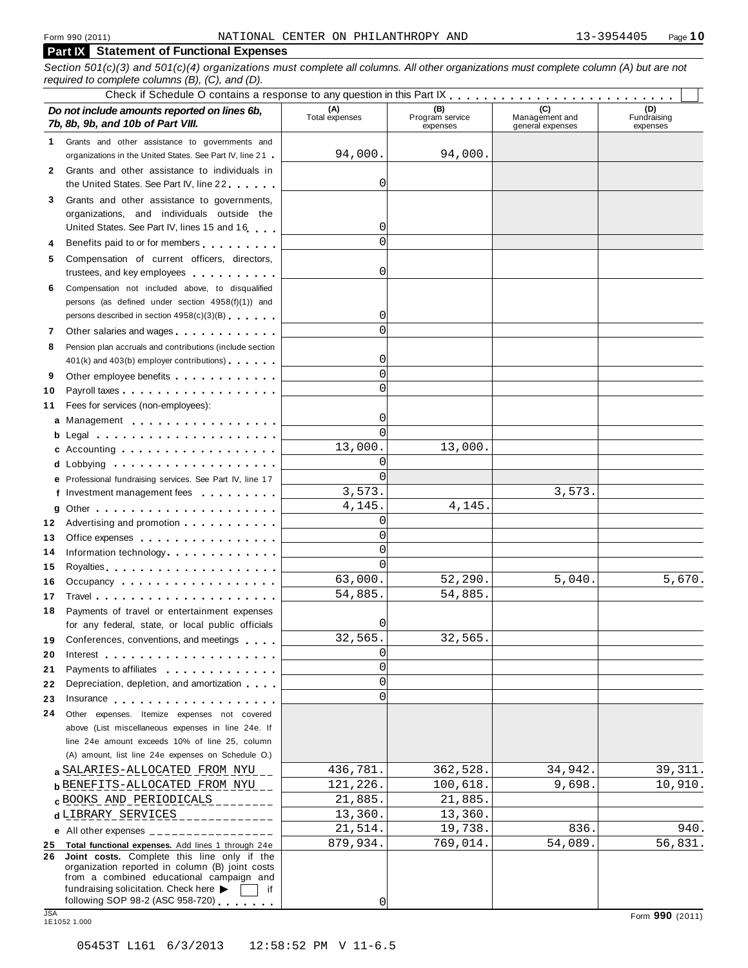## **Part IX Statement of Functional Expenses**

Section 501(c)(3) and 501(c)(4) organizations must complete all columns. All other organizations must complete column (A) but are not

| required to complete columns $(B)$ , $(C)$ , and $(D)$ .                                                                                                                                                                                          |                       |                                    |                                           |                                |
|---------------------------------------------------------------------------------------------------------------------------------------------------------------------------------------------------------------------------------------------------|-----------------------|------------------------------------|-------------------------------------------|--------------------------------|
| Do not include amounts reported on lines 6b,<br>7b, 8b, 9b, and 10b of Part VIII.                                                                                                                                                                 | (A)<br>Total expenses | (B)<br>Program service<br>expenses | (C)<br>Management and<br>general expenses | (D)<br>Fundraising<br>expenses |
| 1 Grants and other assistance to governments and                                                                                                                                                                                                  |                       |                                    |                                           |                                |
| organizations in the United States. See Part IV, line 21                                                                                                                                                                                          | 94,000.               | 94,000.                            |                                           |                                |
| Grants and other assistance to individuals in<br>$\mathbf{2}$                                                                                                                                                                                     |                       |                                    |                                           |                                |
| the United States. See Part IV, line 22.                                                                                                                                                                                                          | 0                     |                                    |                                           |                                |
| Grants and other assistance to governments,<br>3                                                                                                                                                                                                  |                       |                                    |                                           |                                |
| organizations, and individuals outside the                                                                                                                                                                                                        |                       |                                    |                                           |                                |
| United States. See Part IV, lines 15 and 16                                                                                                                                                                                                       | 0l                    |                                    |                                           |                                |
| Benefits paid to or for members<br>4                                                                                                                                                                                                              |                       |                                    |                                           |                                |
| Compensation of current officers, directors,<br>5<br>trustees, and key employees                                                                                                                                                                  | 0l                    |                                    |                                           |                                |
| Compensation not included above, to disqualified<br>6.                                                                                                                                                                                            |                       |                                    |                                           |                                |
| persons (as defined under section 4958(f)(1)) and                                                                                                                                                                                                 |                       |                                    |                                           |                                |
| persons described in section 4958(c)(3)(B)                                                                                                                                                                                                        | 0l                    |                                    |                                           |                                |
| Other salaries and wages<br><br>7                                                                                                                                                                                                                 | $\Omega$              |                                    |                                           |                                |
| Pension plan accruals and contributions (include section<br>8                                                                                                                                                                                     |                       |                                    |                                           |                                |
| 401(k) and 403(b) employer contributions)                                                                                                                                                                                                         | 0l                    |                                    |                                           |                                |
| Other employee benefits<br>9                                                                                                                                                                                                                      | Ωl                    |                                    |                                           |                                |
| 10                                                                                                                                                                                                                                                | $\Omega$              |                                    |                                           |                                |
| Fees for services (non-employees):<br>11                                                                                                                                                                                                          |                       |                                    |                                           |                                |
| a Management                                                                                                                                                                                                                                      | 0l                    |                                    |                                           |                                |
| b Legal experience in the set of the set of the set of the set of the set of the set of the set of the set of the set of the set of the set of the set of the set of the set of the set of the set of the set of the set of th                    | $\Omega$              |                                    |                                           |                                |
| c Accounting $\ldots$ ,                                                                                                                                                                                                                           | 13,000.               | 13,000.                            |                                           |                                |
|                                                                                                                                                                                                                                                   | $\Omega$              |                                    |                                           |                                |
| e Professional fundraising services. See Part IV, line 17                                                                                                                                                                                         | $\Omega$              |                                    |                                           |                                |
| f Investment management fees                                                                                                                                                                                                                      | 3,573.                |                                    | 3,573.                                    |                                |
|                                                                                                                                                                                                                                                   | 4,145.                | 4,145                              |                                           |                                |
| Advertising and promotion <b>contains a state of the state of the state of the state of the state of the state of the state of the state of the state of the state of the state of the state of the state of the state of the st</b><br>12        | $\Omega$              |                                    |                                           |                                |
| 13<br>Office expenses example.                                                                                                                                                                                                                    | $\Omega$              |                                    |                                           |                                |
| Information technology experience and the set of the set of the set of the set of the set of the set of the set of the set of the set of the set of the set of the set of the set of the set of the set of the set of the set<br>14               | $\Omega$              |                                    |                                           |                                |
| 15                                                                                                                                                                                                                                                | $\Omega$              |                                    |                                           |                                |
| Occupancy<br>16.                                                                                                                                                                                                                                  | 63,000.               | 52,290.                            | 5,040.                                    | 5,670.                         |
| Travel <b>Travel</b><br>17                                                                                                                                                                                                                        | 54,885.               | 54,885.                            |                                           |                                |
| Payments of travel or entertainment expenses<br>18                                                                                                                                                                                                |                       |                                    |                                           |                                |
| for any federal, state, or local public officials                                                                                                                                                                                                 | $\Omega$              |                                    |                                           |                                |
| Conferences, conventions, and meetings<br>19                                                                                                                                                                                                      | 32,565.               | 32,565.                            |                                           |                                |
| 20                                                                                                                                                                                                                                                | $\Omega$              |                                    |                                           |                                |
| Payments to affiliates <b>Exercise 20</b><br>21                                                                                                                                                                                                   | $\Omega$              |                                    |                                           |                                |
| Depreciation, depletion, and amortization<br>22                                                                                                                                                                                                   | $\Omega$              |                                    |                                           |                                |
| 23<br>Insurance                                                                                                                                                                                                                                   | $\Omega$              |                                    |                                           |                                |
| Other expenses. Itemize expenses not covered<br>24                                                                                                                                                                                                |                       |                                    |                                           |                                |
| above (List miscellaneous expenses in line 24e. If                                                                                                                                                                                                |                       |                                    |                                           |                                |
| line 24e amount exceeds 10% of line 25, column                                                                                                                                                                                                    |                       |                                    |                                           |                                |
| (A) amount, list line 24e expenses on Schedule O.)                                                                                                                                                                                                |                       |                                    |                                           |                                |
| a SALARIES-ALLOCATED FROM NYU                                                                                                                                                                                                                     | 436,781.              | 362,528.                           | 34,942.                                   | 39, 311.                       |
| <b>b</b> BENEFITS-ALLOCATED FROM NYU                                                                                                                                                                                                              | 121,226.              | 100,618.                           | 9,698.                                    | 10,910.                        |
| <b>c</b> BOOKS AND PERIODICALS                                                                                                                                                                                                                    | 21,885.               | 21,885.                            |                                           |                                |
| d LIBRARY_SERVICES______________                                                                                                                                                                                                                  | 13,360.               | 13,360.                            |                                           |                                |
| e All other expenses $\frac{1}{1}$                                                                                                                                                                                                                | 21,514.               | 19,738.                            | 836.                                      | 940.                           |
| 25 Total functional expenses. Add lines 1 through 24e<br>Joint costs. Complete this line only if the<br>26<br>organization reported in column (B) joint costs<br>from a combined educational campaign and<br>fundraising solicitation. Check here | 879,934.<br>if        | 769,014.                           | 54,089.                                   | 56,831.                        |
| following SOP 98-2 (ASC 958-720) $\overline{\phantom{1}}$                                                                                                                                                                                         | 0l                    |                                    |                                           |                                |
|                                                                                                                                                                                                                                                   |                       |                                    |                                           |                                |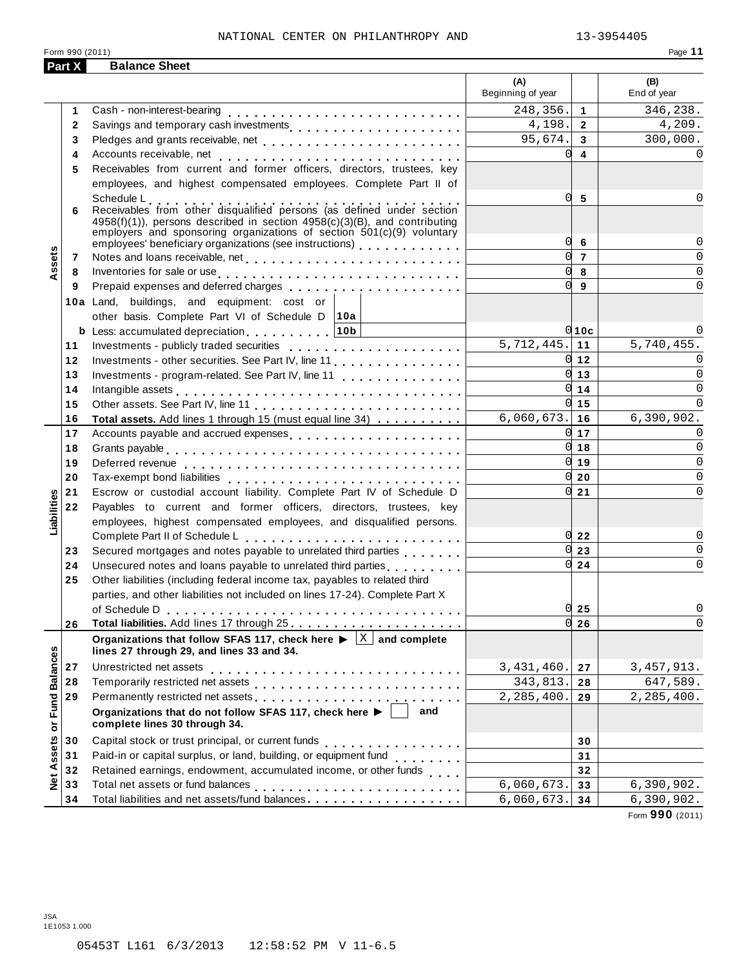#### NATIONAL CENTER ON PHILANTHROPY AND 13-3954405

| Form 990 (2011) | Page<br>. . |
|-----------------|-------------|
|                 |             |

|                      |              |                                                                                                                                                                                                                                                                                                                   | (A)<br>Beginning of year |                                  | (B)<br>End of year |
|----------------------|--------------|-------------------------------------------------------------------------------------------------------------------------------------------------------------------------------------------------------------------------------------------------------------------------------------------------------------------|--------------------------|----------------------------------|--------------------|
|                      | 1            |                                                                                                                                                                                                                                                                                                                   | 248,356.                 | $\mathbf{1}$                     | 346,238.           |
|                      | $\mathbf{2}$ | Savings and temporary cash investments                                                                                                                                                                                                                                                                            | 4,198.                   | $\overline{2}$                   | 4,209.             |
|                      | 3            |                                                                                                                                                                                                                                                                                                                   | 95,674.                  | $\mathbf{3}$                     | 300,000.           |
|                      | 4            |                                                                                                                                                                                                                                                                                                                   | <sup>o</sup>             | $\overline{\mathbf{4}}$          | $\Omega$           |
|                      | 5            | Receivables from current and former officers, directors, trustees, key                                                                                                                                                                                                                                            |                          |                                  |                    |
|                      |              | employees, and highest compensated employees. Complete Part II of                                                                                                                                                                                                                                                 |                          |                                  |                    |
|                      |              |                                                                                                                                                                                                                                                                                                                   | 0l                       | -5                               | 0                  |
|                      | 6            | Schedule L<br>Receivables from other disqualified persons (as defined under section<br>$4958(f)(1)$ , persons described in section $4958(c)(3)(B)$ , and contributing<br>employers and sponsoring organizations of section $501(c)(9)$ voluntary<br>employees' beneficiary organizations (see instructions) [100] | O                        | 6                                | 0                  |
|                      | 7            |                                                                                                                                                                                                                                                                                                                   | <sub>0</sub>             | $\overline{7}$                   | $\mathbf 0$        |
| Assets               | 8            | Inventories for sale or use enterpreteral processes and contact the sale or use of the set of the set of the s                                                                                                                                                                                                    | <sub>0</sub>             | 8                                | $\mathbf 0$        |
|                      | 9            | Prepaid expenses and deferred charges entitled as a set of the set of the set of the set of the set of the set of the set of the set of the set of the set of the set of the set of the set of the set of the set of the set o                                                                                    | <sub>0</sub>             | 9                                | $\mathbf 0$        |
|                      |              | 10a Land, buildings, and equipment: cost or                                                                                                                                                                                                                                                                       |                          |                                  |                    |
|                      |              | other basis. Complete Part VI of Schedule D   10a                                                                                                                                                                                                                                                                 |                          |                                  |                    |
|                      |              | <b>b</b> Less: accumulated depreciation   10b                                                                                                                                                                                                                                                                     |                          | 010c                             | $\Omega$           |
|                      | 11           |                                                                                                                                                                                                                                                                                                                   | $5,712,445.$ 11          |                                  | 5,740,455.         |
|                      | 12           | Investments - other securities. See Part IV, line 11                                                                                                                                                                                                                                                              |                          | $0 \vert 12$                     | $\Omega$           |
|                      | 13           | Investments - program-related. See Part IV, line 11                                                                                                                                                                                                                                                               |                          | $0 \vert 13$                     | $\Omega$           |
|                      | 14           | Intangible assets experience in the contract of the contract of the contract of the contract of the contract of                                                                                                                                                                                                   |                          | $0 \mid 14$                      | $\mathbf 0$        |
|                      | 15           |                                                                                                                                                                                                                                                                                                                   |                          | $0 \vert 15$                     | $\Omega$           |
|                      | 16           | Total assets. Add lines 1 through 15 (must equal line 34)                                                                                                                                                                                                                                                         | $6,060,673.$ 16          |                                  | 6,390,902.         |
|                      | 17           | Accounts payable and accrued expenses                                                                                                                                                                                                                                                                             |                          | $0 \mid 17$                      | $\Omega$           |
|                      | 18           |                                                                                                                                                                                                                                                                                                                   |                          | $0 \vert 18$                     | $\mathbf 0$        |
|                      | 19           |                                                                                                                                                                                                                                                                                                                   |                          | $0 \vert 19$                     | $\mathbf 0$        |
|                      | 20           |                                                                                                                                                                                                                                                                                                                   |                          | $0 \vert 20$                     | $\mathbf 0$        |
|                      | 21           | Escrow or custodial account liability. Complete Part IV of Schedule D                                                                                                                                                                                                                                             |                          | $0 \overline{\smash{\big)}\ 21}$ | $\mathbf 0$        |
| Liabilities          | 22           | Payables to current and former officers, directors, trustees, key                                                                                                                                                                                                                                                 |                          |                                  |                    |
|                      |              | employees, highest compensated employees, and disqualified persons.                                                                                                                                                                                                                                               |                          |                                  |                    |
|                      |              |                                                                                                                                                                                                                                                                                                                   |                          | $0\overline{22}$                 | 0                  |
|                      | 23           | Secured mortgages and notes payable to unrelated third parties                                                                                                                                                                                                                                                    |                          | $0\vert 23$                      | $\mathbf 0$        |
|                      | 24           | Unsecured notes and loans payable to unrelated third parties when we have under                                                                                                                                                                                                                                   |                          | $0 \overline{\smash{\big)}\ 24}$ | $\mathsf{O}$       |
|                      | 25           | Other liabilities (including federal income tax, payables to related third                                                                                                                                                                                                                                        |                          |                                  |                    |
|                      |              | parties, and other liabilities not included on lines 17-24). Complete Part X                                                                                                                                                                                                                                      |                          |                                  |                    |
|                      |              |                                                                                                                                                                                                                                                                                                                   |                          | $0\overline{25}$                 | 0                  |
|                      | 26           |                                                                                                                                                                                                                                                                                                                   |                          | $0 \overline{\smash{\big)}\ 26}$ | 0                  |
| <b>Fund Balances</b> |              | Organizations that follow SFAS 117, check here $\blacktriangleright \boxed{\mathbb{X}}$ and complete<br>lines 27 through 29, and lines 33 and 34.                                                                                                                                                                 |                          |                                  |                    |
|                      | 27           | Unrestricted net assets                                                                                                                                                                                                                                                                                           | 3,431,460.               | 27                               | 3, 457, 913.       |
|                      | 28           |                                                                                                                                                                                                                                                                                                                   | 343,813.                 | 28                               | 647,589.           |
|                      | 29           |                                                                                                                                                                                                                                                                                                                   | 2,285,400.               | 29                               | 2,285,400.         |
|                      |              | Organizations that do not follow SFAS 117, check here $\blacktriangleright$ $\parallel$<br>and<br>complete lines 30 through 34.                                                                                                                                                                                   |                          |                                  |                    |
|                      | 30           |                                                                                                                                                                                                                                                                                                                   |                          | 30                               |                    |
| Assets or            | 31           | Paid-in or capital surplus, or land, building, or equipment fund<br>.                                                                                                                                                                                                                                             |                          | 31                               |                    |
|                      | 32           | Retained earnings, endowment, accumulated income, or other funds                                                                                                                                                                                                                                                  |                          | 32                               |                    |
| Net                  | 33           |                                                                                                                                                                                                                                                                                                                   | 6,060,673.               | 33                               | 6,390,902.         |
|                      | 34           | Total liabilities and net assets/fund balances                                                                                                                                                                                                                                                                    | 6,060,673.               | 34                               | 6,390,902.         |

Form **990** (2011)

JSA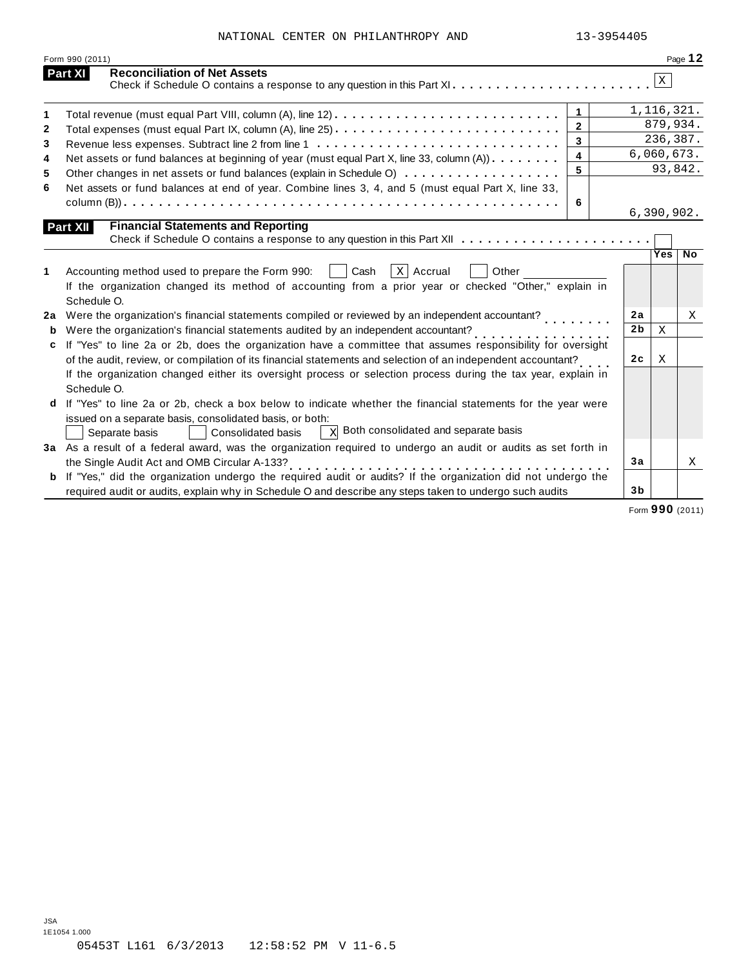NATIONAL CENTER ON PHILANTHROPY AND 13-3954405

| Form 990 (2011)                                                                                                                                                                                                       |                 |              | Page 12        |
|-----------------------------------------------------------------------------------------------------------------------------------------------------------------------------------------------------------------------|-----------------|--------------|----------------|
| <b>Reconciliation of Net Assets</b><br>Part XI                                                                                                                                                                        |                 | $\mathbf{X}$ |                |
| $\mathbf{1}$                                                                                                                                                                                                          |                 | 1, 116, 321. |                |
| $\overline{2}$                                                                                                                                                                                                        |                 | 879,934.     |                |
| $\overline{\mathbf{3}}$                                                                                                                                                                                               |                 |              | 236,387.       |
| $\overline{4}$<br>Net assets or fund balances at beginning of year (must equal Part X, line 33, column (A))                                                                                                           |                 | 6,060,673.   |                |
| 5                                                                                                                                                                                                                     |                 | 93,842.      |                |
| Net assets or fund balances at end of year. Combine lines 3, 4, and 5 (must equal Part X, line 33,                                                                                                                    |                 |              |                |
| 6                                                                                                                                                                                                                     |                 | 6,390,902.   |                |
| <b>Financial Statements and Reporting</b><br>Part XII                                                                                                                                                                 |                 |              |                |
|                                                                                                                                                                                                                       |                 |              |                |
|                                                                                                                                                                                                                       |                 | Yes          | N <sub>o</sub> |
| $X$ Accrual<br>Accounting method used to prepare the Form 990:<br>Cash<br>Other                                                                                                                                       |                 |              |                |
| If the organization changed its method of accounting from a prior year or checked "Other," explain in                                                                                                                 |                 |              |                |
| Schedule O.                                                                                                                                                                                                           |                 |              |                |
| Were the organization's financial statements compiled or reviewed by an independent accountant?<br>2a                                                                                                                 | 2a              |              | X              |
| Were the organization's financial statements audited by an independent accountant?<br>b<br>.                                                                                                                          | $\overline{2b}$ | $\mathbf X$  |                |
| If "Yes" to line 2a or 2b, does the organization have a committee that assumes responsibility for oversight<br>c                                                                                                      |                 |              |                |
| of the audit, review, or compilation of its financial statements and selection of an independent accountant?                                                                                                          | 2 <sub>c</sub>  | X            |                |
| If the organization changed either its oversight process or selection process during the tax year, explain in                                                                                                         |                 |              |                |
| Schedule O.                                                                                                                                                                                                           |                 |              |                |
| If "Yes" to line 2a or 2b, check a box below to indicate whether the financial statements for the year were<br>d                                                                                                      |                 |              |                |
| issued on a separate basis, consolidated basis, or both:                                                                                                                                                              |                 |              |                |
| $\overline{\mathbf{x}}$ Both consolidated and separate basis<br><b>Consolidated basis</b><br>Separate basis                                                                                                           |                 |              |                |
| 3a As a result of a federal award, was the organization required to undergo an audit or audits as set forth in                                                                                                        |                 |              |                |
| the Single Audit Act and OMB Circular A-133?<br>the Single Audit Act and OMB Circular A-133?<br><b>b</b> If "Yes," did the organization undergo the required audit or audits? If the organization did not undergo the | 3a              |              | X              |
|                                                                                                                                                                                                                       |                 |              |                |
|                                                                                                                                                                                                                       | 3 <sub>b</sub>  |              |                |

Form **990** (2011)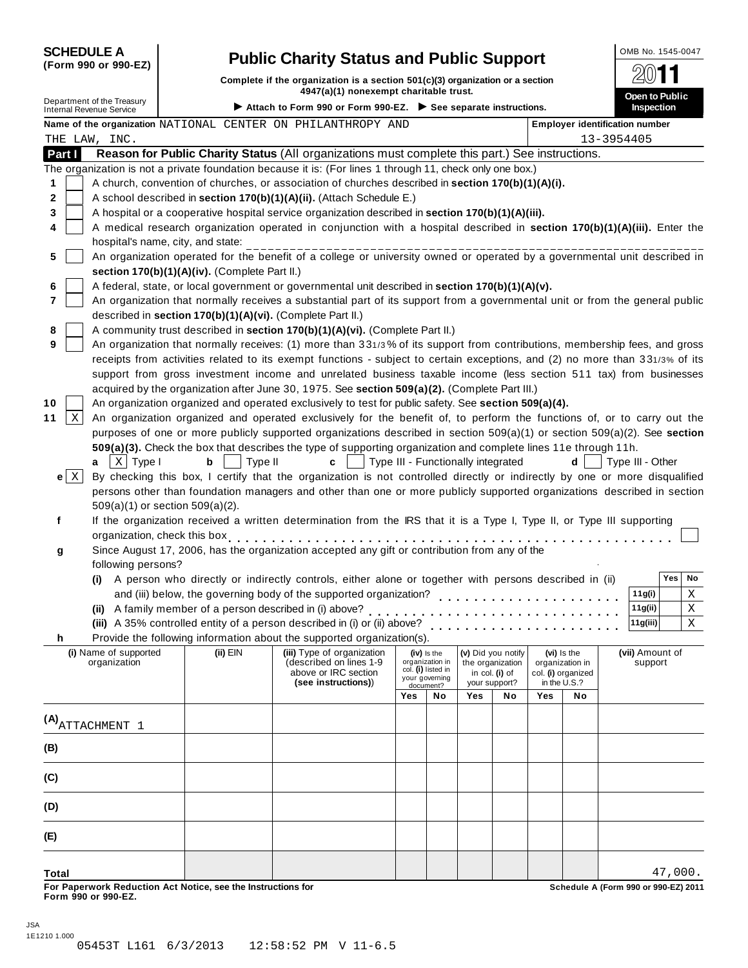#### **(Form 990 or 990-EZ)**

# **Public Charity Status and Public Support** <br> **Examples if the examination is a section 504(a)(3) examination as a section**

**Complete if the organization is a section 501(c)(3) organization or a section**  $\frac{1}{20}$  **different control of the control of the control of the control of the control of the control of the control of the control of the control of the control of the control of the control of the control of the cont** 

Department of the Treasury **Department of the Treasury and Department of the Treasury Department of the Treasury Department of the Treasury Department of the Treasury Attach to Form 990 or Form 990-EZ. ▶ See separate inst** 

|                       |                                   |                                                                      | <b>Name of the organization</b> NATIONAL  CENTER  ON  PHILANTHROPY  AND                                                      |            |                                |                                    |                    |                    | <b>Employer identification number</b> |            |                  |         |    |
|-----------------------|-----------------------------------|----------------------------------------------------------------------|------------------------------------------------------------------------------------------------------------------------------|------------|--------------------------------|------------------------------------|--------------------|--------------------|---------------------------------------|------------|------------------|---------|----|
| THE LAW, INC.         |                                   |                                                                      |                                                                                                                              |            |                                |                                    |                    |                    |                                       | 13-3954405 |                  |         |    |
| Part I                |                                   |                                                                      | Reason for Public Charity Status (All organizations must complete this part.) See instructions.                              |            |                                |                                    |                    |                    |                                       |            |                  |         |    |
|                       |                                   |                                                                      | The organization is not a private foundation because it is: (For lines 1 through 11, check only one box.)                    |            |                                |                                    |                    |                    |                                       |            |                  |         |    |
| 1                     |                                   |                                                                      | A church, convention of churches, or association of churches described in section 170(b)(1)(A)(i).                           |            |                                |                                    |                    |                    |                                       |            |                  |         |    |
| 2                     |                                   | A school described in section 170(b)(1)(A)(ii). (Attach Schedule E.) |                                                                                                                              |            |                                |                                    |                    |                    |                                       |            |                  |         |    |
| 3                     |                                   |                                                                      | A hospital or a cooperative hospital service organization described in section 170(b)(1)(A)(iii).                            |            |                                |                                    |                    |                    |                                       |            |                  |         |    |
| 4                     |                                   |                                                                      | A medical research organization operated in conjunction with a hospital described in section 170(b)(1)(A)(iii). Enter the    |            |                                |                                    |                    |                    |                                       |            |                  |         |    |
|                       | hospital's name, city, and state: |                                                                      |                                                                                                                              |            |                                |                                    |                    |                    |                                       |            |                  |         |    |
| 5                     |                                   |                                                                      | An organization operated for the benefit of a college or university owned or operated by a governmental unit described in    |            |                                |                                    |                    |                    |                                       |            |                  |         |    |
|                       |                                   | section 170(b)(1)(A)(iv). (Complete Part II.)                        |                                                                                                                              |            |                                |                                    |                    |                    |                                       |            |                  |         |    |
| 6                     |                                   |                                                                      | A federal, state, or local government or governmental unit described in section 170(b)(1)(A)(v).                             |            |                                |                                    |                    |                    |                                       |            |                  |         |    |
| 7                     |                                   |                                                                      | An organization that normally receives a substantial part of its support from a governmental unit or from the general public |            |                                |                                    |                    |                    |                                       |            |                  |         |    |
|                       |                                   |                                                                      | described in section 170(b)(1)(A)(vi). (Complete Part II.)                                                                   |            |                                |                                    |                    |                    |                                       |            |                  |         |    |
| 8                     |                                   |                                                                      | A community trust described in section 170(b)(1)(A)(vi). (Complete Part II.)                                                 |            |                                |                                    |                    |                    |                                       |            |                  |         |    |
| 9                     |                                   |                                                                      | An organization that normally receives: (1) more than 331/3% of its support from contributions, membership fees, and gross   |            |                                |                                    |                    |                    |                                       |            |                  |         |    |
|                       |                                   |                                                                      | receipts from activities related to its exempt functions - subject to certain exceptions, and (2) no more than 331/3% of its |            |                                |                                    |                    |                    |                                       |            |                  |         |    |
|                       |                                   |                                                                      | support from gross investment income and unrelated business taxable income (less section 511 tax) from businesses            |            |                                |                                    |                    |                    |                                       |            |                  |         |    |
|                       |                                   |                                                                      | acquired by the organization after June 30, 1975. See section 509(a)(2). (Complete Part III.)                                |            |                                |                                    |                    |                    |                                       |            |                  |         |    |
| 10                    |                                   |                                                                      | An organization organized and operated exclusively to test for public safety. See section 509(a)(4).                         |            |                                |                                    |                    |                    |                                       |            |                  |         |    |
| Χ<br>11               |                                   |                                                                      | An organization organized and operated exclusively for the benefit of, to perform the functions of, or to carry out the      |            |                                |                                    |                    |                    |                                       |            |                  |         |    |
|                       |                                   |                                                                      | purposes of one or more publicly supported organizations described in section 509(a)(1) or section 509(a)(2). See section    |            |                                |                                    |                    |                    |                                       |            |                  |         |    |
|                       |                                   |                                                                      | 509(a)(3). Check the box that describes the type of supporting organization and complete lines 11e through 11h.              |            |                                |                                    |                    |                    |                                       |            |                  |         |    |
| a                     | $x$ Type I                        | b<br>Type II                                                         | C                                                                                                                            |            |                                | Type III - Functionally integrated |                    |                    | d                                     |            | Type III - Other |         |    |
| $e \mid X$            |                                   |                                                                      | By checking this box, I certify that the organization is not controlled directly or indirectly by one or more disqualified   |            |                                |                                    |                    |                    |                                       |            |                  |         |    |
|                       |                                   |                                                                      | persons other than foundation managers and other than one or more publicly supported organizations described in section      |            |                                |                                    |                    |                    |                                       |            |                  |         |    |
|                       | 509(a)(1) or section 509(a)(2).   |                                                                      |                                                                                                                              |            |                                |                                    |                    |                    |                                       |            |                  |         |    |
| f                     |                                   |                                                                      | If the organization received a written determination from the IRS that it is a Type I, Type II, or Type III supporting       |            |                                |                                    |                    |                    |                                       |            |                  |         |    |
|                       | organization, check this box      |                                                                      |                                                                                                                              |            |                                |                                    |                    |                    |                                       |            |                  |         |    |
| g                     |                                   |                                                                      | Since August 17, 2006, has the organization accepted any gift or contribution from any of the                                |            |                                |                                    |                    |                    |                                       |            |                  |         |    |
|                       | following persons?                |                                                                      |                                                                                                                              |            |                                |                                    |                    |                    |                                       |            |                  |         |    |
|                       |                                   |                                                                      | (i) A person who directly or indirectly controls, either alone or together with persons described in (ii)                    |            |                                |                                    |                    |                    |                                       |            |                  | Yes     | No |
|                       |                                   |                                                                      |                                                                                                                              |            |                                |                                    |                    |                    |                                       |            | 11g(i)           |         | X  |
|                       |                                   |                                                                      | (ii) A family member of a person described in (i) above?                                                                     |            |                                | .                                  |                    |                    |                                       |            | 11g(ii)          |         | X  |
|                       |                                   |                                                                      | (iii) A 35% controlled entity of a person described in (i) or (ii) above?                                                    |            |                                | .                                  |                    |                    |                                       |            | 11g(iii)         |         | X  |
| h                     |                                   |                                                                      | Provide the following information about the supported organization(s).                                                       |            |                                |                                    |                    |                    |                                       |            |                  |         |    |
| (i) Name of supported |                                   | (ii) EIN                                                             | (iii) Type of organization<br>(described on lines 1-9                                                                        |            | (iv) is the<br>organization in |                                    | (v) Did you notify |                    | (vi) Is the                           |            | (vii) Amount of  |         |    |
| organization          |                                   |                                                                      | above or IRC section                                                                                                         |            | col. (i) listed in             | the organization                   | in col. (i) of     | col. (i) organized | organization in                       |            | support          |         |    |
|                       |                                   |                                                                      | (see instructions))                                                                                                          |            | your governing<br>document?    | your support?                      |                    | in the U.S.?       |                                       |            |                  |         |    |
|                       |                                   |                                                                      |                                                                                                                              | <b>Yes</b> | No                             | <b>Yes</b>                         | No                 | Yes                | No                                    |            |                  |         |    |
|                       |                                   |                                                                      |                                                                                                                              |            |                                |                                    |                    |                    |                                       |            |                  |         |    |
| $(A)$ ATTACHMENT 1    |                                   |                                                                      |                                                                                                                              |            |                                |                                    |                    |                    |                                       |            |                  |         |    |
|                       |                                   |                                                                      |                                                                                                                              |            |                                |                                    |                    |                    |                                       |            |                  |         |    |
| (B)                   |                                   |                                                                      |                                                                                                                              |            |                                |                                    |                    |                    |                                       |            |                  |         |    |
|                       |                                   |                                                                      |                                                                                                                              |            |                                |                                    |                    |                    |                                       |            |                  |         |    |
| (C)                   |                                   |                                                                      |                                                                                                                              |            |                                |                                    |                    |                    |                                       |            |                  |         |    |
|                       |                                   |                                                                      |                                                                                                                              |            |                                |                                    |                    |                    |                                       |            |                  |         |    |
| (D)                   |                                   |                                                                      |                                                                                                                              |            |                                |                                    |                    |                    |                                       |            |                  |         |    |
|                       |                                   |                                                                      |                                                                                                                              |            |                                |                                    |                    |                    |                                       |            |                  |         |    |
| (E)                   |                                   |                                                                      |                                                                                                                              |            |                                |                                    |                    |                    |                                       |            |                  |         |    |
|                       |                                   |                                                                      |                                                                                                                              |            |                                |                                    |                    |                    |                                       |            |                  |         |    |
| <b>Total</b>          |                                   |                                                                      |                                                                                                                              |            |                                |                                    |                    |                    |                                       |            |                  | 47,000. |    |

For Paperwork Reduction Act Notice, see the Instructions for the controlled and the controlled Schedule A (Form 990 or 990-EZ) 2011<br>Form 990 or 990-EZ.

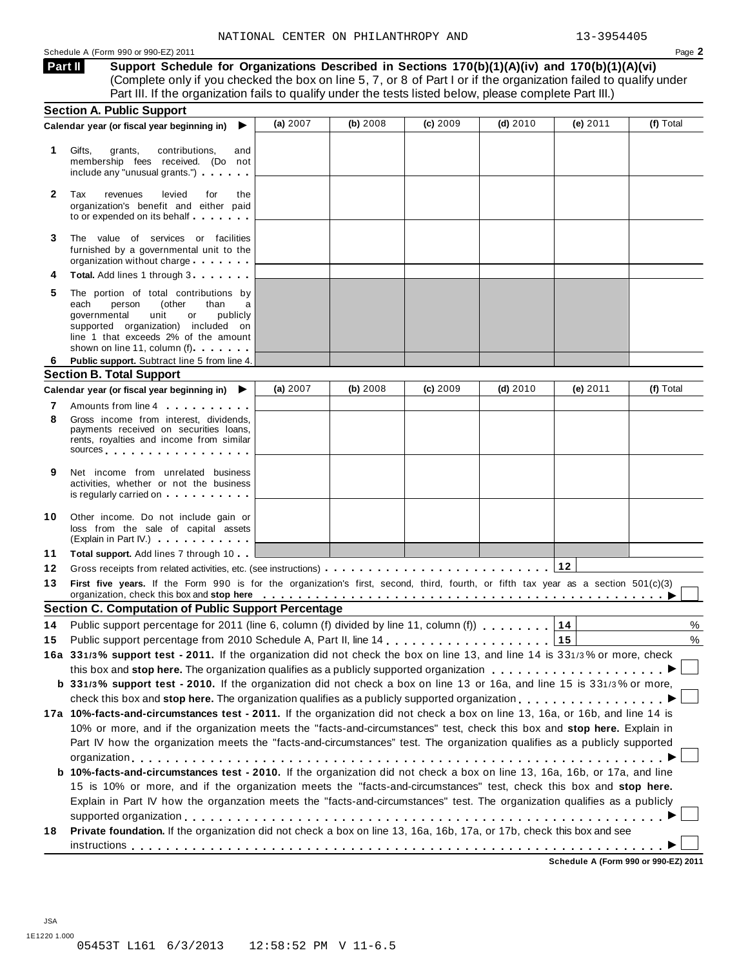**Support Schedule for Organizations Described in Sections 170(b)(1)(A)(iv) and 170(b)(1)(A)(vi)** (Complete only if you checked the box on line 5, 7, or 8 of Part I or if the organization failed to qualify under Part III. If the organization fails to qualify under the tests listed below, please complete Part III.) **Part II**

|              | <b>Section A. Public Support</b>                                                                                                                                                                                                                                                                                                                                     |          |          |          |            |            |           |
|--------------|----------------------------------------------------------------------------------------------------------------------------------------------------------------------------------------------------------------------------------------------------------------------------------------------------------------------------------------------------------------------|----------|----------|----------|------------|------------|-----------|
|              | Calendar year (or fiscal year beginning in)<br>▶                                                                                                                                                                                                                                                                                                                     | (a) 2007 | (b) 2008 | (c) 2009 | $(d)$ 2010 | (e) $2011$ | (f) Total |
| 1            | Gifts,<br>contributions,<br>grants,<br>and<br>membership fees received. (Do not<br>include any "unusual grants.")                                                                                                                                                                                                                                                    |          |          |          |            |            |           |
| $\mathbf{2}$ | Tax<br>revenues<br>levied<br>for<br>the<br>organization's benefit and either paid<br>to or expended on its behalf                                                                                                                                                                                                                                                    |          |          |          |            |            |           |
| 3            | The value of services or facilities<br>furnished by a governmental unit to the<br>organization without charge                                                                                                                                                                                                                                                        |          |          |          |            |            |           |
|              | Total. Add lines 1 through 3                                                                                                                                                                                                                                                                                                                                         |          |          |          |            |            |           |
| 5            | The portion of total contributions by<br>(other<br>than<br>each<br>person<br>governmental<br>unit<br>or<br>publicly<br>supported organization) included on<br>line 1 that exceeds 2% of the amount<br>shown on line 11, column (f)                                                                                                                                   |          |          |          |            |            |           |
| 6            | Public support. Subtract line 5 from line 4.                                                                                                                                                                                                                                                                                                                         |          |          |          |            |            |           |
|              | <b>Section B. Total Support</b>                                                                                                                                                                                                                                                                                                                                      |          |          |          |            |            |           |
|              | Calendar year (or fiscal year beginning in) $\blacktriangleright$                                                                                                                                                                                                                                                                                                    | (a) 2007 | (b) 2008 | (c) 2009 | $(d)$ 2010 | (e) 2011   | (f) Total |
| 7            | Amounts from line 4                                                                                                                                                                                                                                                                                                                                                  |          |          |          |            |            |           |
| 8            | Gross income from interest, dividends,<br>payments received on securities loans,<br>rents, royalties and income from similar<br>sources and the set of the set of the set of the set of the set of the set of the set of the set of the set of                                                                                                                       |          |          |          |            |            |           |
| 9            | Net income from unrelated business<br>activities, whether or not the business<br>is regularly carried on each property of the set of the set of the set of the set of the set of the set of the                                                                                                                                                                      |          |          |          |            |            |           |
| 10           | Other income. Do not include gain or<br>loss from the sale of capital assets<br>(Explain in Part IV.)                                                                                                                                                                                                                                                                |          |          |          |            |            |           |
| 11           | <b>Total support.</b> Add lines 7 through 10                                                                                                                                                                                                                                                                                                                         |          |          |          |            |            |           |
| 12           | Gross receipts from related activities, etc. (see instructions)                                                                                                                                                                                                                                                                                                      |          |          |          |            | $12$       |           |
| 13           | First five years. If the Form 990 is for the organization's first, second, third, fourth, or fifth tax year as a section 501(c)(3)<br>organization, check this box and stop here enterpretation of the state of the state of the state of the state of the state of the state of the state of the state of the state of the state of the state of the state of the s |          |          |          |            |            |           |
|              |                                                                                                                                                                                                                                                                                                                                                                      |          |          |          |            |            |           |
|              | <b>Section C. Computation of Public Support Percentage</b>                                                                                                                                                                                                                                                                                                           |          |          |          |            |            |           |
| 14           | Public support percentage for 2011 (line 6, column (f) divided by line 11, column (f)                                                                                                                                                                                                                                                                                |          |          |          |            | 14         | %         |
| 15           |                                                                                                                                                                                                                                                                                                                                                                      |          |          |          |            | 15         | %         |
|              | 16a 331/3% support test - 2011. If the organization did not check the box on line 13, and line 14 is 331/3% or more, check                                                                                                                                                                                                                                           |          |          |          |            |            |           |
|              |                                                                                                                                                                                                                                                                                                                                                                      |          |          |          |            |            |           |
|              | b 331/3% support test - 2010. If the organization did not check a box on line 13 or 16a, and line 15 is 331/3% or more,                                                                                                                                                                                                                                              |          |          |          |            |            |           |
|              |                                                                                                                                                                                                                                                                                                                                                                      |          |          |          |            |            |           |
|              | 17a 10%-facts-and-circumstances test - 2011. If the organization did not check a box on line 13, 16a, or 16b, and line 14 is                                                                                                                                                                                                                                         |          |          |          |            |            |           |
|              | 10% or more, and if the organization meets the "facts-and-circumstances" test, check this box and stop here. Explain in                                                                                                                                                                                                                                              |          |          |          |            |            |           |
|              | Part IV how the organization meets the "facts-and-circumstances" test. The organization qualifies as a publicly supported                                                                                                                                                                                                                                            |          |          |          |            |            |           |
|              |                                                                                                                                                                                                                                                                                                                                                                      |          |          |          |            |            |           |
|              | b 10%-facts-and-circumstances test - 2010. If the organization did not check a box on line 13, 16a, 16b, or 17a, and line                                                                                                                                                                                                                                            |          |          |          |            |            |           |
|              | 15 is 10% or more, and if the organization meets the "facts-and-circumstances" test, check this box and stop here.                                                                                                                                                                                                                                                   |          |          |          |            |            |           |
|              | Explain in Part IV how the organzation meets the "facts-and-circumstances" test. The organization qualifies as a publicly                                                                                                                                                                                                                                            |          |          |          |            |            |           |
| 18           | Private foundation. If the organization did not check a box on line 13, 16a, 16b, 17a, or 17b, check this box and see                                                                                                                                                                                                                                                |          |          |          |            |            |           |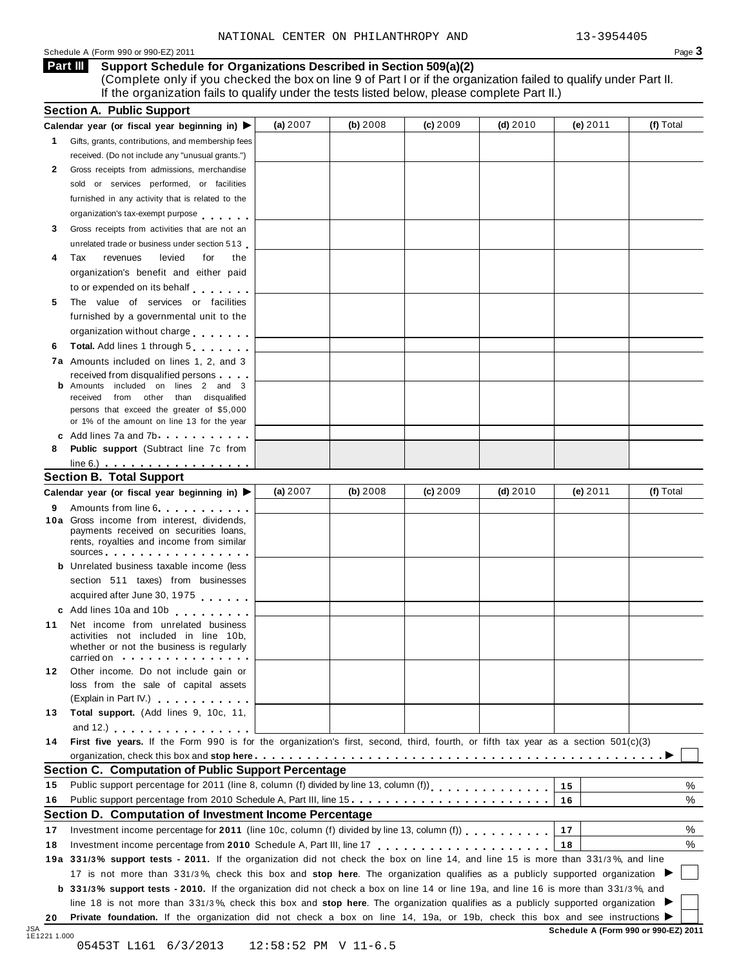#### Schedule <sup>A</sup> (Form <sup>990</sup> or 990-EZ) <sup>2011</sup> Page **3**

**Support Schedule for Organizations Described in Section 509(a)(2) Part III**

(Complete only if you checked the box on line 9 of Part I or if the organization failed to qualify under Part II. If the organization fails to qualify under the tests listed below, please complete Part II.)

|              | Calendar year (or fiscal year beginning in) $\blacktriangleright$                                                                                                                                                              | (a) 2007   | (b) 2008 | (c) 2009 | $(d)$ 2010 | (e) 2011 | (f) Total |
|--------------|--------------------------------------------------------------------------------------------------------------------------------------------------------------------------------------------------------------------------------|------------|----------|----------|------------|----------|-----------|
| $\mathbf{1}$ | Gifts, grants, contributions, and membership fees                                                                                                                                                                              |            |          |          |            |          |           |
|              | received. (Do not include any "unusual grants.")                                                                                                                                                                               |            |          |          |            |          |           |
| $\mathbf{2}$ | Gross receipts from admissions, merchandise                                                                                                                                                                                    |            |          |          |            |          |           |
|              | sold or services performed, or facilities                                                                                                                                                                                      |            |          |          |            |          |           |
|              | furnished in any activity that is related to the                                                                                                                                                                               |            |          |          |            |          |           |
|              | organization's tax-exempt purpose                                                                                                                                                                                              |            |          |          |            |          |           |
| 3            | Gross receipts from activities that are not an                                                                                                                                                                                 |            |          |          |            |          |           |
|              | unrelated trade or business under section 513                                                                                                                                                                                  |            |          |          |            |          |           |
| Tax<br>4     | revenues<br>levied<br>for<br>the                                                                                                                                                                                               |            |          |          |            |          |           |
|              | organization's benefit and either paid                                                                                                                                                                                         |            |          |          |            |          |           |
|              | to or expended on its behalf                                                                                                                                                                                                   |            |          |          |            |          |           |
| 5            | The value of services or facilities                                                                                                                                                                                            |            |          |          |            |          |           |
|              | furnished by a governmental unit to the                                                                                                                                                                                        |            |          |          |            |          |           |
|              | organization without charge                                                                                                                                                                                                    |            |          |          |            |          |           |
| 6            | Total. Add lines 1 through 5                                                                                                                                                                                                   |            |          |          |            |          |           |
|              | 7a Amounts included on lines 1, 2, and 3                                                                                                                                                                                       |            |          |          |            |          |           |
|              | received from disqualified persons                                                                                                                                                                                             |            |          |          |            |          |           |
|              | <b>b</b> Amounts included on lines 2 and 3<br>received from other than disqualified                                                                                                                                            |            |          |          |            |          |           |
|              | persons that exceed the greater of \$5,000                                                                                                                                                                                     |            |          |          |            |          |           |
|              | or 1% of the amount on line 13 for the year                                                                                                                                                                                    |            |          |          |            |          |           |
|              | c Add lines 7a and 7b                                                                                                                                                                                                          |            |          |          |            |          |           |
| 8            | <b>Public support</b> (Subtract line 7c from                                                                                                                                                                                   |            |          |          |            |          |           |
|              | $line 6.)$                                                                                                                                                                                                                     |            |          |          |            |          |           |
|              | <b>Section B. Total Support</b>                                                                                                                                                                                                |            |          |          |            |          |           |
|              | Calendar year (or fiscal year beginning in)                                                                                                                                                                                    | (a) $2007$ | (b) 2008 | (c) 2009 | $(d)$ 2010 | (e) 2011 | (f) Total |
| 9            | Amounts from line 6.                                                                                                                                                                                                           |            |          |          |            |          |           |
|              | 10a Gross income from interest, dividends,<br>payments received on securities loans,                                                                                                                                           |            |          |          |            |          |           |
|              | rents, royalties and income from similar                                                                                                                                                                                       |            |          |          |            |          |           |
|              | sources                                                                                                                                                                                                                        |            |          |          |            |          |           |
|              | <b>b</b> Unrelated business taxable income (less                                                                                                                                                                               |            |          |          |            |          |           |
|              | section 511 taxes) from businesses                                                                                                                                                                                             |            |          |          |            |          |           |
|              | acquired after June 30, 1975                                                                                                                                                                                                   |            |          |          |            |          |           |
|              | c Add lines 10a and 10b                                                                                                                                                                                                        |            |          |          |            |          |           |
| 11           | Net income from unrelated business                                                                                                                                                                                             |            |          |          |            |          |           |
|              | activities not included in line 10b,<br>whether or not the business is regularly                                                                                                                                               |            |          |          |            |          |           |
|              | carried on entry and the set of the set of the set of the set of the set of the set of the set of the set of the set of the set of the set of the set of the set of the set of the set of the set of the set of the set of the |            |          |          |            |          |           |
| 12           | Other income. Do not include gain or                                                                                                                                                                                           |            |          |          |            |          |           |
|              | loss from the sale of capital assets                                                                                                                                                                                           |            |          |          |            |          |           |
|              | (Explain in Part IV.) <b>CONTAINS</b>                                                                                                                                                                                          |            |          |          |            |          |           |
| 13           | Total support. (Add lines 9, 10c, 11,                                                                                                                                                                                          |            |          |          |            |          |           |
|              | and 12.) $\cdots$ $\cdots$ $\cdots$ $\cdots$ $\cdots$                                                                                                                                                                          |            |          |          |            |          |           |
| 14           | First five years. If the Form 990 is for the organization's first, second, third, fourth, or fifth tax year as a section 501(c)(3)                                                                                             |            |          |          |            |          |           |
|              |                                                                                                                                                                                                                                |            |          |          |            |          |           |
|              | Section C. Computation of Public Support Percentage                                                                                                                                                                            |            |          |          |            |          |           |
| 15           | Public support percentage for 2011 (line 8, column (f) divided by line 13, column (f)) [ ] [ ] [ ] [ ] [ ] [ ] [ ] [                                                                                                           |            |          |          |            | 15       | %         |
| 16           | Public support percentage from 2010 Schedule A, Part III, line 15.                                                                                                                                                             |            |          |          |            | 16       | %         |
|              | Section D. Computation of Investment Income Percentage                                                                                                                                                                         |            |          |          |            |          |           |
| 17           | Investment income percentage for 2011 (line 10c, column (f) divided by line 13, column (f)) $\ldots$ ,,,,,,,,                                                                                                                  |            |          |          |            | 17       | %         |
| 18           |                                                                                                                                                                                                                                |            |          |          |            | 18       | %         |
|              | 19a 331/3% support tests - 2011. If the organization did not check the box on line 14, and line 15 is more than 331/3%, and line                                                                                               |            |          |          |            |          |           |
|              | 17 is not more than 331/3%, check this box and stop here. The organization qualifies as a publicly supported organization                                                                                                      |            |          |          |            |          |           |
|              | b 331/3% support tests - 2010. If the organization did not check a box on line 14 or line 19a, and line 16 is more than 331/3%, and                                                                                            |            |          |          |            |          |           |
|              | line 18 is not more than 331/3%, check this box and stop here. The organization qualifies as a publicly supported organization                                                                                                 |            |          |          |            |          |           |
| 20           | Private foundation. If the organization did not check a box on line 14, 19a, or 19b, check this box and see instructions                                                                                                       |            |          |          |            |          |           |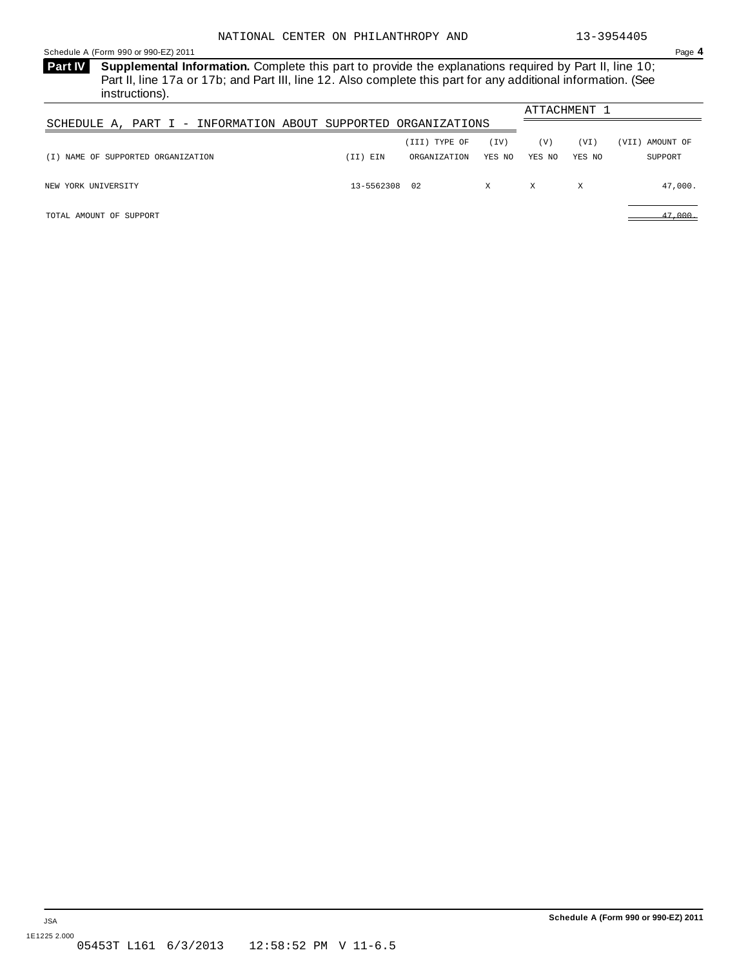<span id="page-15-0"></span>**Supplemental Information.** Complete this part to provide the explanations required by Part II, line 10; **Part IV** Part II, line 17a or 17b; and Part III, line 12. Also complete this part for any additional information. (See instructions).

|                                                                |            |               |        | ATTACHMENT 1 |        |                    |  |
|----------------------------------------------------------------|------------|---------------|--------|--------------|--------|--------------------|--|
| SCHEDULE A, PART I - INFORMATION ABOUT SUPPORTED ORGANIZATIONS |            |               |        |              |        |                    |  |
|                                                                |            | (III) TYPE OF | (TV)   | (V)          | (VI)   | AMOUNT OF<br>(VII) |  |
| (I) NAME OF SUPPORTED ORGANIZATION                             | (II) EIN   | ORGANIZATION  | YES NO | YES NO       | YES NO | SUPPORT            |  |
|                                                                |            |               |        |              |        |                    |  |
| NEW YORK UNIVERSITY                                            | 13-5562308 | 02            | X      | X            | X      | 47,000.            |  |
|                                                                |            |               |        |              |        |                    |  |
| TOTAL AMOUNT OF SUPPORT                                        |            |               |        |              |        | 47,000.            |  |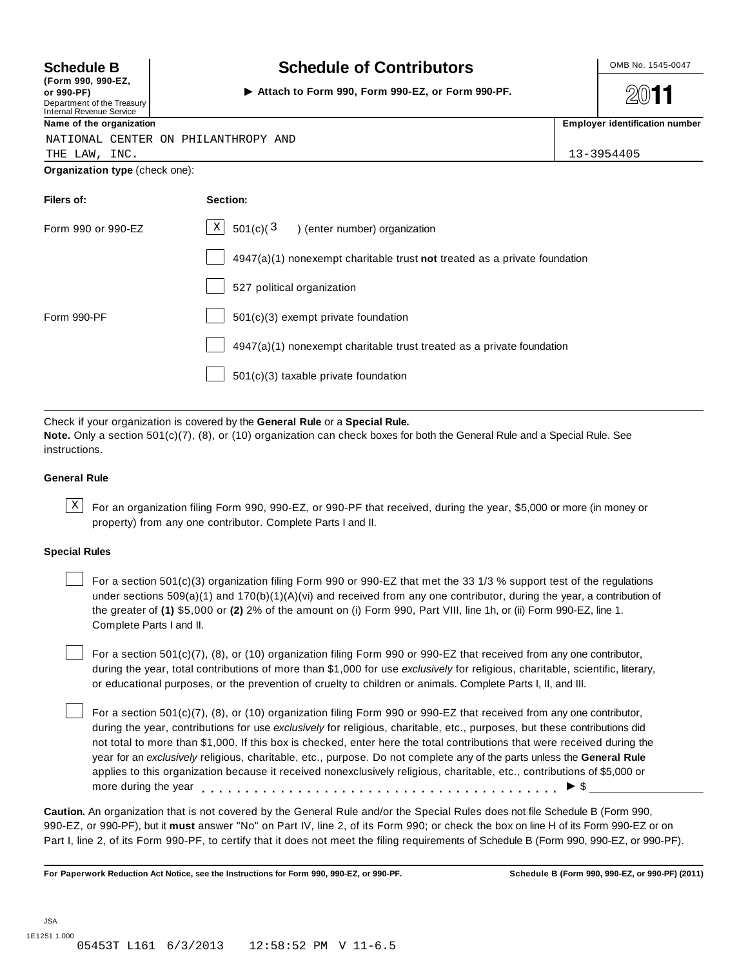**(Form 990, 990-EZ, or9 -P ) or 990-PF)**<br>Department of the Treasury Internal Revenue Service

## **Schedule B**  $\begin{array}{c|c|c|c|c} \hline \textbf{S} & \textbf{S} & \textbf{S} \\ \hline \end{array}$  **Schedule of Contributors**  $\begin{array}{c|c|c} \hline \textbf{S} & \textbf{S} & \textbf{S} & \textbf{S} & \textbf{S} & \textbf{S} & \textbf{S} & \textbf{S} & \textbf{S} & \textbf{S} & \textbf{S} & \textbf{S} & \textbf{S} & \textbf{S} & \textbf{S} & \textbf{S} & \textbf{S$

I **Attach to Form 990, Form 990-EZ, or Form 990-PF.**

**2011** 

**Name of the organization interval <b>Employer identification interval <b>Employer identification interval Employer identification interval employer identification interval** 

NATIONAL CENTER ON PHILANTHROPY AND

THE LAW, INC. 13-3954405

**Organization type** (check one):

| Filers of:         | Section:                                                                    |
|--------------------|-----------------------------------------------------------------------------|
| Form 990 or 990-EZ | $X \mid 501(c)(3)$ (enter number) organization                              |
|                    | $4947(a)(1)$ nonexempt charitable trust not treated as a private foundation |
|                    | 527 political organization                                                  |
| Form 990-PF        | $501(c)(3)$ exempt private foundation                                       |
|                    | 4947(a)(1) nonexempt charitable trust treated as a private foundation       |
|                    | $501(c)(3)$ taxable private foundation                                      |
|                    |                                                                             |

Check if your organization is covered by the **General Rule** or a **Special Rule.**

**Note.** Only a section 501(c)(7), (8), or (10) organization can check boxes for both the General Rule and a Special Rule. See instructions.

#### **General Rule**

 $\text{X}$  For an organization filing Form 990, 990-EZ, or 990-PF that received, during the year, \$5,000 or more (in money or property) from any one contributor. Complete Parts I and II.

#### **Special Rules**

For a section 501(c)(3) organization filing Form 990 or 990-EZ that met the 33 1/3 % support test of the regulations under sections 509(a)(1) and 170(b)(1)(A)(vi) and received from any one contributor, during the year, a contribution of the greater of **(1)** \$5,000 or **(2)** 2% of the amount on (i) Form 990, Part VIII, line 1h, or (ii) Form 990-EZ, line 1. Complete Parts I and II.

For a section 501(c)(7), (8), or (10) organization filing Form 990 or 990-EZ that received from any one contributor, during the year, total contributions of more than \$1,000 for use *exclusively* for religious, charitable, scientific, literary, or educational purposes, or the prevention of cruelty to children or animals. Complete Parts I, II, and III.

For a section 501(c)(7), (8), or (10) organization filing Form 990 or 990-EZ that received from any one contributor, during the year, contributions for use *exclusively* for religious, charitable, etc., purposes, but these contributions did not total to more than \$1,000. If this box is checked, enter here the total contributions that were received during the year for an *exclusively* religious, charitable, etc., purpose. Do not complete any of the parts unless the **General Rule** applies to this organization because it received nonexclusively religious, charitable, etc., contributions of \$5,000 or more during the year  $\ldots \ldots \ldots \ldots \ldots \ldots \ldots \ldots \ldots \ldots \vdots$ 

**Caution.** An organization that is not covered by the General Rule and/or the Special Rules does not file Schedule B (Form 990, 990-EZ, or 990-PF), but it **must** answer "No" on Part IV, line 2, of its Form 990; or check the box on line H of its Form 990-EZ or on Part I, line 2, of its Form 990-PF, to certify that it does not meet the filing requirements of Schedule B (Form 990, 990-EZ, or 990-PF).

For Paperwork Reduction Act Notice, see the Instructions for Form 990, 990-EZ, or 990-PF. Schedule B (Form 990, 990-EZ, or 990-PF) (2011)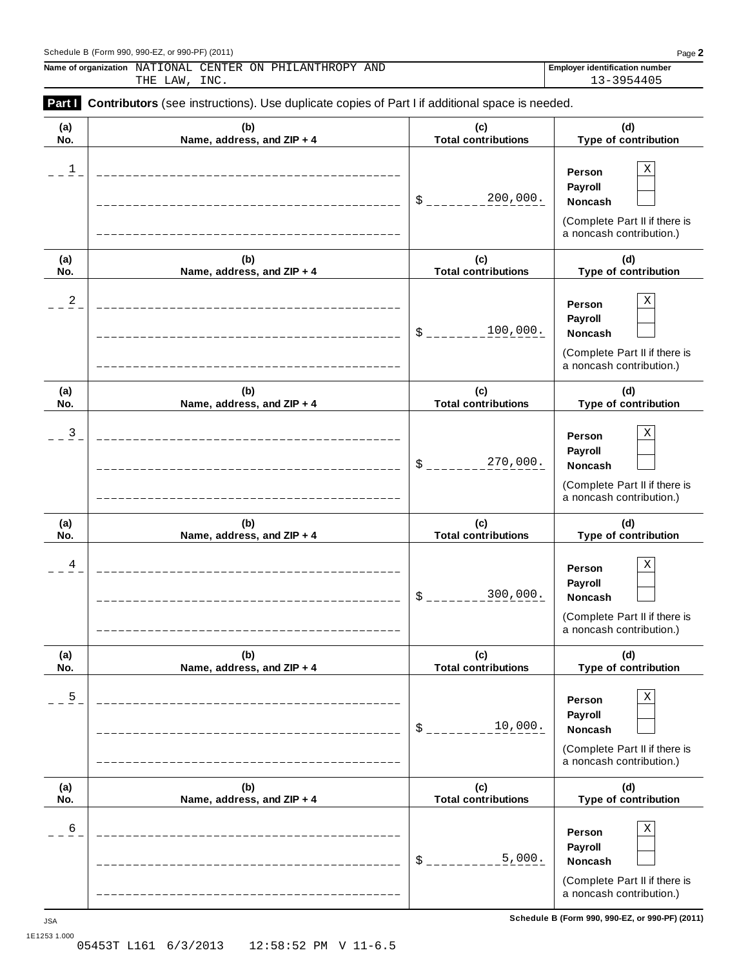#### Schedule B (Form 990, 990-EZ, or 990-PF) (2011) Page **2**

**Name of organization** NATIONAL CENTER ON PHILANTHROPY AND **FRIDAL CONSTRUSTION** THE LAW, INC. 13-3954405

**Part Contributors** (see instructions). Use duplicate copies of Part I if additional space is needed. **(a) No. (b) Name, address, and ZIP + 4 (c) Total contributions (d) Type of contribution Person Payroll** \$ **Noncash** 200,000. (Complete Part II if there is a noncash contribution.) **(a) No. (b) Name, address, and ZIP + 4 (c) Total contributions (d) Type of contribution Person Payroll** \$ **Noncash** 100,000. (Complete Part II if there is a noncash contribution.) **(a) No. (b) Name, address, and ZIP + 4 (c) Total contributions (d) Type of contribution Person Payroll** \$ \_\_\_\_\_\_\_\_\_270 , 000 **. Noncash** (Complete Part II if there is a noncash contribution.) **(a) No. (b) Name, address, and ZIP + 4 (c) Total contributions (d) Type of contribution Person Payroll** \$ **Noncash** 300,000. (Complete Part II if there is a noncash contribution.) **(a) No. (b) Name, address, and ZIP + 4 (c) Total contributions (d) Type of contribution Person Payroll** \$ **Noncash** (Complete Part II if there is a noncash contribution.) **(a) No. (b) Name, address, and ZIP + 4 (c) Total contributions (d) Type of contribution Person Payroll** \$ \_\_\_\_\_\_\_\_\_\_<u>5,000.</u> Noncash (Complete Part II if there is a noncash contribution.)  $1$  Person  $X$  $2 \left| \begin{array}{ccc} 2 \end{array} \right|$  Person  $\left| \begin{array}{ccc} X \end{array} \right|$ 3 X 4 Person X  $\overline{5}$  Person  $\overline{X}$ 10,000. 6 | Register  $\sim$  | Register  $\sim$  | Register  $\sim$  | Register  $\sim$  | Register  $\sim$  | Register  $\sim$  | Register  $\sim$  | Register  $\sim$  | Register  $\sim$  | Register  $\sim$  | Register  $\sim$  | Register  $\sim$  | Register  $\sim$  | Register 5,000.

**Schedule B (Form 990, 990-EZ, or 990-PF) (2011)** JSA

1E1253 1.000<br>05453T L161 6/3/2013 12:58:52 PM V 11-6.5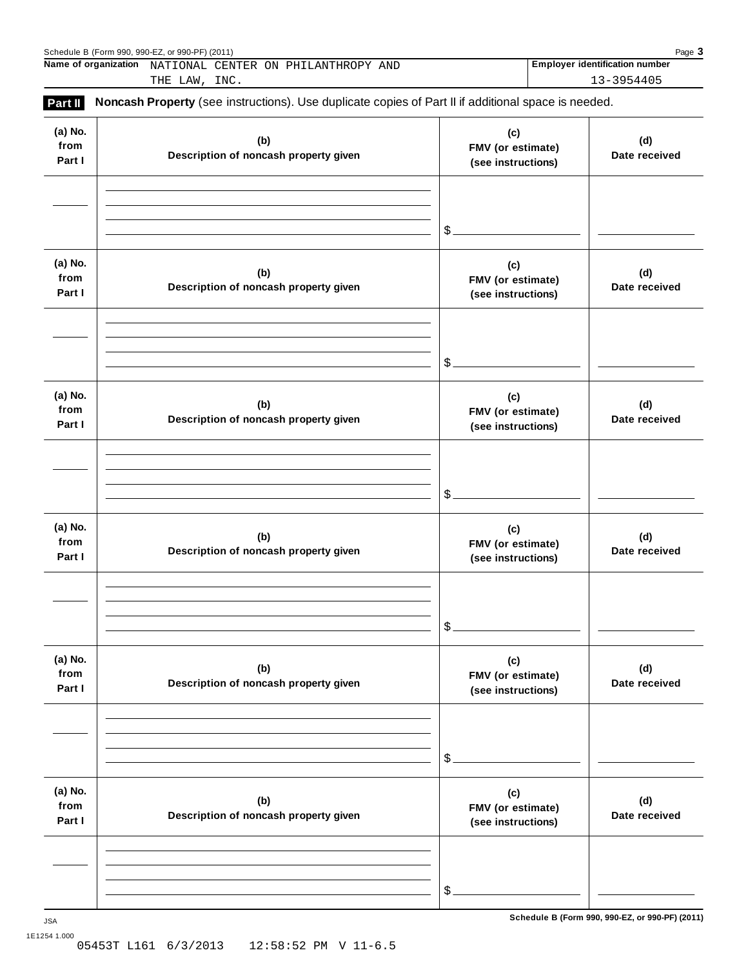|                           | Name of organization NATIONAL CENTER ON PHILANTHROPY AND<br>THE LAW, INC.                           |                                                | <b>Employer identification number</b><br>13-3954405 |
|---------------------------|-----------------------------------------------------------------------------------------------------|------------------------------------------------|-----------------------------------------------------|
| Part II                   | Noncash Property (see instructions). Use duplicate copies of Part II if additional space is needed. |                                                |                                                     |
| (a) No.<br>from<br>Part I | (b)<br>Description of noncash property given                                                        | (c)<br>FMV (or estimate)<br>(see instructions) | (d)<br>Date received                                |
|                           |                                                                                                     | \$                                             |                                                     |
| (a) No.<br>from<br>Part I | (b)<br>Description of noncash property given                                                        | (c)<br>FMV (or estimate)<br>(see instructions) | (d)<br>Date received                                |
|                           |                                                                                                     | \$                                             |                                                     |
| (a) No.<br>from<br>Part I | (b)<br>Description of noncash property given                                                        | (c)<br>FMV (or estimate)<br>(see instructions) | (d)<br>Date received                                |
|                           |                                                                                                     | \$                                             |                                                     |
| (a) No.<br>from<br>Part I | (b)<br>Description of noncash property given                                                        | (c)<br>FMV (or estimate)<br>(see instructions) | (d)<br>Date received                                |
|                           |                                                                                                     | \$                                             |                                                     |
| (a) No.<br>from<br>Part I | (b)<br>Description of noncash property given                                                        | (c)<br>FMV (or estimate)<br>(see instructions) | (d)<br>Date received                                |
|                           |                                                                                                     | \$                                             |                                                     |
| (a) No.<br>from<br>Part I | (b)<br>Description of noncash property given                                                        | (c)<br>FMV (or estimate)<br>(see instructions) | (d)<br>Date received                                |
|                           |                                                                                                     |                                                |                                                     |
|                           |                                                                                                     | \$                                             |                                                     |

**Schedule B (Form 990, 990-EZ, or 990-PF) (2011)** JSA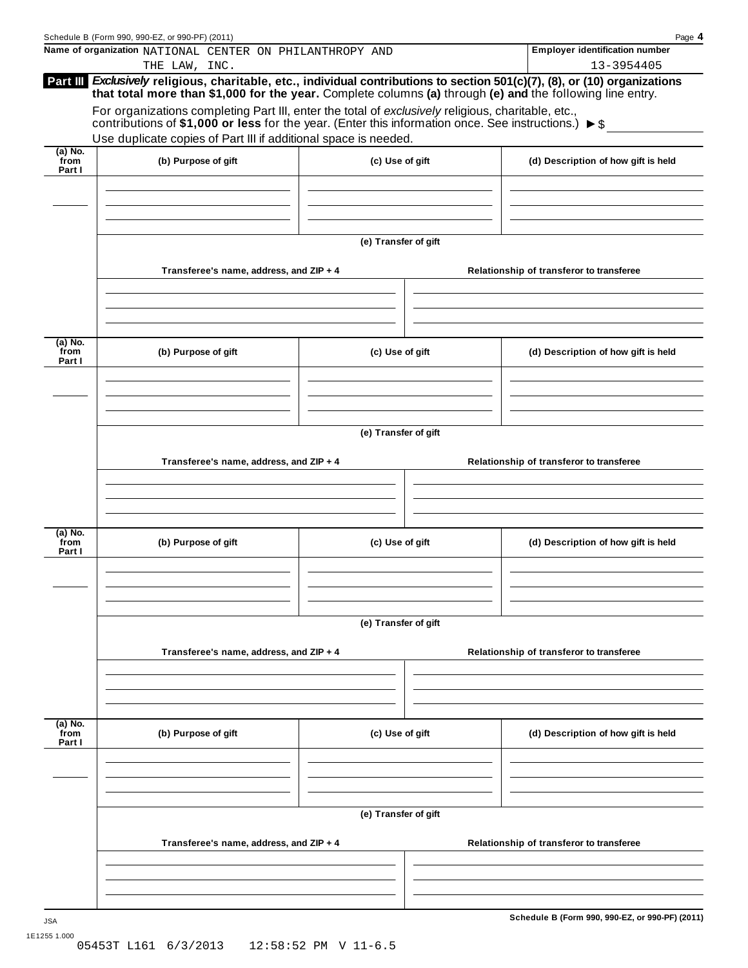|                             | Schedule B (Form 990, 990-EZ, or 990-PF) (2011)<br>Name of organization NATIONAL CENTER ON PHILANTHROPY AND                                                                                                                                                                                                                                                                                                                                                           |                      |                                          | Page 4<br><b>Employer identification number</b> |  |  |  |  |
|-----------------------------|-----------------------------------------------------------------------------------------------------------------------------------------------------------------------------------------------------------------------------------------------------------------------------------------------------------------------------------------------------------------------------------------------------------------------------------------------------------------------|----------------------|------------------------------------------|-------------------------------------------------|--|--|--|--|
|                             | THE LAW, INC.                                                                                                                                                                                                                                                                                                                                                                                                                                                         |                      |                                          | 13-3954405                                      |  |  |  |  |
|                             | Part III Exclusively religious, charitable, etc., individual contributions to section 501(c)(7), (8), or (10) organizations<br>that total more than \$1,000 for the year. Complete columns (a) through (e) and the following line entry.<br>For organizations completing Part III, enter the total of exclusively religious, charitable, etc.,<br>contributions of \$1,000 or less for the year. (Enter this information once. See instructions.) $\triangleright$ \$ |                      |                                          |                                                 |  |  |  |  |
|                             | Use duplicate copies of Part III if additional space is needed.                                                                                                                                                                                                                                                                                                                                                                                                       |                      |                                          |                                                 |  |  |  |  |
| $(a)$ No.<br>from<br>Part I | (b) Purpose of gift                                                                                                                                                                                                                                                                                                                                                                                                                                                   | (c) Use of gift      |                                          | (d) Description of how gift is held             |  |  |  |  |
|                             |                                                                                                                                                                                                                                                                                                                                                                                                                                                                       | (e) Transfer of gift |                                          |                                                 |  |  |  |  |
|                             | Transferee's name, address, and ZIP + 4                                                                                                                                                                                                                                                                                                                                                                                                                               |                      |                                          | Relationship of transferor to transferee        |  |  |  |  |
|                             |                                                                                                                                                                                                                                                                                                                                                                                                                                                                       |                      |                                          |                                                 |  |  |  |  |
| $(a)$ No.<br>from<br>Part I | (b) Purpose of gift                                                                                                                                                                                                                                                                                                                                                                                                                                                   | (c) Use of gift      |                                          | (d) Description of how gift is held             |  |  |  |  |
|                             |                                                                                                                                                                                                                                                                                                                                                                                                                                                                       |                      |                                          |                                                 |  |  |  |  |
|                             |                                                                                                                                                                                                                                                                                                                                                                                                                                                                       | (e) Transfer of gift |                                          |                                                 |  |  |  |  |
|                             | Transferee's name, address, and ZIP + 4                                                                                                                                                                                                                                                                                                                                                                                                                               |                      |                                          | Relationship of transferor to transferee        |  |  |  |  |
| $(a)$ No.<br>from           | (b) Purpose of gift                                                                                                                                                                                                                                                                                                                                                                                                                                                   | (c) Use of gift      |                                          | (d) Description of how gift is held             |  |  |  |  |
| Part I                      |                                                                                                                                                                                                                                                                                                                                                                                                                                                                       |                      |                                          |                                                 |  |  |  |  |
|                             |                                                                                                                                                                                                                                                                                                                                                                                                                                                                       | (e) Transfer of gift |                                          |                                                 |  |  |  |  |
|                             | Transferee's name, address, and ZIP + 4                                                                                                                                                                                                                                                                                                                                                                                                                               |                      | Relationship of transferor to transferee |                                                 |  |  |  |  |
|                             |                                                                                                                                                                                                                                                                                                                                                                                                                                                                       |                      |                                          |                                                 |  |  |  |  |
| $(a)$ No.<br>from<br>Part I | (b) Purpose of gift                                                                                                                                                                                                                                                                                                                                                                                                                                                   | (c) Use of gift      |                                          | (d) Description of how gift is held             |  |  |  |  |
|                             |                                                                                                                                                                                                                                                                                                                                                                                                                                                                       |                      |                                          |                                                 |  |  |  |  |
|                             | (e) Transfer of gift                                                                                                                                                                                                                                                                                                                                                                                                                                                  |                      |                                          |                                                 |  |  |  |  |
|                             | Transferee's name, address, and ZIP + 4                                                                                                                                                                                                                                                                                                                                                                                                                               |                      |                                          | Relationship of transferor to transferee        |  |  |  |  |
|                             |                                                                                                                                                                                                                                                                                                                                                                                                                                                                       |                      |                                          |                                                 |  |  |  |  |
|                             |                                                                                                                                                                                                                                                                                                                                                                                                                                                                       |                      |                                          | Schedule B (Form 990, 990-EZ, or 990-PF) (2011) |  |  |  |  |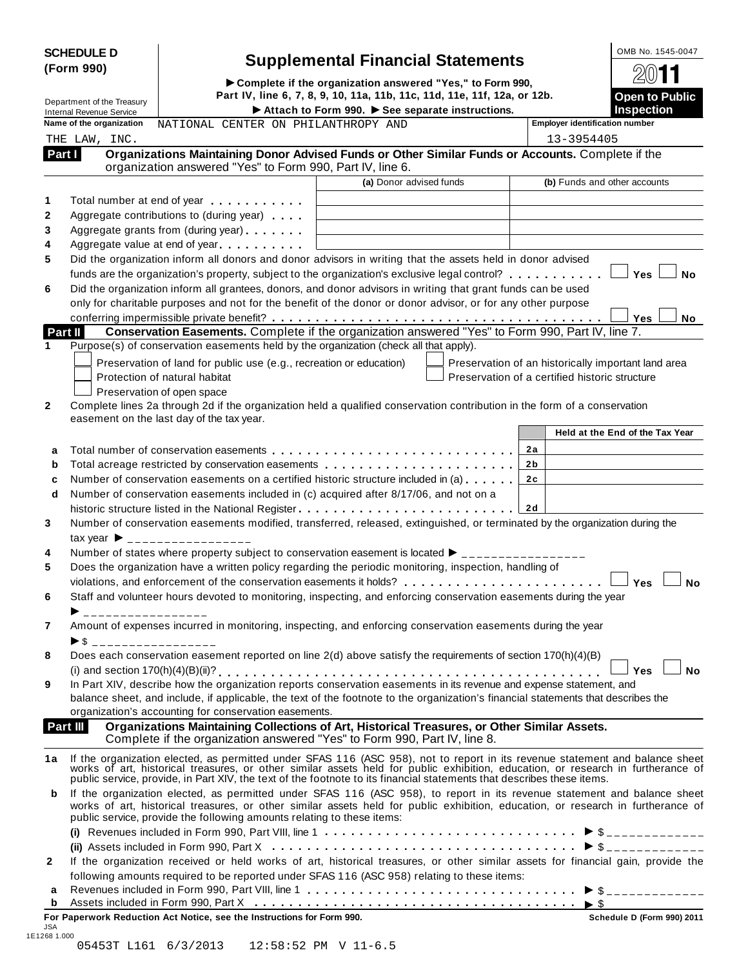| <b>SCHEDULE D</b> |  |
|-------------------|--|
| (Form 990)        |  |

# **SCHEDULE D**<br> **Supplemental Financial Statements**<br> **Properties Equilibries Accomplete** if the organization answered "Yes," to Form 990,

(Form 990)<br>  $\triangleright$  Complete if the organization answered "Yes," to Form 990,<br>
Department of the Treasury Part IV, line 6, 7, 8, 9, 10, 11a, 11b, 11c, 11d, 11e, 11f, 12a, or 12b. Internal Revenue Service I**Attach to Form 990.** I**See separate instructions. Inspection**

| 2011                                       |
|--------------------------------------------|
| <b>Open to Public</b><br><b>Inspection</b> |

| THE LAW, INC.<br>Organizations Maintaining Donor Advised Funds or Other Similar Funds or Accounts. Complete if the<br>Part I |                                                                                                                                                                                                                                                                                                                                                                                                                                                                                                                                             | 13-3954405                                                                                                                                                                                                                                                                                                                                                                                                                                                                                                                                                                                                                                                                                                                                                                                                                                                                                                                                                                                                                                                                                                                                                                                                                                                                                                                                                                                                                                                                                                                                                                                                                                                                                                                                                                                                                                                                                                                                                                                                                                                                                                                                                                                                                                                                                                                                                                                                                                                                                                                                                                                                                                                                                                                                                                                                                                                                                                                                                                                                                                                                                                                                                                                                                                |
|------------------------------------------------------------------------------------------------------------------------------|---------------------------------------------------------------------------------------------------------------------------------------------------------------------------------------------------------------------------------------------------------------------------------------------------------------------------------------------------------------------------------------------------------------------------------------------------------------------------------------------------------------------------------------------|-------------------------------------------------------------------------------------------------------------------------------------------------------------------------------------------------------------------------------------------------------------------------------------------------------------------------------------------------------------------------------------------------------------------------------------------------------------------------------------------------------------------------------------------------------------------------------------------------------------------------------------------------------------------------------------------------------------------------------------------------------------------------------------------------------------------------------------------------------------------------------------------------------------------------------------------------------------------------------------------------------------------------------------------------------------------------------------------------------------------------------------------------------------------------------------------------------------------------------------------------------------------------------------------------------------------------------------------------------------------------------------------------------------------------------------------------------------------------------------------------------------------------------------------------------------------------------------------------------------------------------------------------------------------------------------------------------------------------------------------------------------------------------------------------------------------------------------------------------------------------------------------------------------------------------------------------------------------------------------------------------------------------------------------------------------------------------------------------------------------------------------------------------------------------------------------------------------------------------------------------------------------------------------------------------------------------------------------------------------------------------------------------------------------------------------------------------------------------------------------------------------------------------------------------------------------------------------------------------------------------------------------------------------------------------------------------------------------------------------------------------------------------------------------------------------------------------------------------------------------------------------------------------------------------------------------------------------------------------------------------------------------------------------------------------------------------------------------------------------------------------------------------------------------------------------------------------------------------------------------|
|                                                                                                                              |                                                                                                                                                                                                                                                                                                                                                                                                                                                                                                                                             |                                                                                                                                                                                                                                                                                                                                                                                                                                                                                                                                                                                                                                                                                                                                                                                                                                                                                                                                                                                                                                                                                                                                                                                                                                                                                                                                                                                                                                                                                                                                                                                                                                                                                                                                                                                                                                                                                                                                                                                                                                                                                                                                                                                                                                                                                                                                                                                                                                                                                                                                                                                                                                                                                                                                                                                                                                                                                                                                                                                                                                                                                                                                                                                                                                           |
| organization answered "Yes" to Form 990, Part IV, line 6.                                                                    |                                                                                                                                                                                                                                                                                                                                                                                                                                                                                                                                             |                                                                                                                                                                                                                                                                                                                                                                                                                                                                                                                                                                                                                                                                                                                                                                                                                                                                                                                                                                                                                                                                                                                                                                                                                                                                                                                                                                                                                                                                                                                                                                                                                                                                                                                                                                                                                                                                                                                                                                                                                                                                                                                                                                                                                                                                                                                                                                                                                                                                                                                                                                                                                                                                                                                                                                                                                                                                                                                                                                                                                                                                                                                                                                                                                                           |
|                                                                                                                              | (a) Donor advised funds                                                                                                                                                                                                                                                                                                                                                                                                                                                                                                                     | (b) Funds and other accounts                                                                                                                                                                                                                                                                                                                                                                                                                                                                                                                                                                                                                                                                                                                                                                                                                                                                                                                                                                                                                                                                                                                                                                                                                                                                                                                                                                                                                                                                                                                                                                                                                                                                                                                                                                                                                                                                                                                                                                                                                                                                                                                                                                                                                                                                                                                                                                                                                                                                                                                                                                                                                                                                                                                                                                                                                                                                                                                                                                                                                                                                                                                                                                                                              |
|                                                                                                                              |                                                                                                                                                                                                                                                                                                                                                                                                                                                                                                                                             |                                                                                                                                                                                                                                                                                                                                                                                                                                                                                                                                                                                                                                                                                                                                                                                                                                                                                                                                                                                                                                                                                                                                                                                                                                                                                                                                                                                                                                                                                                                                                                                                                                                                                                                                                                                                                                                                                                                                                                                                                                                                                                                                                                                                                                                                                                                                                                                                                                                                                                                                                                                                                                                                                                                                                                                                                                                                                                                                                                                                                                                                                                                                                                                                                                           |
|                                                                                                                              |                                                                                                                                                                                                                                                                                                                                                                                                                                                                                                                                             |                                                                                                                                                                                                                                                                                                                                                                                                                                                                                                                                                                                                                                                                                                                                                                                                                                                                                                                                                                                                                                                                                                                                                                                                                                                                                                                                                                                                                                                                                                                                                                                                                                                                                                                                                                                                                                                                                                                                                                                                                                                                                                                                                                                                                                                                                                                                                                                                                                                                                                                                                                                                                                                                                                                                                                                                                                                                                                                                                                                                                                                                                                                                                                                                                                           |
|                                                                                                                              |                                                                                                                                                                                                                                                                                                                                                                                                                                                                                                                                             |                                                                                                                                                                                                                                                                                                                                                                                                                                                                                                                                                                                                                                                                                                                                                                                                                                                                                                                                                                                                                                                                                                                                                                                                                                                                                                                                                                                                                                                                                                                                                                                                                                                                                                                                                                                                                                                                                                                                                                                                                                                                                                                                                                                                                                                                                                                                                                                                                                                                                                                                                                                                                                                                                                                                                                                                                                                                                                                                                                                                                                                                                                                                                                                                                                           |
|                                                                                                                              |                                                                                                                                                                                                                                                                                                                                                                                                                                                                                                                                             |                                                                                                                                                                                                                                                                                                                                                                                                                                                                                                                                                                                                                                                                                                                                                                                                                                                                                                                                                                                                                                                                                                                                                                                                                                                                                                                                                                                                                                                                                                                                                                                                                                                                                                                                                                                                                                                                                                                                                                                                                                                                                                                                                                                                                                                                                                                                                                                                                                                                                                                                                                                                                                                                                                                                                                                                                                                                                                                                                                                                                                                                                                                                                                                                                                           |
|                                                                                                                              |                                                                                                                                                                                                                                                                                                                                                                                                                                                                                                                                             |                                                                                                                                                                                                                                                                                                                                                                                                                                                                                                                                                                                                                                                                                                                                                                                                                                                                                                                                                                                                                                                                                                                                                                                                                                                                                                                                                                                                                                                                                                                                                                                                                                                                                                                                                                                                                                                                                                                                                                                                                                                                                                                                                                                                                                                                                                                                                                                                                                                                                                                                                                                                                                                                                                                                                                                                                                                                                                                                                                                                                                                                                                                                                                                                                                           |
|                                                                                                                              |                                                                                                                                                                                                                                                                                                                                                                                                                                                                                                                                             | Yes<br><b>No</b>                                                                                                                                                                                                                                                                                                                                                                                                                                                                                                                                                                                                                                                                                                                                                                                                                                                                                                                                                                                                                                                                                                                                                                                                                                                                                                                                                                                                                                                                                                                                                                                                                                                                                                                                                                                                                                                                                                                                                                                                                                                                                                                                                                                                                                                                                                                                                                                                                                                                                                                                                                                                                                                                                                                                                                                                                                                                                                                                                                                                                                                                                                                                                                                                                          |
|                                                                                                                              |                                                                                                                                                                                                                                                                                                                                                                                                                                                                                                                                             |                                                                                                                                                                                                                                                                                                                                                                                                                                                                                                                                                                                                                                                                                                                                                                                                                                                                                                                                                                                                                                                                                                                                                                                                                                                                                                                                                                                                                                                                                                                                                                                                                                                                                                                                                                                                                                                                                                                                                                                                                                                                                                                                                                                                                                                                                                                                                                                                                                                                                                                                                                                                                                                                                                                                                                                                                                                                                                                                                                                                                                                                                                                                                                                                                                           |
|                                                                                                                              |                                                                                                                                                                                                                                                                                                                                                                                                                                                                                                                                             |                                                                                                                                                                                                                                                                                                                                                                                                                                                                                                                                                                                                                                                                                                                                                                                                                                                                                                                                                                                                                                                                                                                                                                                                                                                                                                                                                                                                                                                                                                                                                                                                                                                                                                                                                                                                                                                                                                                                                                                                                                                                                                                                                                                                                                                                                                                                                                                                                                                                                                                                                                                                                                                                                                                                                                                                                                                                                                                                                                                                                                                                                                                                                                                                                                           |
|                                                                                                                              |                                                                                                                                                                                                                                                                                                                                                                                                                                                                                                                                             | Yes<br>No                                                                                                                                                                                                                                                                                                                                                                                                                                                                                                                                                                                                                                                                                                                                                                                                                                                                                                                                                                                                                                                                                                                                                                                                                                                                                                                                                                                                                                                                                                                                                                                                                                                                                                                                                                                                                                                                                                                                                                                                                                                                                                                                                                                                                                                                                                                                                                                                                                                                                                                                                                                                                                                                                                                                                                                                                                                                                                                                                                                                                                                                                                                                                                                                                                 |
|                                                                                                                              |                                                                                                                                                                                                                                                                                                                                                                                                                                                                                                                                             |                                                                                                                                                                                                                                                                                                                                                                                                                                                                                                                                                                                                                                                                                                                                                                                                                                                                                                                                                                                                                                                                                                                                                                                                                                                                                                                                                                                                                                                                                                                                                                                                                                                                                                                                                                                                                                                                                                                                                                                                                                                                                                                                                                                                                                                                                                                                                                                                                                                                                                                                                                                                                                                                                                                                                                                                                                                                                                                                                                                                                                                                                                                                                                                                                                           |
|                                                                                                                              |                                                                                                                                                                                                                                                                                                                                                                                                                                                                                                                                             |                                                                                                                                                                                                                                                                                                                                                                                                                                                                                                                                                                                                                                                                                                                                                                                                                                                                                                                                                                                                                                                                                                                                                                                                                                                                                                                                                                                                                                                                                                                                                                                                                                                                                                                                                                                                                                                                                                                                                                                                                                                                                                                                                                                                                                                                                                                                                                                                                                                                                                                                                                                                                                                                                                                                                                                                                                                                                                                                                                                                                                                                                                                                                                                                                                           |
|                                                                                                                              |                                                                                                                                                                                                                                                                                                                                                                                                                                                                                                                                             |                                                                                                                                                                                                                                                                                                                                                                                                                                                                                                                                                                                                                                                                                                                                                                                                                                                                                                                                                                                                                                                                                                                                                                                                                                                                                                                                                                                                                                                                                                                                                                                                                                                                                                                                                                                                                                                                                                                                                                                                                                                                                                                                                                                                                                                                                                                                                                                                                                                                                                                                                                                                                                                                                                                                                                                                                                                                                                                                                                                                                                                                                                                                                                                                                                           |
|                                                                                                                              |                                                                                                                                                                                                                                                                                                                                                                                                                                                                                                                                             | Preservation of an historically important land area                                                                                                                                                                                                                                                                                                                                                                                                                                                                                                                                                                                                                                                                                                                                                                                                                                                                                                                                                                                                                                                                                                                                                                                                                                                                                                                                                                                                                                                                                                                                                                                                                                                                                                                                                                                                                                                                                                                                                                                                                                                                                                                                                                                                                                                                                                                                                                                                                                                                                                                                                                                                                                                                                                                                                                                                                                                                                                                                                                                                                                                                                                                                                                                       |
|                                                                                                                              |                                                                                                                                                                                                                                                                                                                                                                                                                                                                                                                                             | Preservation of a certified historic structure                                                                                                                                                                                                                                                                                                                                                                                                                                                                                                                                                                                                                                                                                                                                                                                                                                                                                                                                                                                                                                                                                                                                                                                                                                                                                                                                                                                                                                                                                                                                                                                                                                                                                                                                                                                                                                                                                                                                                                                                                                                                                                                                                                                                                                                                                                                                                                                                                                                                                                                                                                                                                                                                                                                                                                                                                                                                                                                                                                                                                                                                                                                                                                                            |
|                                                                                                                              |                                                                                                                                                                                                                                                                                                                                                                                                                                                                                                                                             |                                                                                                                                                                                                                                                                                                                                                                                                                                                                                                                                                                                                                                                                                                                                                                                                                                                                                                                                                                                                                                                                                                                                                                                                                                                                                                                                                                                                                                                                                                                                                                                                                                                                                                                                                                                                                                                                                                                                                                                                                                                                                                                                                                                                                                                                                                                                                                                                                                                                                                                                                                                                                                                                                                                                                                                                                                                                                                                                                                                                                                                                                                                                                                                                                                           |
|                                                                                                                              |                                                                                                                                                                                                                                                                                                                                                                                                                                                                                                                                             |                                                                                                                                                                                                                                                                                                                                                                                                                                                                                                                                                                                                                                                                                                                                                                                                                                                                                                                                                                                                                                                                                                                                                                                                                                                                                                                                                                                                                                                                                                                                                                                                                                                                                                                                                                                                                                                                                                                                                                                                                                                                                                                                                                                                                                                                                                                                                                                                                                                                                                                                                                                                                                                                                                                                                                                                                                                                                                                                                                                                                                                                                                                                                                                                                                           |
|                                                                                                                              |                                                                                                                                                                                                                                                                                                                                                                                                                                                                                                                                             | Held at the End of the Tax Year                                                                                                                                                                                                                                                                                                                                                                                                                                                                                                                                                                                                                                                                                                                                                                                                                                                                                                                                                                                                                                                                                                                                                                                                                                                                                                                                                                                                                                                                                                                                                                                                                                                                                                                                                                                                                                                                                                                                                                                                                                                                                                                                                                                                                                                                                                                                                                                                                                                                                                                                                                                                                                                                                                                                                                                                                                                                                                                                                                                                                                                                                                                                                                                                           |
|                                                                                                                              |                                                                                                                                                                                                                                                                                                                                                                                                                                                                                                                                             |                                                                                                                                                                                                                                                                                                                                                                                                                                                                                                                                                                                                                                                                                                                                                                                                                                                                                                                                                                                                                                                                                                                                                                                                                                                                                                                                                                                                                                                                                                                                                                                                                                                                                                                                                                                                                                                                                                                                                                                                                                                                                                                                                                                                                                                                                                                                                                                                                                                                                                                                                                                                                                                                                                                                                                                                                                                                                                                                                                                                                                                                                                                                                                                                                                           |
|                                                                                                                              |                                                                                                                                                                                                                                                                                                                                                                                                                                                                                                                                             | 2a                                                                                                                                                                                                                                                                                                                                                                                                                                                                                                                                                                                                                                                                                                                                                                                                                                                                                                                                                                                                                                                                                                                                                                                                                                                                                                                                                                                                                                                                                                                                                                                                                                                                                                                                                                                                                                                                                                                                                                                                                                                                                                                                                                                                                                                                                                                                                                                                                                                                                                                                                                                                                                                                                                                                                                                                                                                                                                                                                                                                                                                                                                                                                                                                                                        |
|                                                                                                                              |                                                                                                                                                                                                                                                                                                                                                                                                                                                                                                                                             | 2b                                                                                                                                                                                                                                                                                                                                                                                                                                                                                                                                                                                                                                                                                                                                                                                                                                                                                                                                                                                                                                                                                                                                                                                                                                                                                                                                                                                                                                                                                                                                                                                                                                                                                                                                                                                                                                                                                                                                                                                                                                                                                                                                                                                                                                                                                                                                                                                                                                                                                                                                                                                                                                                                                                                                                                                                                                                                                                                                                                                                                                                                                                                                                                                                                                        |
|                                                                                                                              |                                                                                                                                                                                                                                                                                                                                                                                                                                                                                                                                             | 2c                                                                                                                                                                                                                                                                                                                                                                                                                                                                                                                                                                                                                                                                                                                                                                                                                                                                                                                                                                                                                                                                                                                                                                                                                                                                                                                                                                                                                                                                                                                                                                                                                                                                                                                                                                                                                                                                                                                                                                                                                                                                                                                                                                                                                                                                                                                                                                                                                                                                                                                                                                                                                                                                                                                                                                                                                                                                                                                                                                                                                                                                                                                                                                                                                                        |
|                                                                                                                              |                                                                                                                                                                                                                                                                                                                                                                                                                                                                                                                                             |                                                                                                                                                                                                                                                                                                                                                                                                                                                                                                                                                                                                                                                                                                                                                                                                                                                                                                                                                                                                                                                                                                                                                                                                                                                                                                                                                                                                                                                                                                                                                                                                                                                                                                                                                                                                                                                                                                                                                                                                                                                                                                                                                                                                                                                                                                                                                                                                                                                                                                                                                                                                                                                                                                                                                                                                                                                                                                                                                                                                                                                                                                                                                                                                                                           |
|                                                                                                                              |                                                                                                                                                                                                                                                                                                                                                                                                                                                                                                                                             |                                                                                                                                                                                                                                                                                                                                                                                                                                                                                                                                                                                                                                                                                                                                                                                                                                                                                                                                                                                                                                                                                                                                                                                                                                                                                                                                                                                                                                                                                                                                                                                                                                                                                                                                                                                                                                                                                                                                                                                                                                                                                                                                                                                                                                                                                                                                                                                                                                                                                                                                                                                                                                                                                                                                                                                                                                                                                                                                                                                                                                                                                                                                                                                                                                           |
|                                                                                                                              |                                                                                                                                                                                                                                                                                                                                                                                                                                                                                                                                             |                                                                                                                                                                                                                                                                                                                                                                                                                                                                                                                                                                                                                                                                                                                                                                                                                                                                                                                                                                                                                                                                                                                                                                                                                                                                                                                                                                                                                                                                                                                                                                                                                                                                                                                                                                                                                                                                                                                                                                                                                                                                                                                                                                                                                                                                                                                                                                                                                                                                                                                                                                                                                                                                                                                                                                                                                                                                                                                                                                                                                                                                                                                                                                                                                                           |
|                                                                                                                              |                                                                                                                                                                                                                                                                                                                                                                                                                                                                                                                                             |                                                                                                                                                                                                                                                                                                                                                                                                                                                                                                                                                                                                                                                                                                                                                                                                                                                                                                                                                                                                                                                                                                                                                                                                                                                                                                                                                                                                                                                                                                                                                                                                                                                                                                                                                                                                                                                                                                                                                                                                                                                                                                                                                                                                                                                                                                                                                                                                                                                                                                                                                                                                                                                                                                                                                                                                                                                                                                                                                                                                                                                                                                                                                                                                                                           |
|                                                                                                                              |                                                                                                                                                                                                                                                                                                                                                                                                                                                                                                                                             |                                                                                                                                                                                                                                                                                                                                                                                                                                                                                                                                                                                                                                                                                                                                                                                                                                                                                                                                                                                                                                                                                                                                                                                                                                                                                                                                                                                                                                                                                                                                                                                                                                                                                                                                                                                                                                                                                                                                                                                                                                                                                                                                                                                                                                                                                                                                                                                                                                                                                                                                                                                                                                                                                                                                                                                                                                                                                                                                                                                                                                                                                                                                                                                                                                           |
|                                                                                                                              |                                                                                                                                                                                                                                                                                                                                                                                                                                                                                                                                             |                                                                                                                                                                                                                                                                                                                                                                                                                                                                                                                                                                                                                                                                                                                                                                                                                                                                                                                                                                                                                                                                                                                                                                                                                                                                                                                                                                                                                                                                                                                                                                                                                                                                                                                                                                                                                                                                                                                                                                                                                                                                                                                                                                                                                                                                                                                                                                                                                                                                                                                                                                                                                                                                                                                                                                                                                                                                                                                                                                                                                                                                                                                                                                                                                                           |
|                                                                                                                              |                                                                                                                                                                                                                                                                                                                                                                                                                                                                                                                                             | Yes<br><b>No</b>                                                                                                                                                                                                                                                                                                                                                                                                                                                                                                                                                                                                                                                                                                                                                                                                                                                                                                                                                                                                                                                                                                                                                                                                                                                                                                                                                                                                                                                                                                                                                                                                                                                                                                                                                                                                                                                                                                                                                                                                                                                                                                                                                                                                                                                                                                                                                                                                                                                                                                                                                                                                                                                                                                                                                                                                                                                                                                                                                                                                                                                                                                                                                                                                                          |
|                                                                                                                              |                                                                                                                                                                                                                                                                                                                                                                                                                                                                                                                                             |                                                                                                                                                                                                                                                                                                                                                                                                                                                                                                                                                                                                                                                                                                                                                                                                                                                                                                                                                                                                                                                                                                                                                                                                                                                                                                                                                                                                                                                                                                                                                                                                                                                                                                                                                                                                                                                                                                                                                                                                                                                                                                                                                                                                                                                                                                                                                                                                                                                                                                                                                                                                                                                                                                                                                                                                                                                                                                                                                                                                                                                                                                                                                                                                                                           |
| __________________                                                                                                           |                                                                                                                                                                                                                                                                                                                                                                                                                                                                                                                                             |                                                                                                                                                                                                                                                                                                                                                                                                                                                                                                                                                                                                                                                                                                                                                                                                                                                                                                                                                                                                                                                                                                                                                                                                                                                                                                                                                                                                                                                                                                                                                                                                                                                                                                                                                                                                                                                                                                                                                                                                                                                                                                                                                                                                                                                                                                                                                                                                                                                                                                                                                                                                                                                                                                                                                                                                                                                                                                                                                                                                                                                                                                                                                                                                                                           |
|                                                                                                                              |                                                                                                                                                                                                                                                                                                                                                                                                                                                                                                                                             |                                                                                                                                                                                                                                                                                                                                                                                                                                                                                                                                                                                                                                                                                                                                                                                                                                                                                                                                                                                                                                                                                                                                                                                                                                                                                                                                                                                                                                                                                                                                                                                                                                                                                                                                                                                                                                                                                                                                                                                                                                                                                                                                                                                                                                                                                                                                                                                                                                                                                                                                                                                                                                                                                                                                                                                                                                                                                                                                                                                                                                                                                                                                                                                                                                           |
| ▶\$ ___________________                                                                                                      |                                                                                                                                                                                                                                                                                                                                                                                                                                                                                                                                             |                                                                                                                                                                                                                                                                                                                                                                                                                                                                                                                                                                                                                                                                                                                                                                                                                                                                                                                                                                                                                                                                                                                                                                                                                                                                                                                                                                                                                                                                                                                                                                                                                                                                                                                                                                                                                                                                                                                                                                                                                                                                                                                                                                                                                                                                                                                                                                                                                                                                                                                                                                                                                                                                                                                                                                                                                                                                                                                                                                                                                                                                                                                                                                                                                                           |
|                                                                                                                              |                                                                                                                                                                                                                                                                                                                                                                                                                                                                                                                                             |                                                                                                                                                                                                                                                                                                                                                                                                                                                                                                                                                                                                                                                                                                                                                                                                                                                                                                                                                                                                                                                                                                                                                                                                                                                                                                                                                                                                                                                                                                                                                                                                                                                                                                                                                                                                                                                                                                                                                                                                                                                                                                                                                                                                                                                                                                                                                                                                                                                                                                                                                                                                                                                                                                                                                                                                                                                                                                                                                                                                                                                                                                                                                                                                                                           |
|                                                                                                                              |                                                                                                                                                                                                                                                                                                                                                                                                                                                                                                                                             | <b>No</b><br>Yes                                                                                                                                                                                                                                                                                                                                                                                                                                                                                                                                                                                                                                                                                                                                                                                                                                                                                                                                                                                                                                                                                                                                                                                                                                                                                                                                                                                                                                                                                                                                                                                                                                                                                                                                                                                                                                                                                                                                                                                                                                                                                                                                                                                                                                                                                                                                                                                                                                                                                                                                                                                                                                                                                                                                                                                                                                                                                                                                                                                                                                                                                                                                                                                                                          |
|                                                                                                                              |                                                                                                                                                                                                                                                                                                                                                                                                                                                                                                                                             |                                                                                                                                                                                                                                                                                                                                                                                                                                                                                                                                                                                                                                                                                                                                                                                                                                                                                                                                                                                                                                                                                                                                                                                                                                                                                                                                                                                                                                                                                                                                                                                                                                                                                                                                                                                                                                                                                                                                                                                                                                                                                                                                                                                                                                                                                                                                                                                                                                                                                                                                                                                                                                                                                                                                                                                                                                                                                                                                                                                                                                                                                                                                                                                                                                           |
|                                                                                                                              |                                                                                                                                                                                                                                                                                                                                                                                                                                                                                                                                             |                                                                                                                                                                                                                                                                                                                                                                                                                                                                                                                                                                                                                                                                                                                                                                                                                                                                                                                                                                                                                                                                                                                                                                                                                                                                                                                                                                                                                                                                                                                                                                                                                                                                                                                                                                                                                                                                                                                                                                                                                                                                                                                                                                                                                                                                                                                                                                                                                                                                                                                                                                                                                                                                                                                                                                                                                                                                                                                                                                                                                                                                                                                                                                                                                                           |
|                                                                                                                              |                                                                                                                                                                                                                                                                                                                                                                                                                                                                                                                                             |                                                                                                                                                                                                                                                                                                                                                                                                                                                                                                                                                                                                                                                                                                                                                                                                                                                                                                                                                                                                                                                                                                                                                                                                                                                                                                                                                                                                                                                                                                                                                                                                                                                                                                                                                                                                                                                                                                                                                                                                                                                                                                                                                                                                                                                                                                                                                                                                                                                                                                                                                                                                                                                                                                                                                                                                                                                                                                                                                                                                                                                                                                                                                                                                                                           |
|                                                                                                                              |                                                                                                                                                                                                                                                                                                                                                                                                                                                                                                                                             |                                                                                                                                                                                                                                                                                                                                                                                                                                                                                                                                                                                                                                                                                                                                                                                                                                                                                                                                                                                                                                                                                                                                                                                                                                                                                                                                                                                                                                                                                                                                                                                                                                                                                                                                                                                                                                                                                                                                                                                                                                                                                                                                                                                                                                                                                                                                                                                                                                                                                                                                                                                                                                                                                                                                                                                                                                                                                                                                                                                                                                                                                                                                                                                                                                           |
|                                                                                                                              |                                                                                                                                                                                                                                                                                                                                                                                                                                                                                                                                             |                                                                                                                                                                                                                                                                                                                                                                                                                                                                                                                                                                                                                                                                                                                                                                                                                                                                                                                                                                                                                                                                                                                                                                                                                                                                                                                                                                                                                                                                                                                                                                                                                                                                                                                                                                                                                                                                                                                                                                                                                                                                                                                                                                                                                                                                                                                                                                                                                                                                                                                                                                                                                                                                                                                                                                                                                                                                                                                                                                                                                                                                                                                                                                                                                                           |
|                                                                                                                              |                                                                                                                                                                                                                                                                                                                                                                                                                                                                                                                                             |                                                                                                                                                                                                                                                                                                                                                                                                                                                                                                                                                                                                                                                                                                                                                                                                                                                                                                                                                                                                                                                                                                                                                                                                                                                                                                                                                                                                                                                                                                                                                                                                                                                                                                                                                                                                                                                                                                                                                                                                                                                                                                                                                                                                                                                                                                                                                                                                                                                                                                                                                                                                                                                                                                                                                                                                                                                                                                                                                                                                                                                                                                                                                                                                                                           |
|                                                                                                                              |                                                                                                                                                                                                                                                                                                                                                                                                                                                                                                                                             |                                                                                                                                                                                                                                                                                                                                                                                                                                                                                                                                                                                                                                                                                                                                                                                                                                                                                                                                                                                                                                                                                                                                                                                                                                                                                                                                                                                                                                                                                                                                                                                                                                                                                                                                                                                                                                                                                                                                                                                                                                                                                                                                                                                                                                                                                                                                                                                                                                                                                                                                                                                                                                                                                                                                                                                                                                                                                                                                                                                                                                                                                                                                                                                                                                           |
|                                                                                                                              |                                                                                                                                                                                                                                                                                                                                                                                                                                                                                                                                             |                                                                                                                                                                                                                                                                                                                                                                                                                                                                                                                                                                                                                                                                                                                                                                                                                                                                                                                                                                                                                                                                                                                                                                                                                                                                                                                                                                                                                                                                                                                                                                                                                                                                                                                                                                                                                                                                                                                                                                                                                                                                                                                                                                                                                                                                                                                                                                                                                                                                                                                                                                                                                                                                                                                                                                                                                                                                                                                                                                                                                                                                                                                                                                                                                                           |
|                                                                                                                              |                                                                                                                                                                                                                                                                                                                                                                                                                                                                                                                                             |                                                                                                                                                                                                                                                                                                                                                                                                                                                                                                                                                                                                                                                                                                                                                                                                                                                                                                                                                                                                                                                                                                                                                                                                                                                                                                                                                                                                                                                                                                                                                                                                                                                                                                                                                                                                                                                                                                                                                                                                                                                                                                                                                                                                                                                                                                                                                                                                                                                                                                                                                                                                                                                                                                                                                                                                                                                                                                                                                                                                                                                                                                                                                                                                                                           |
|                                                                                                                              |                                                                                                                                                                                                                                                                                                                                                                                                                                                                                                                                             |                                                                                                                                                                                                                                                                                                                                                                                                                                                                                                                                                                                                                                                                                                                                                                                                                                                                                                                                                                                                                                                                                                                                                                                                                                                                                                                                                                                                                                                                                                                                                                                                                                                                                                                                                                                                                                                                                                                                                                                                                                                                                                                                                                                                                                                                                                                                                                                                                                                                                                                                                                                                                                                                                                                                                                                                                                                                                                                                                                                                                                                                                                                                                                                                                                           |
|                                                                                                                              |                                                                                                                                                                                                                                                                                                                                                                                                                                                                                                                                             |                                                                                                                                                                                                                                                                                                                                                                                                                                                                                                                                                                                                                                                                                                                                                                                                                                                                                                                                                                                                                                                                                                                                                                                                                                                                                                                                                                                                                                                                                                                                                                                                                                                                                                                                                                                                                                                                                                                                                                                                                                                                                                                                                                                                                                                                                                                                                                                                                                                                                                                                                                                                                                                                                                                                                                                                                                                                                                                                                                                                                                                                                                                                                                                                                                           |
|                                                                                                                              |                                                                                                                                                                                                                                                                                                                                                                                                                                                                                                                                             |                                                                                                                                                                                                                                                                                                                                                                                                                                                                                                                                                                                                                                                                                                                                                                                                                                                                                                                                                                                                                                                                                                                                                                                                                                                                                                                                                                                                                                                                                                                                                                                                                                                                                                                                                                                                                                                                                                                                                                                                                                                                                                                                                                                                                                                                                                                                                                                                                                                                                                                                                                                                                                                                                                                                                                                                                                                                                                                                                                                                                                                                                                                                                                                                                                           |
|                                                                                                                              |                                                                                                                                                                                                                                                                                                                                                                                                                                                                                                                                             | $\triangleright$ \$ ______________                                                                                                                                                                                                                                                                                                                                                                                                                                                                                                                                                                                                                                                                                                                                                                                                                                                                                                                                                                                                                                                                                                                                                                                                                                                                                                                                                                                                                                                                                                                                                                                                                                                                                                                                                                                                                                                                                                                                                                                                                                                                                                                                                                                                                                                                                                                                                                                                                                                                                                                                                                                                                                                                                                                                                                                                                                                                                                                                                                                                                                                                                                                                                                                                        |
|                                                                                                                              |                                                                                                                                                                                                                                                                                                                                                                                                                                                                                                                                             |                                                                                                                                                                                                                                                                                                                                                                                                                                                                                                                                                                                                                                                                                                                                                                                                                                                                                                                                                                                                                                                                                                                                                                                                                                                                                                                                                                                                                                                                                                                                                                                                                                                                                                                                                                                                                                                                                                                                                                                                                                                                                                                                                                                                                                                                                                                                                                                                                                                                                                                                                                                                                                                                                                                                                                                                                                                                                                                                                                                                                                                                                                                                                                                                                                           |
|                                                                                                                              | Total number at end of year entitled and the state of the state of the state of the state of the state of the state of the state of the state of the state of the state of the state of the state of the state of the state of<br>Aggregate contributions to (during year)<br>Aggregate grants from (during year)<br>Aggregate value at end of year<br>Part II<br>Protection of natural habitat<br>Preservation of open space<br>easement on the last day of the tax year.<br>$\text{tax year}$ $\rightarrow$ _________________<br>Part III | Did the organization inform all donors and donor advisors in writing that the assets held in donor advised<br>funds are the organization's property, subject to the organization's exclusive legal control? $\ldots \ldots \ldots$<br>Did the organization inform all grantees, donors, and donor advisors in writing that grant funds can be used<br>only for charitable purposes and not for the benefit of the donor or donor advisor, or for any other purpose<br>Purpose(s) of conservation easements held by the organization (check all that apply).<br>Preservation of land for public use (e.g., recreation or education)<br>Complete lines 2a through 2d if the organization held a qualified conservation contribution in the form of a conservation<br>Total acreage restricted by conservation easements<br>Number of conservation easements on a certified historic structure included in (a)<br>Number of conservation easements included in (c) acquired after 8/17/06, and not on a<br>Number of conservation easements modified, transferred, released, extinguished, or terminated by the organization during the<br>Number of states where property subject to conservation easement is located $\blacktriangleright$ _______________<br>Does the organization have a written policy regarding the periodic monitoring, inspection, handling of<br>violations, and enforcement of the conservation easements it holds?<br>Staff and volunteer hours devoted to monitoring, inspecting, and enforcing conservation easements during the year<br>Amount of expenses incurred in monitoring, inspecting, and enforcing conservation easements during the year<br>Does each conservation easement reported on line 2(d) above satisfy the requirements of section 170(h)(4)(B)<br>In Part XIV, describe how the organization reports conservation easements in its revenue and expense statement, and<br>balance sheet, and include, if applicable, the text of the footnote to the organization's financial statements that describes the<br>organization's accounting for conservation easements.<br>Organizations Maintaining Collections of Art, Historical Treasures, or Other Similar Assets.<br>Complete if the organization answered "Yes" to Form 990, Part IV, line 8.<br>If the organization elected, as permitted under SFAS 116 (ASC 958), not to report in its revenue statement and balance sheet works of art, historical treasures, or other similar assets held for public exhibition, education<br>public service, provide, in Part XIV, the text of the footnote to its financial statements that describes these items.<br>If the organization elected, as permitted under SFAS 116 (ASC 958), to report in its revenue statement and balance sheet<br>works of art, historical treasures, or other similar assets held for public exhibition, education, or research in furtherance of<br>public service, provide the following amounts relating to these items:<br>If the organization received or held works of art, historical treasures, or other similar assets for financial gain, provide the<br>following amounts required to be reported under SFAS 116 (ASC 958) relating to these items: |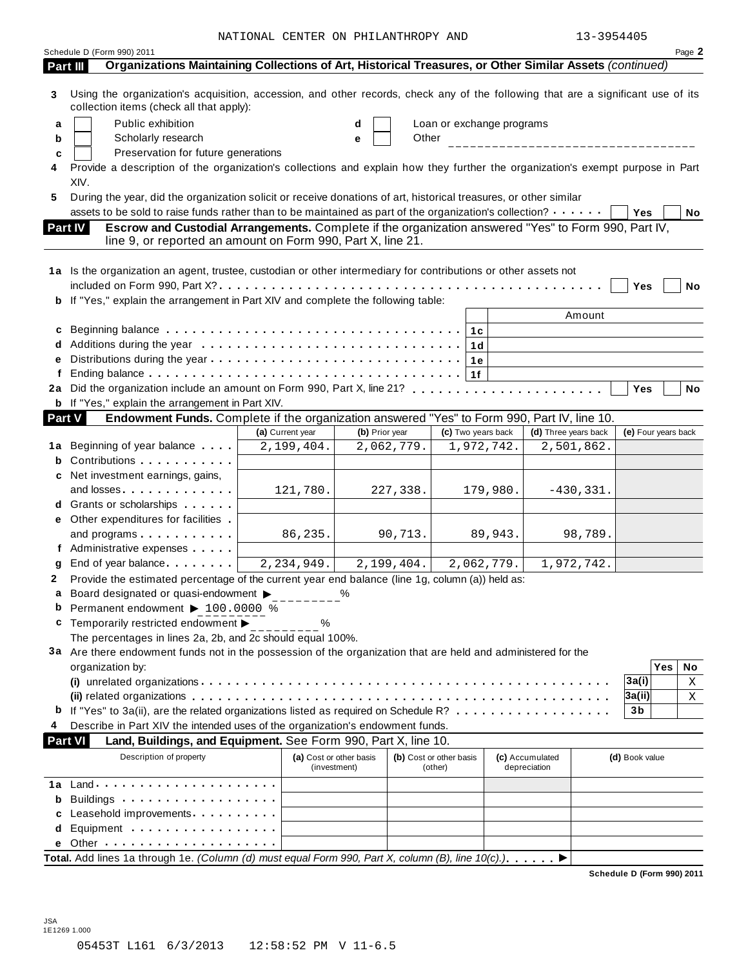NATIONAL CENTER ON PHILANTHROPY AND 13-3954405

|        | Schedule D (Form 990) 2011                                                                                                                                                                                                   |                                         |                |                                    |                                 | Page 2                     |
|--------|------------------------------------------------------------------------------------------------------------------------------------------------------------------------------------------------------------------------------|-----------------------------------------|----------------|------------------------------------|---------------------------------|----------------------------|
|        | Organizations Maintaining Collections of Art, Historical Treasures, or Other Similar Assets (continued)<br>Part III                                                                                                          |                                         |                |                                    |                                 |                            |
| 3      | Using the organization's acquisition, accession, and other records, check any of the following that are a significant use of its<br>collection items (check all that apply):                                                 |                                         |                |                                    |                                 |                            |
| a      | Public exhibition                                                                                                                                                                                                            |                                         |                | Loan or exchange programs          |                                 |                            |
| b      | Scholarly research                                                                                                                                                                                                           |                                         | Other<br>е     |                                    |                                 |                            |
| c      | Preservation for future generations                                                                                                                                                                                          |                                         |                |                                    |                                 |                            |
|        | Provide a description of the organization's collections and explain how they further the organization's exempt purpose in Part                                                                                               |                                         |                |                                    |                                 |                            |
|        | XIV.                                                                                                                                                                                                                         |                                         |                |                                    |                                 |                            |
| 5      | During the year, did the organization solicit or receive donations of art, historical treasures, or other similar<br>assets to be sold to raise funds rather than to be maintained as part of the organization's collection? |                                         |                |                                    |                                 | Yes<br>No                  |
|        | Escrow and Custodial Arrangements. Complete if the organization answered "Yes" to Form 990, Part IV,<br>Part IV<br>line 9, or reported an amount on Form 990, Part X, line 21.                                               |                                         |                |                                    |                                 |                            |
|        | 1a Is the organization an agent, trustee, custodian or other intermediary for contributions or other assets not                                                                                                              |                                         |                |                                    |                                 |                            |
|        |                                                                                                                                                                                                                              |                                         |                |                                    |                                 | Yes<br>No                  |
|        | b If "Yes," explain the arrangement in Part XIV and complete the following table:                                                                                                                                            |                                         |                |                                    |                                 |                            |
|        |                                                                                                                                                                                                                              |                                         |                |                                    | Amount                          |                            |
|        | c Beginning balance $\ldots \ldots \ldots \ldots \ldots \ldots \ldots \ldots \ldots \ldots \ldots \mid 1c$                                                                                                                   |                                         |                |                                    |                                 |                            |
| d      |                                                                                                                                                                                                                              |                                         |                |                                    |                                 |                            |
| е      |                                                                                                                                                                                                                              |                                         |                |                                    |                                 |                            |
| f.     |                                                                                                                                                                                                                              |                                         |                |                                    |                                 |                            |
|        |                                                                                                                                                                                                                              |                                         |                |                                    |                                 | Yes<br>No                  |
|        | <b>b</b> If "Yes," explain the arrangement in Part XIV.                                                                                                                                                                      |                                         |                |                                    |                                 |                            |
| Part V | Endowment Funds. Complete if the organization answered "Yes" to Form 990, Part IV, line 10.                                                                                                                                  |                                         |                |                                    |                                 |                            |
|        |                                                                                                                                                                                                                              | (a) Current year                        | (b) Prior year | (c) Two years back                 | (d) Three years back            | (e) Four years back        |
| 1а     | Beginning of year balance                                                                                                                                                                                                    | 2,199,404.                              | 2,062,779.     | 1,972,742.                         | 2,501,862.                      |                            |
|        | Contributions <b>Contributions</b>                                                                                                                                                                                           |                                         |                |                                    |                                 |                            |
|        | c Net investment earnings, gains,                                                                                                                                                                                            |                                         |                |                                    |                                 |                            |
|        | and losses                                                                                                                                                                                                                   | 121,780.                                | 227,338.       | 179,980.                           | $-430,331.$                     |                            |
|        | d Grants or scholarships                                                                                                                                                                                                     |                                         |                |                                    |                                 |                            |
|        | <b>e</b> Other expenditures for facilities                                                                                                                                                                                   |                                         |                |                                    |                                 |                            |
|        | and programs expansion and programs                                                                                                                                                                                          | 86,235.                                 | 90,713.        | 89,943.                            | 98,789.                         |                            |
|        | f Administrative expenses                                                                                                                                                                                                    |                                         |                |                                    |                                 |                            |
|        | End of year balance                                                                                                                                                                                                          | 2, 234, 949.                            | 2,199,404.     | 2,062,779.                         | 1,972,742.                      |                            |
| g      |                                                                                                                                                                                                                              |                                         |                |                                    |                                 |                            |
| 2      | Provide the estimated percentage of the current year end balance (line 1g, column (a)) held as:                                                                                                                              |                                         |                |                                    |                                 |                            |
|        | Board designated or quasi-endowment >                                                                                                                                                                                        |                                         | %              |                                    |                                 |                            |
|        | <b>b</b> Permanent endowment $\triangleright$ 100.0000 %                                                                                                                                                                     |                                         |                |                                    |                                 |                            |
| с      | Temporarily restricted endowment ▶                                                                                                                                                                                           | %                                       |                |                                    |                                 |                            |
|        | The percentages in lines 2a, 2b, and 2c should equal 100%.                                                                                                                                                                   |                                         |                |                                    |                                 |                            |
|        | 3a Are there endowment funds not in the possession of the organization that are held and administered for the                                                                                                                |                                         |                |                                    |                                 |                            |
|        | organization by:                                                                                                                                                                                                             |                                         |                |                                    |                                 | <b>Yes</b><br>No           |
|        |                                                                                                                                                                                                                              |                                         |                |                                    |                                 | 3a(i)<br>Χ                 |
|        |                                                                                                                                                                                                                              |                                         |                |                                    |                                 | 3a(ii)<br>Χ                |
| b      | If "Yes" to 3a(ii), are the related organizations listed as required on Schedule R?                                                                                                                                          |                                         |                |                                    |                                 | 3b                         |
| 4      | Describe in Part XIV the intended uses of the organization's endowment funds.                                                                                                                                                |                                         |                |                                    |                                 |                            |
|        | Land, Buildings, and Equipment. See Form 990, Part X, line 10.<br><b>Part VI</b>                                                                                                                                             |                                         |                |                                    |                                 |                            |
|        | Description of property                                                                                                                                                                                                      | (a) Cost or other basis<br>(investment) |                | (b) Cost or other basis<br>(other) | (c) Accumulated<br>depreciation | (d) Book value             |
| 1a     |                                                                                                                                                                                                                              |                                         |                |                                    |                                 |                            |
| b      | Buildings                                                                                                                                                                                                                    |                                         |                |                                    |                                 |                            |
| c      | Leasehold improvements <b>contained Leasehold</b> improvements                                                                                                                                                               |                                         |                |                                    |                                 |                            |
| d      | Equipment                                                                                                                                                                                                                    |                                         |                |                                    |                                 |                            |
|        |                                                                                                                                                                                                                              |                                         |                |                                    |                                 |                            |
|        | Total. Add lines 1a through 1e. (Column (d) must equal Form 990, Part X, column (B), line 10(c).). ▶                                                                                                                         |                                         |                |                                    |                                 |                            |
|        |                                                                                                                                                                                                                              |                                         |                |                                    |                                 | Schedule D (Form 000) 2011 |

**Schedule D (Form 990) 2011**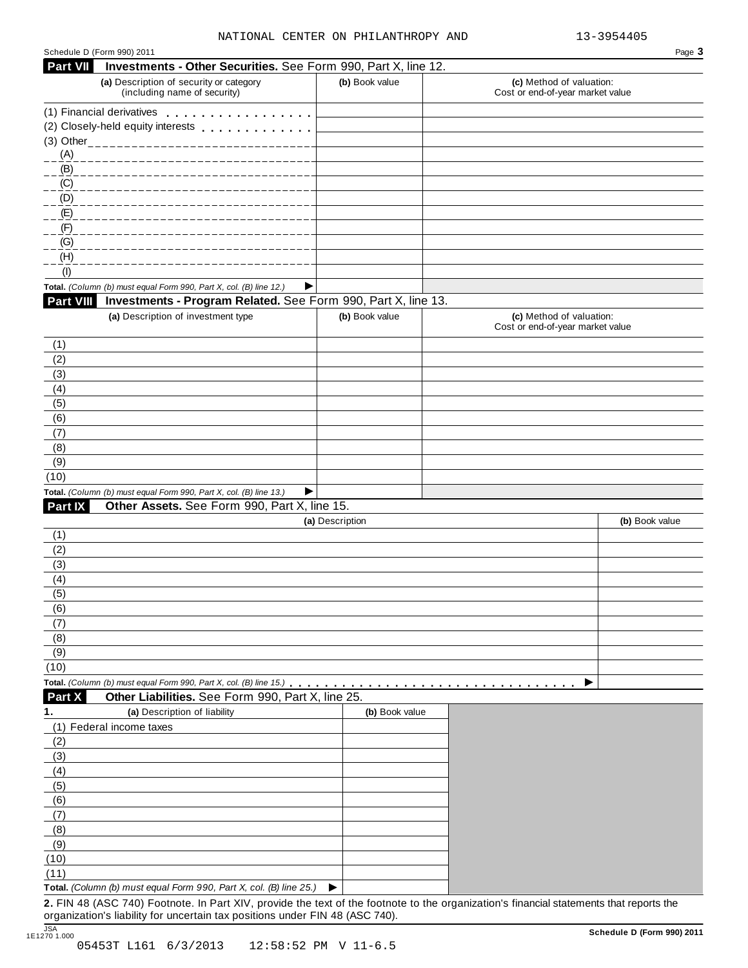| Schedule D (Form 990) 2011                                                                                                              |                 |                                                              | Page 3         |
|-----------------------------------------------------------------------------------------------------------------------------------------|-----------------|--------------------------------------------------------------|----------------|
| <b>Part VII</b><br>Investments - Other Securities. See Form 990, Part X, line 12.                                                       |                 |                                                              |                |
| (a) Description of security or category<br>(including name of security)                                                                 | (b) Book value  | (c) Method of valuation:<br>Cost or end-of-year market value |                |
| (1) Financial derivatives                                                                                                               |                 |                                                              |                |
| (2) Closely-held equity interests entitled and closely-held equity interests                                                            |                 |                                                              |                |
|                                                                                                                                         |                 |                                                              |                |
| (A)<br>_____________                                                                                                                    |                 |                                                              |                |
| (B)                                                                                                                                     |                 |                                                              |                |
| (C)                                                                                                                                     |                 |                                                              |                |
| (D)                                                                                                                                     |                 |                                                              |                |
| (E)                                                                                                                                     |                 |                                                              |                |
| (F)                                                                                                                                     |                 |                                                              |                |
| (G)<br>(H)                                                                                                                              |                 |                                                              |                |
| (1)                                                                                                                                     |                 |                                                              |                |
| Total. (Column (b) must equal Form 990, Part X, col. (B) line 12.)<br>▶                                                                 |                 |                                                              |                |
| Investments - Program Related. See Form 990, Part X, line 13.<br><b>Part VIII</b>                                                       |                 |                                                              |                |
| (a) Description of investment type                                                                                                      | (b) Book value  | (c) Method of valuation:                                     |                |
|                                                                                                                                         |                 | Cost or end-of-year market value                             |                |
| (1)                                                                                                                                     |                 |                                                              |                |
| (2)                                                                                                                                     |                 |                                                              |                |
| (3)                                                                                                                                     |                 |                                                              |                |
| (4)                                                                                                                                     |                 |                                                              |                |
| (5)                                                                                                                                     |                 |                                                              |                |
| (6)                                                                                                                                     |                 |                                                              |                |
| (7)                                                                                                                                     |                 |                                                              |                |
| (8)                                                                                                                                     |                 |                                                              |                |
| (9)                                                                                                                                     |                 |                                                              |                |
| (10)                                                                                                                                    |                 |                                                              |                |
| Total. (Column (b) must equal Form 990, Part X, col. (B) line 13.)<br>▶                                                                 |                 |                                                              |                |
| Other Assets. See Form 990, Part X, line 15.<br>Part IX                                                                                 |                 |                                                              |                |
|                                                                                                                                         | (a) Description |                                                              | (b) Book value |
| (1)                                                                                                                                     |                 |                                                              |                |
| (2)                                                                                                                                     |                 |                                                              |                |
| (3)                                                                                                                                     |                 |                                                              |                |
| (4)                                                                                                                                     |                 |                                                              |                |
| (5)<br>(6)                                                                                                                              |                 |                                                              |                |
| (7)                                                                                                                                     |                 |                                                              |                |
| (8)                                                                                                                                     |                 |                                                              |                |
| (9)                                                                                                                                     |                 |                                                              |                |
| (10)                                                                                                                                    |                 |                                                              |                |
| Total. (Column (b) must equal Form 990, Part X, col. (B) line 15.)                                                                      |                 |                                                              |                |
| Other Liabilities. See Form 990, Part X, line 25.<br>Part X                                                                             |                 |                                                              |                |
| (a) Description of liability<br>1.                                                                                                      | (b) Book value  |                                                              |                |
| (1) Federal income taxes                                                                                                                |                 |                                                              |                |
| (2)                                                                                                                                     |                 |                                                              |                |
| (3)                                                                                                                                     |                 |                                                              |                |
| (4)                                                                                                                                     |                 |                                                              |                |
| (5)                                                                                                                                     |                 |                                                              |                |
| (6)                                                                                                                                     |                 |                                                              |                |
| (7)                                                                                                                                     |                 |                                                              |                |
| (8)                                                                                                                                     |                 |                                                              |                |
| (9)                                                                                                                                     |                 |                                                              |                |
| (10)                                                                                                                                    |                 |                                                              |                |
| (11)                                                                                                                                    |                 |                                                              |                |
| Total. (Column (b) must equal Form 990, Part X, col. (B) line 25.)                                                                      | ▶               |                                                              |                |
| 2. FIN 48 (ASC 740) Footnote. In Part XIV, provide the text of the footnote to the organization's financial statements that reports the |                 |                                                              |                |

organization's liability for uncertain tax positions under FIN 48 (ASC 740).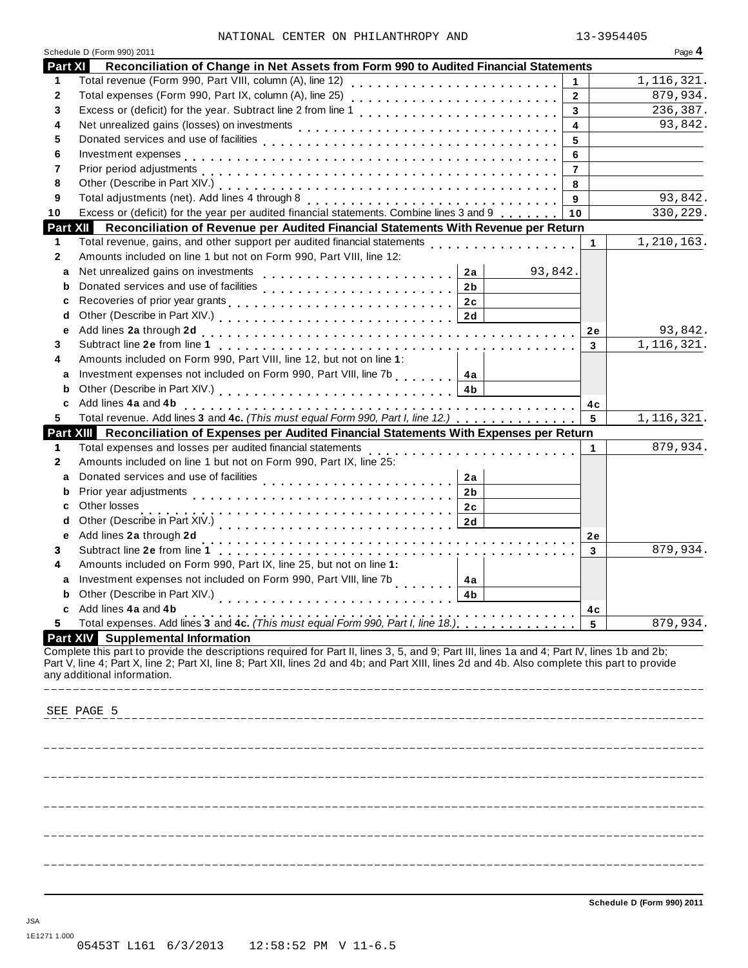|              | Schedule D (Form 990) 2011                                                                                                                                           |                | Page 4       |
|--------------|----------------------------------------------------------------------------------------------------------------------------------------------------------------------|----------------|--------------|
| Part XI      | Reconciliation of Change in Net Assets from Form 990 to Audited Financial Statements                                                                                 |                |              |
| 1            | Total revenue (Form 990, Part VIII, column (A), line 12)                                                                                                             | 1              | 1, 116, 321. |
| 2            |                                                                                                                                                                      | $\overline{2}$ | 879,934.     |
| 3            |                                                                                                                                                                      | 3              | 236,387.     |
| 4            |                                                                                                                                                                      | 4              | 93,842.      |
| 5            |                                                                                                                                                                      | 5              |              |
| 6            |                                                                                                                                                                      | 6              |              |
| 7            |                                                                                                                                                                      | $\overline{7}$ |              |
| 8            |                                                                                                                                                                      | 8              |              |
| 9            | Total adjustments (net). Add lines 4 through 8                                                                                                                       | 9              | 93,842.      |
| 10           | Excess or (deficit) for the year per audited financial statements. Combine lines 3 and 9                                                                             | 10             | 330,229.     |
| Part XII     | Reconciliation of Revenue per Audited Financial Statements With Revenue per Return                                                                                   |                |              |
| 1            | Total revenue, gains, and other support per audited financial statements<br>Total revenue, gains, and other support per audited financial statements                 |                | 1,210,163.   |
| $\mathbf{2}$ | Amounts included on line 1 but not on Form 990, Part VIII, line 12:                                                                                                  | $\mathbf 1$    |              |
|              |                                                                                                                                                                      |                |              |
| a            | Net unrealized gains on investments<br>93,842.<br>2a                                                                                                                 |                |              |
| b            | 2 <sub>b</sub>                                                                                                                                                       |                |              |
| c            | 2c                                                                                                                                                                   |                |              |
| d            |                                                                                                                                                                      |                |              |
| e            |                                                                                                                                                                      | 2e             | 93,842.      |
| 3            |                                                                                                                                                                      | 3              | 1, 116, 321. |
| 4            | Amounts included on Form 990, Part VIII, line 12, but not on line 1:                                                                                                 |                |              |
| a            | Investment expenses not included on Form 990, Part VIII, line 7b<br>4a                                                                                               |                |              |
| b            | 4b                                                                                                                                                                   |                |              |
| C            | Add lines 4a and 4b                                                                                                                                                  | 4с             |              |
| 5            | Total revenue. Add lines 3 and 4c. (This must equal Form 990, Part I, line 12.)                                                                                      | 5              | 1,116,321.   |
|              | Part XIII Reconciliation of Expenses per Audited Financial Statements With Expenses per Return                                                                       |                |              |
| 1            | Total expenses and losses per audited financial statements<br>.                                                                                                      | 1              | 879,934.     |
| $\mathbf{2}$ | Amounts included on line 1 but not on Form 990, Part IX, line 25:                                                                                                    |                |              |
| a            | Donated services and use of facilities<br>2a                                                                                                                         |                |              |
| b            | Prior year adjustments<br>2 <sub>b</sub>                                                                                                                             |                |              |
| c            | Other losses<br>2c                                                                                                                                                   |                |              |
| d            | 2d                                                                                                                                                                   |                |              |
| e            | Add lines 2a through 2d                                                                                                                                              | 2e             |              |
| 3            |                                                                                                                                                                      | 3              | 879,934.     |
| 4            | Amounts included on Form 990, Part IX, line 25, but not on line 1:                                                                                                   |                |              |
| a            | Investment expenses not included on Form 990, Part VIII, line 7b<br>4a                                                                                               |                |              |
|              | Other (Describe in Part XIV.)<br>4 <sub>b</sub>                                                                                                                      |                |              |
| c            | Add lines 4a and 4b                                                                                                                                                  | 4 C            |              |
| 5            | Total expenses. Add lines 3 and 4c. (This must equal Form 990, Part I, line 18.)<br>Total expenses. Add lines 3 and 4c. (This must equal Form 990, Part I, line 18.) | 5              | 879,934.     |
|              | <b>Part XIV</b> Supplemental Information                                                                                                                             |                |              |
|              | Complete this part to provide the descriptions required for Part II, lines 3, 5, and 9; Part III, lines 1a and 4; Part IV, lines 1b and 2b;                          |                |              |
|              | Part V, line 4; Part X, line 2; Part XI, line 8; Part XII, lines 2d and 4b; and Part XIII, lines 2d and 4b. Also complete this part to provide                       |                |              |
|              | any additional information.                                                                                                                                          |                |              |
|              |                                                                                                                                                                      |                |              |
|              | SEE PAGE 5                                                                                                                                                           |                |              |
|              |                                                                                                                                                                      |                |              |
|              |                                                                                                                                                                      |                |              |
|              |                                                                                                                                                                      |                |              |
|              |                                                                                                                                                                      |                |              |
|              |                                                                                                                                                                      |                |              |
|              |                                                                                                                                                                      |                |              |
|              |                                                                                                                                                                      |                |              |
|              |                                                                                                                                                                      |                |              |
|              |                                                                                                                                                                      |                |              |
|              |                                                                                                                                                                      |                |              |
|              |                                                                                                                                                                      |                |              |
|              |                                                                                                                                                                      |                |              |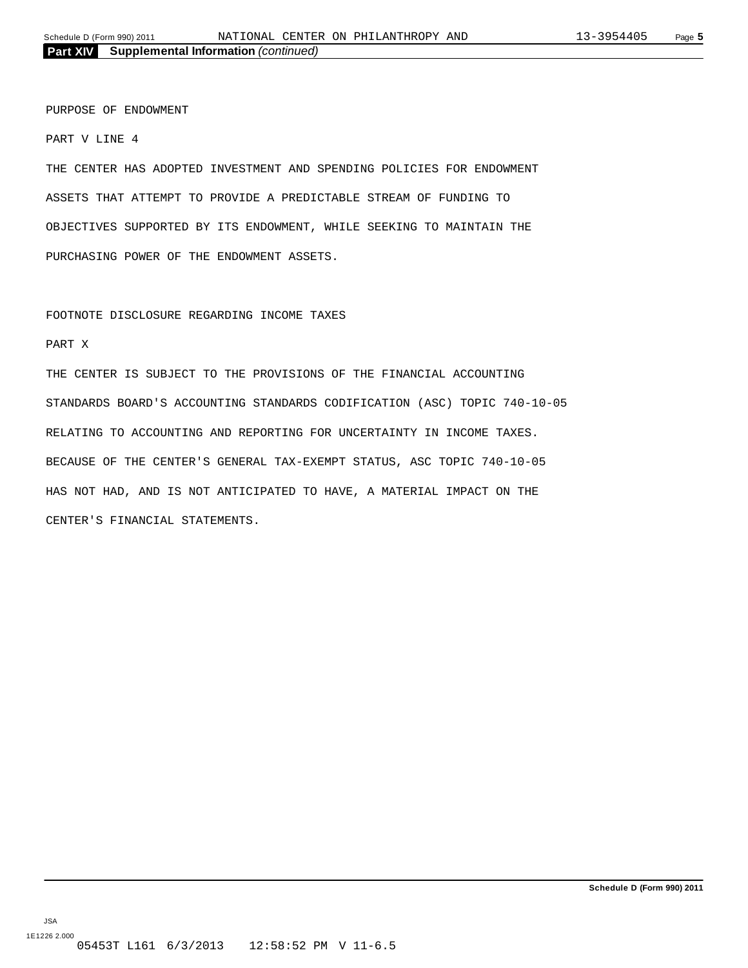PURPOSE OF ENDOWMENT

PART V LINE 4

THE CENTER HAS ADOPTED INVESTMENT AND SPENDING POLICIES FOR ENDOWMENT ASSETS THAT ATTEMPT TO PROVIDE A PREDICTABLE STREAM OF FUNDING TO OBJECTIVES SUPPORTED BY ITS ENDOWMENT, WHILE SEEKING TO MAINTAIN THE PURCHASING POWER OF THE ENDOWMENT ASSETS.

FOOTNOTE DISCLOSURE REGARDING INCOME TAXES

#### PART X

THE CENTER IS SUBJECT TO THE PROVISIONS OF THE FINANCIAL ACCOUNTING STANDARDS BOARD'S ACCOUNTING STANDARDS CODIFICATION (ASC) TOPIC 740-10-05 RELATING TO ACCOUNTING AND REPORTING FOR UNCERTAINTY IN INCOME TAXES. BECAUSE OF THE CENTER'S GENERAL TAX-EXEMPT STATUS, ASC TOPIC 740-10-05 HAS NOT HAD, AND IS NOT ANTICIPATED TO HAVE, A MATERIAL IMPACT ON THE CENTER'S FINANCIAL STATEMENTS.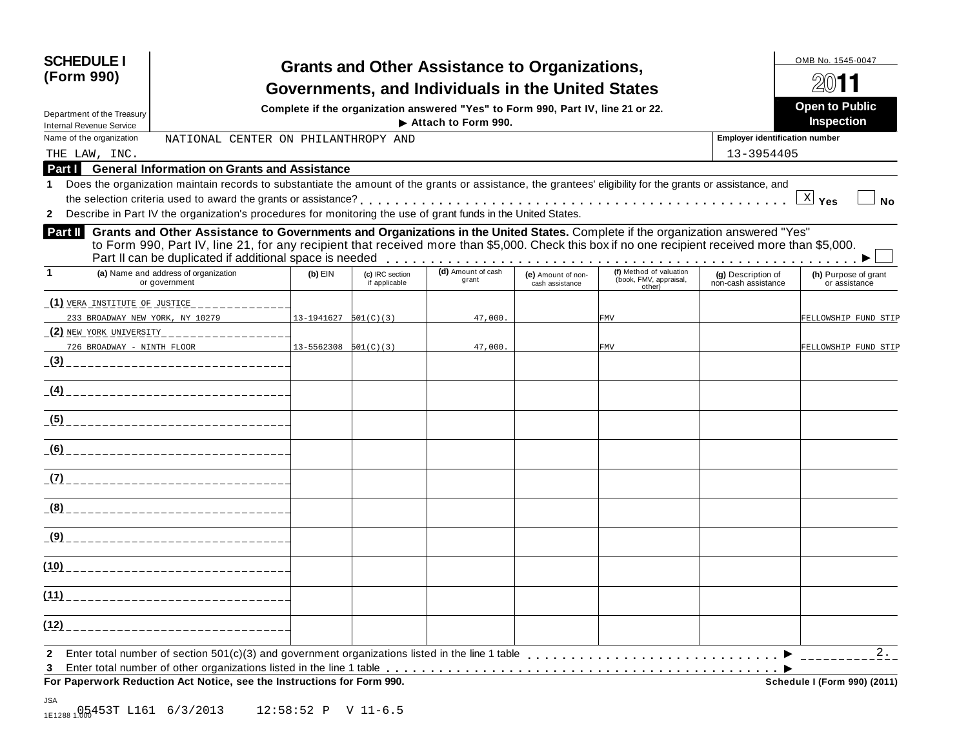| <b>SCHEDULE I</b><br>(Form 990)                                                                                                                                                                                                                                                                                                                                 | <b>Grants and Other Assistance to Organizations,</b><br>Governments, and Individuals in the United States                                                                                                                                                                                       |                                  |                             |                                       |                                                             |                                           |                                       |  |  |  |  |
|-----------------------------------------------------------------------------------------------------------------------------------------------------------------------------------------------------------------------------------------------------------------------------------------------------------------------------------------------------------------|-------------------------------------------------------------------------------------------------------------------------------------------------------------------------------------------------------------------------------------------------------------------------------------------------|----------------------------------|-----------------------------|---------------------------------------|-------------------------------------------------------------|-------------------------------------------|---------------------------------------|--|--|--|--|
| <b>Open to Public</b><br>Complete if the organization answered "Yes" to Form 990, Part IV, line 21 or 22.<br>Department of the Treasury<br><b>Inspection</b><br>Attach to Form 990.<br><b>Internal Revenue Service</b>                                                                                                                                          |                                                                                                                                                                                                                                                                                                 |                                  |                             |                                       |                                                             |                                           |                                       |  |  |  |  |
| Name of the organization<br><b>Employer identification number</b><br>NATIONAL CENTER ON PHILANTHROPY AND                                                                                                                                                                                                                                                        |                                                                                                                                                                                                                                                                                                 |                                  |                             |                                       |                                                             |                                           |                                       |  |  |  |  |
| THE LAW, INC.<br><b>General Information on Grants and Assistance</b>                                                                                                                                                                                                                                                                                            |                                                                                                                                                                                                                                                                                                 |                                  |                             |                                       |                                                             | 13-3954405                                |                                       |  |  |  |  |
| Part I                                                                                                                                                                                                                                                                                                                                                          |                                                                                                                                                                                                                                                                                                 |                                  |                             |                                       |                                                             |                                           |                                       |  |  |  |  |
| $\mathbf{2}$                                                                                                                                                                                                                                                                                                                                                    | Does the organization maintain records to substantiate the amount of the grants or assistance, the grantees' eligibility for the grants or assistance, and<br>$\mathbb{X}$ Yes<br>Describe in Part IV the organization's procedures for monitoring the use of grant funds in the United States. |                                  |                             |                                       |                                                             |                                           |                                       |  |  |  |  |
| Grants and Other Assistance to Governments and Organizations in the United States. Complete if the organization answered "Yes"<br><b>Part II</b><br>to Form 990, Part IV, line 21, for any recipient that received more than \$5,000. Check this box if no one recipient received more than \$5,000.<br>Part II can be duplicated if additional space is needed |                                                                                                                                                                                                                                                                                                 |                                  |                             |                                       |                                                             |                                           |                                       |  |  |  |  |
| (a) Name and address of organization<br>or government                                                                                                                                                                                                                                                                                                           | $(b)$ EIN                                                                                                                                                                                                                                                                                       | (c) IRC section<br>if applicable | (d) Amount of cash<br>grant | (e) Amount of non-<br>cash assistance | (f) Method of valuation<br>(book, FMV, appraisal,<br>other) | (g) Description of<br>non-cash assistance | (h) Purpose of grant<br>or assistance |  |  |  |  |
| <u>(1) VERA INSTITUTE OF JUSTICE__</u>                                                                                                                                                                                                                                                                                                                          |                                                                                                                                                                                                                                                                                                 |                                  |                             |                                       |                                                             |                                           |                                       |  |  |  |  |
| 233 BROADWAY NEW YORK, NY 10279                                                                                                                                                                                                                                                                                                                                 | $13-1941627$ $501(C)(3)$                                                                                                                                                                                                                                                                        |                                  | 47,000.                     |                                       | <b>FMV</b>                                                  |                                           | FELLOWSHIP FUND STIP                  |  |  |  |  |
| $(2)$ NEW YORK UNIVERSITY                                                                                                                                                                                                                                                                                                                                       |                                                                                                                                                                                                                                                                                                 |                                  |                             |                                       |                                                             |                                           |                                       |  |  |  |  |
| 726 BROADWAY - NINTH FLOOR                                                                                                                                                                                                                                                                                                                                      | $13 - 5562308$ $501(C)(3)$                                                                                                                                                                                                                                                                      |                                  | 47,000.                     |                                       | <b>FMV</b>                                                  |                                           | FELLOWSHIP FUND STIP                  |  |  |  |  |
|                                                                                                                                                                                                                                                                                                                                                                 |                                                                                                                                                                                                                                                                                                 |                                  |                             |                                       |                                                             |                                           |                                       |  |  |  |  |
|                                                                                                                                                                                                                                                                                                                                                                 |                                                                                                                                                                                                                                                                                                 |                                  |                             |                                       |                                                             |                                           |                                       |  |  |  |  |
|                                                                                                                                                                                                                                                                                                                                                                 |                                                                                                                                                                                                                                                                                                 |                                  |                             |                                       |                                                             |                                           |                                       |  |  |  |  |
| (6)                                                                                                                                                                                                                                                                                                                                                             |                                                                                                                                                                                                                                                                                                 |                                  |                             |                                       |                                                             |                                           |                                       |  |  |  |  |
|                                                                                                                                                                                                                                                                                                                                                                 |                                                                                                                                                                                                                                                                                                 |                                  |                             |                                       |                                                             |                                           |                                       |  |  |  |  |
| (8)<br>_____________________                                                                                                                                                                                                                                                                                                                                    |                                                                                                                                                                                                                                                                                                 |                                  |                             |                                       |                                                             |                                           |                                       |  |  |  |  |
| (9)                                                                                                                                                                                                                                                                                                                                                             |                                                                                                                                                                                                                                                                                                 |                                  |                             |                                       |                                                             |                                           |                                       |  |  |  |  |
| (10)                                                                                                                                                                                                                                                                                                                                                            |                                                                                                                                                                                                                                                                                                 |                                  |                             |                                       |                                                             |                                           |                                       |  |  |  |  |
| (11)                                                                                                                                                                                                                                                                                                                                                            |                                                                                                                                                                                                                                                                                                 |                                  |                             |                                       |                                                             |                                           |                                       |  |  |  |  |
| (12)<br>_______________________________                                                                                                                                                                                                                                                                                                                         |                                                                                                                                                                                                                                                                                                 |                                  |                             |                                       |                                                             |                                           |                                       |  |  |  |  |
| $\mathbf{2}$                                                                                                                                                                                                                                                                                                                                                    |                                                                                                                                                                                                                                                                                                 |                                  |                             |                                       |                                                             |                                           | 2.                                    |  |  |  |  |
| For Paperwork Reduction Act Notice, see the Instructions for Form 990.                                                                                                                                                                                                                                                                                          |                                                                                                                                                                                                                                                                                                 |                                  |                             |                                       |                                                             |                                           | Schedule I (Form 990) (2011)          |  |  |  |  |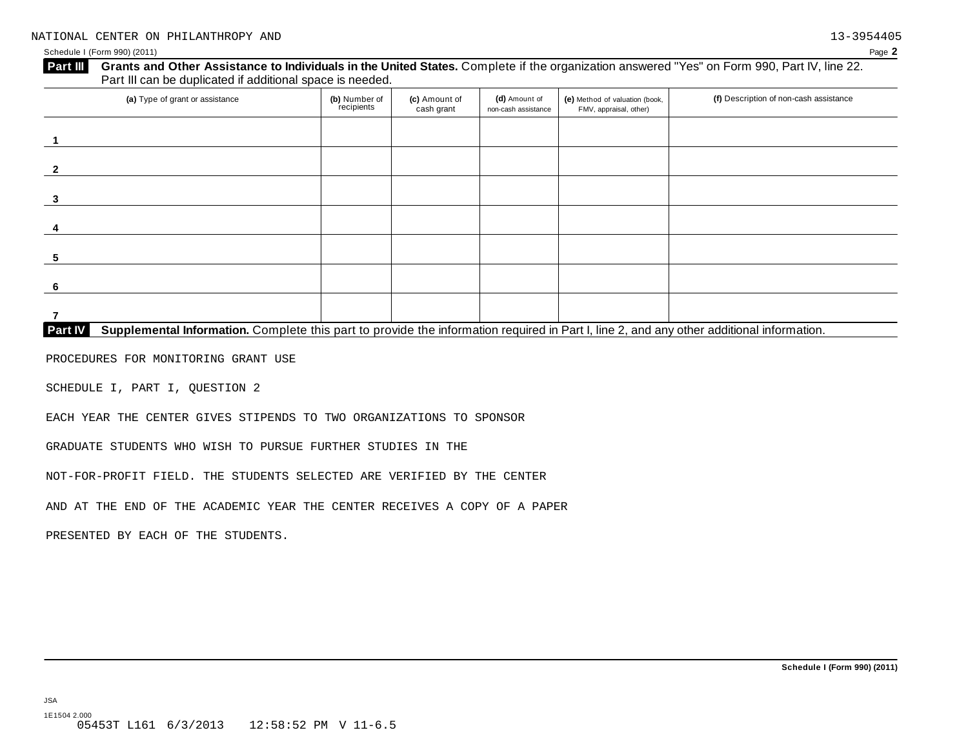#### Schedule I (Form 990) (2011) Page **2**

| (a) Type of grant or assistance | (b) Number of<br>recipients | (c) Amount of<br>cash grant | (d) Amount of<br>non-cash assistance | (e) Method of valuation (book,<br>FMV, appraisal, other) | (f) Description of non-cash assistance |
|---------------------------------|-----------------------------|-----------------------------|--------------------------------------|----------------------------------------------------------|----------------------------------------|
|                                 |                             |                             |                                      |                                                          |                                        |
|                                 |                             |                             |                                      |                                                          |                                        |
|                                 |                             |                             |                                      |                                                          |                                        |
|                                 |                             |                             |                                      |                                                          |                                        |
|                                 |                             |                             |                                      |                                                          |                                        |
|                                 |                             |                             |                                      |                                                          |                                        |
|                                 |                             |                             |                                      |                                                          |                                        |

PROCEDURES FOR MONITORING GRANT USE

SCHEDULE I, PART I, QUESTION 2

EACH YEAR THE CENTER GIVES STIPENDS TO TWO ORGANIZATIONS TO SPONSOR

GRADUATE STUDENTS WHO WISH TO PURSUE FURTHER STUDIES IN THE

NOT-FOR-PROFIT FIELD. THE STUDENTS SELECTED ARE VERIFIED BY THE CENTER

AND AT THE END OF THE ACADEMIC YEAR THE CENTER RECEIVES A COPY OF A PAPER

PRESENTED BY EACH OF THE STUDENTS.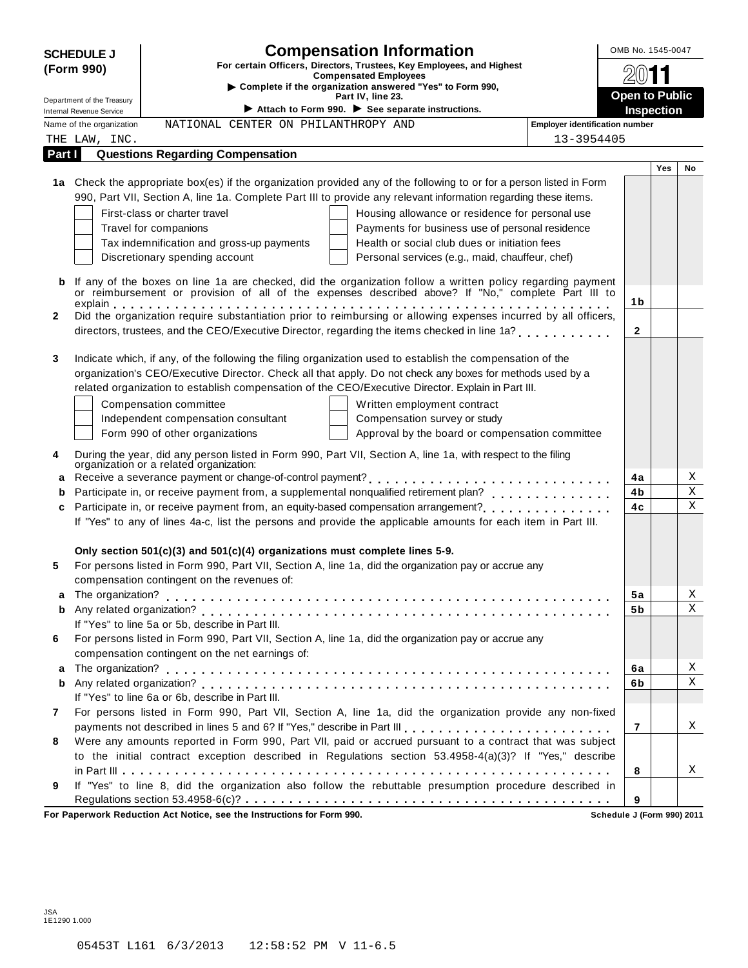|              | <b>Compensation Information</b><br>OMB No. 1545-0047<br><b>SCHEDULE J</b>                                           |                                                                                                                                                      |                                     |     |             |  |  |  |
|--------------|---------------------------------------------------------------------------------------------------------------------|------------------------------------------------------------------------------------------------------------------------------------------------------|-------------------------------------|-----|-------------|--|--|--|
|              | For certain Officers, Directors, Trustees, Key Employees, and Highest<br>(Form 990)<br><b>Compensated Employees</b> |                                                                                                                                                      |                                     |     |             |  |  |  |
|              |                                                                                                                     | Complete if the organization answered "Yes" to Form 990,                                                                                             |                                     |     |             |  |  |  |
|              | Department of the Treasury                                                                                          | Part IV, line 23.                                                                                                                                    | <b>Open to Public</b><br>Inspection |     |             |  |  |  |
|              | Attach to Form 990. $\blacktriangleright$ See separate instructions.<br>Internal Revenue Service                    |                                                                                                                                                      |                                     |     |             |  |  |  |
|              | Name of the organization                                                                                            | <b>Employer identification number</b><br>NATIONAL CENTER ON PHILANTHROPY AND                                                                         |                                     |     |             |  |  |  |
|              | THE LAW, INC.                                                                                                       | 13-3954405                                                                                                                                           |                                     |     |             |  |  |  |
| Part I       |                                                                                                                     | <b>Questions Regarding Compensation</b>                                                                                                              |                                     | Yes | No          |  |  |  |
|              |                                                                                                                     | 1a Check the appropriate box(es) if the organization provided any of the following to or for a person listed in Form                                 |                                     |     |             |  |  |  |
|              |                                                                                                                     | 990, Part VII, Section A, line 1a. Complete Part III to provide any relevant information regarding these items.                                      |                                     |     |             |  |  |  |
|              |                                                                                                                     | First-class or charter travel<br>Housing allowance or residence for personal use                                                                     |                                     |     |             |  |  |  |
|              |                                                                                                                     | Travel for companions<br>Payments for business use of personal residence                                                                             |                                     |     |             |  |  |  |
|              |                                                                                                                     | Tax indemnification and gross-up payments<br>Health or social club dues or initiation fees                                                           |                                     |     |             |  |  |  |
|              |                                                                                                                     | Discretionary spending account<br>Personal services (e.g., maid, chauffeur, chef)                                                                    |                                     |     |             |  |  |  |
|              |                                                                                                                     |                                                                                                                                                      |                                     |     |             |  |  |  |
|              |                                                                                                                     | If any of the boxes on line 1a are checked, did the organization follow a written policy regarding payment                                           |                                     |     |             |  |  |  |
|              |                                                                                                                     | or reimbursement or provision of all of the expenses described above? If "No," complete Part III to                                                  | 1b                                  |     |             |  |  |  |
| $\mathbf{2}$ |                                                                                                                     | Did the organization require substantiation prior to reimbursing or allowing expenses incurred by all officers,                                      |                                     |     |             |  |  |  |
|              |                                                                                                                     | directors, trustees, and the CEO/Executive Director, regarding the items checked in line 1a?                                                         | $\mathbf{2}$                        |     |             |  |  |  |
|              |                                                                                                                     |                                                                                                                                                      |                                     |     |             |  |  |  |
| 3            |                                                                                                                     | Indicate which, if any, of the following the filing organization used to establish the compensation of the                                           |                                     |     |             |  |  |  |
|              |                                                                                                                     | organization's CEO/Executive Director. Check all that apply. Do not check any boxes for methods used by a                                            |                                     |     |             |  |  |  |
|              |                                                                                                                     | related organization to establish compensation of the CEO/Executive Director. Explain in Part III.                                                   |                                     |     |             |  |  |  |
|              |                                                                                                                     | Compensation committee<br>Written employment contract                                                                                                |                                     |     |             |  |  |  |
|              |                                                                                                                     | Independent compensation consultant<br>Compensation survey or study                                                                                  |                                     |     |             |  |  |  |
|              |                                                                                                                     | Form 990 of other organizations<br>Approval by the board or compensation committee                                                                   |                                     |     |             |  |  |  |
| 4            |                                                                                                                     |                                                                                                                                                      |                                     |     |             |  |  |  |
|              |                                                                                                                     | During the year, did any person listed in Form 990, Part VII, Section A, line 1a, with respect to the filing organization or a related organization: |                                     |     |             |  |  |  |
|              |                                                                                                                     |                                                                                                                                                      | 4a                                  |     | Χ           |  |  |  |
| b            |                                                                                                                     |                                                                                                                                                      | 4b                                  |     | $\mathbf X$ |  |  |  |
| c            |                                                                                                                     |                                                                                                                                                      | 4c                                  |     | Χ           |  |  |  |
|              |                                                                                                                     | If "Yes" to any of lines 4a-c, list the persons and provide the applicable amounts for each item in Part III.                                        |                                     |     |             |  |  |  |
|              |                                                                                                                     |                                                                                                                                                      |                                     |     |             |  |  |  |
|              |                                                                                                                     | Only section $501(c)(3)$ and $501(c)(4)$ organizations must complete lines 5-9.                                                                      |                                     |     |             |  |  |  |
| 5            |                                                                                                                     | For persons listed in Form 990, Part VII, Section A, line 1a, did the organization pay or accrue any                                                 |                                     |     |             |  |  |  |
|              |                                                                                                                     | compensation contingent on the revenues of:                                                                                                          |                                     |     |             |  |  |  |
| a            |                                                                                                                     |                                                                                                                                                      | 5а                                  |     | X           |  |  |  |
| b            |                                                                                                                     |                                                                                                                                                      | 5 b                                 |     | Χ           |  |  |  |
|              |                                                                                                                     | If "Yes" to line 5a or 5b, describe in Part III.                                                                                                     |                                     |     |             |  |  |  |
| 6            |                                                                                                                     | For persons listed in Form 990, Part VII, Section A, line 1a, did the organization pay or accrue any                                                 |                                     |     |             |  |  |  |
|              |                                                                                                                     | compensation contingent on the net earnings of:                                                                                                      |                                     |     |             |  |  |  |
| a            |                                                                                                                     |                                                                                                                                                      | 6a                                  |     | Χ           |  |  |  |
| b            |                                                                                                                     |                                                                                                                                                      | 6b                                  |     | Χ           |  |  |  |
|              |                                                                                                                     | If "Yes" to line 6a or 6b, describe in Part III.                                                                                                     |                                     |     |             |  |  |  |
| 7            |                                                                                                                     | For persons listed in Form 990, Part VII, Section A, line 1a, did the organization provide any non-fixed                                             |                                     |     |             |  |  |  |
|              |                                                                                                                     |                                                                                                                                                      | $\overline{7}$                      |     | Χ           |  |  |  |
| 8            |                                                                                                                     | Were any amounts reported in Form 990, Part VII, paid or accrued pursuant to a contract that was subject                                             |                                     |     |             |  |  |  |
|              |                                                                                                                     | to the initial contract exception described in Regulations section 53.4958-4(a)(3)? If "Yes," describe                                               |                                     |     |             |  |  |  |
|              |                                                                                                                     |                                                                                                                                                      | 8                                   |     | Χ           |  |  |  |
| 9            |                                                                                                                     | If "Yes" to line 8, did the organization also follow the rebuttable presumption procedure described in                                               |                                     |     |             |  |  |  |
|              |                                                                                                                     | For Paperwork Reduction Act Notice, see the Instructions for Form 990.<br>Schedule J (Form 990) 2011                                                 | 9                                   |     |             |  |  |  |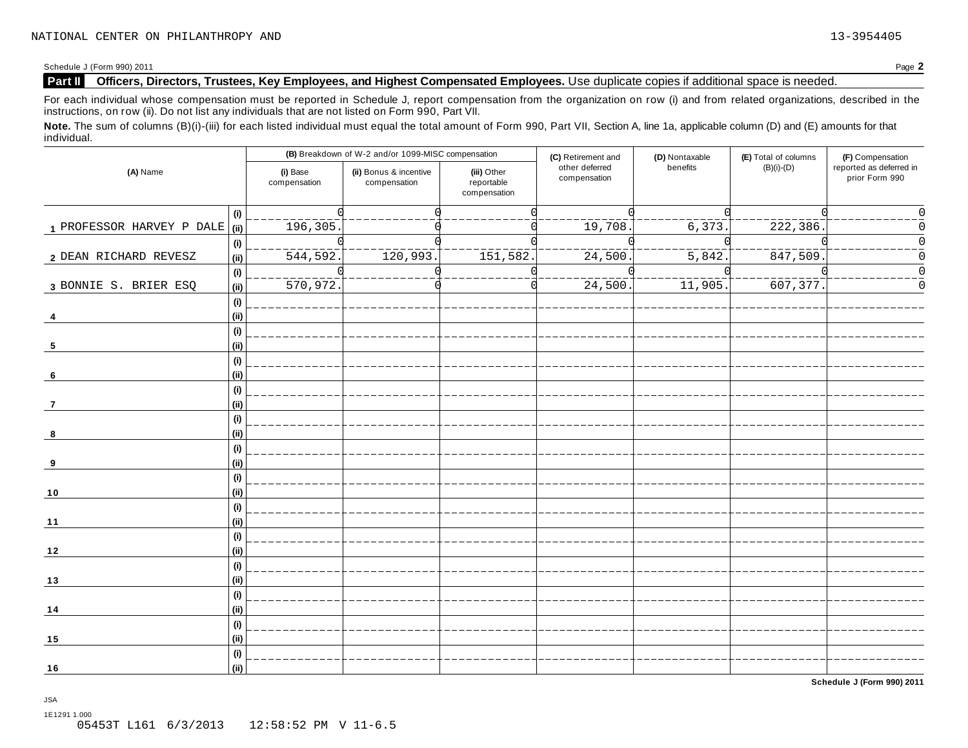Schedule J (Form 990) 2011 Page **2**

#### **Part II Officers, Directors, Trustees, Key Employees, and Highest Compensated Employees.** Use duplicate copies ifadditional space is needed.

For each individual whose compensation must be reported in Schedule J, report compensation from the organization on row (i) and from related organizations, described in the instructions, on row (ii). Do not list any individuals that are not listed on Form 990, Part VII.

Note. The sum of columns (B)(i)-(iii) for each listed individual must equal the total amount of Form 990, Part VII, Section A, line 1a, applicable column (D) and (E) amounts for that individual.

|                           |                              |                          | (B) Breakdown of W-2 and/or 1099-MISC compensation |                                           | (C) Retirement and             | (D) Nontaxable | (E) Total of columns | (F) Compensation                          |
|---------------------------|------------------------------|--------------------------|----------------------------------------------------|-------------------------------------------|--------------------------------|----------------|----------------------|-------------------------------------------|
| (A) Name                  |                              | (i) Base<br>compensation | (ii) Bonus & incentive<br>compensation             | (iii) Other<br>reportable<br>compensation | other deferred<br>compensation | benefits       | $(B)(i)-(D)$         | reported as deferred in<br>prior Form 990 |
|                           | (i)                          |                          |                                                    |                                           |                                |                |                      | 0                                         |
| 1 PROFESSOR HARVEY P DALE | iii)                         | 196,305                  |                                                    |                                           | 19,708                         | 6,373.         | 222,386.             | 0                                         |
|                           | (i)                          |                          |                                                    |                                           |                                |                |                      | $\Omega$                                  |
| 2 DEAN RICHARD REVESZ     | (i)                          | 544,592.                 | 120,993.                                           | <sup>----------</sup> -                   | 24,500                         | 5,842.         | 847,509              | 0                                         |
|                           | (i)                          |                          |                                                    |                                           |                                |                |                      | $\mathbf 0$                               |
| 3 BONNIE S. BRIER ESQ     | (ii)                         | $\frac{1}{570}$ , 972.   |                                                    |                                           | 24,500                         | 11,905.        | 607, 377.            | $\mathbf 0$                               |
|                           | (i)                          |                          |                                                    |                                           |                                |                |                      |                                           |
|                           | (ii)                         |                          |                                                    |                                           |                                |                |                      |                                           |
|                           | $\qquad \qquad \textbf{(i)}$ |                          |                                                    |                                           |                                |                |                      |                                           |
| 5                         | (i)                          |                          |                                                    |                                           |                                |                |                      |                                           |
|                           | (i)                          |                          |                                                    |                                           |                                |                |                      |                                           |
| 6                         | (i)                          |                          |                                                    |                                           |                                |                |                      |                                           |
|                           | (i)                          |                          |                                                    |                                           |                                |                |                      |                                           |
| $\overline{7}$            | (i)                          |                          |                                                    |                                           |                                |                |                      |                                           |
|                           | (i)                          |                          |                                                    |                                           |                                |                |                      |                                           |
| 8                         | (i)                          |                          |                                                    |                                           |                                |                |                      |                                           |
|                           | (i)                          |                          |                                                    |                                           |                                |                |                      |                                           |
| 9                         | (i)                          |                          |                                                    |                                           |                                |                |                      |                                           |
|                           | (i)                          |                          |                                                    |                                           |                                |                |                      |                                           |
| 10                        | (i)                          |                          |                                                    |                                           |                                |                |                      |                                           |
|                           | $\qquad \qquad \textbf{(i)}$ |                          |                                                    |                                           |                                |                |                      |                                           |
| 11                        | (i)                          |                          |                                                    |                                           |                                |                |                      |                                           |
|                           | $\qquad \qquad \textbf{(i)}$ |                          |                                                    |                                           |                                |                |                      |                                           |
| $12$                      | (ii)                         |                          |                                                    |                                           |                                |                |                      |                                           |
|                           | (i)                          |                          |                                                    |                                           |                                |                |                      |                                           |
| 13                        | (ii)                         |                          |                                                    |                                           |                                |                |                      |                                           |
|                           | (i)                          |                          |                                                    |                                           |                                |                |                      |                                           |
| 14                        | (i)                          |                          |                                                    |                                           |                                |                |                      |                                           |
|                           | (i)                          |                          |                                                    |                                           |                                |                |                      |                                           |
| 15                        | (i)                          |                          |                                                    |                                           |                                |                |                      |                                           |
|                           | (i)                          |                          |                                                    |                                           |                                |                |                      |                                           |
| 16                        | (ii)                         |                          |                                                    |                                           |                                |                |                      |                                           |

**Schedule J (Form 990) 2011**

JSA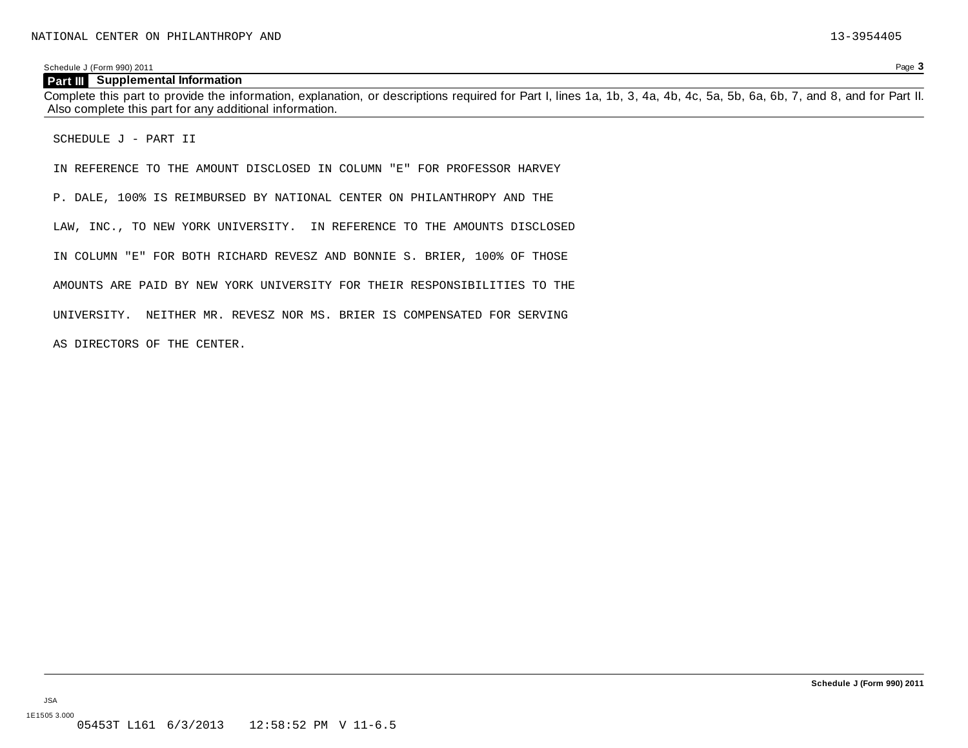Schedule J (Form 990) 2011 Page **3**

#### **Part III Supplemental Information**

Complete this part to provide the information, explanation, or descriptions required for Part I, lines 1a, 1b, 3, 4a, 4b, 4c, 5a, 5b, 6a, 6b, 7, and 8, and for Part II. Also complete this part for any additional information.

SCHEDULE J - PART II

IN REFERENCE TO THE AMOUNT DISCLOSED IN COLUMN "E" FOR PROFESSOR HARVEY

P. DALE, 100% IS REIMBURSED BY NATIONAL CENTER ON PHILANTHROPY AND THE

LAW, INC., TO NEW YORK UNIVERSITY. IN REFERENCE TO THE AMOUNTS DISCLOSED

IN COLUMN "E" FOR BOTH RICHARD REVESZ AND BONNIE S. BRIER, 100% OF THOSE

AMOUNTS ARE PAID BY NEW YORK UNIVERSITY FOR THEIR RESPONSIBILITIES TO THE

UNIVERSITY. NEITHER MR. REVESZ NOR MS. BRIER IS COMPENSATED FOR SERVING

AS DIRECTORS OF THE CENTER.

**Schedule J (Form 990) 2011**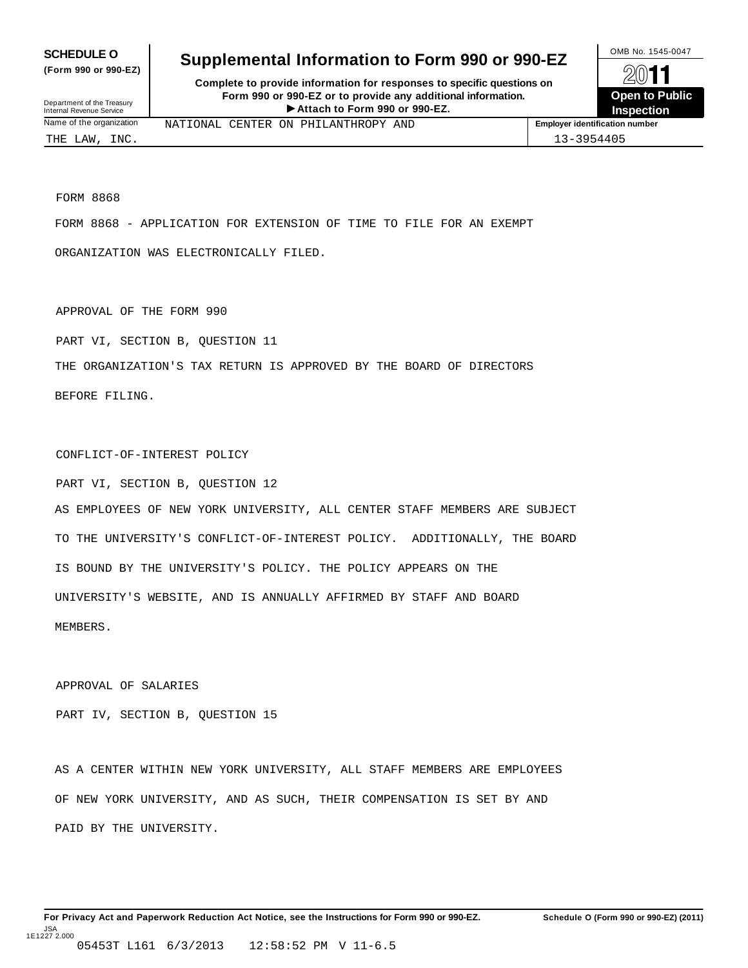**(Form 990 or 990-EZ)**

## **SCHEDULE O** Supplemental Information to Form 990 or 990-EZ  $\frac{100\text{dB No. }1545-0047}{\text{O}}$

**Complete to provide information for responses to specific questions on Form 990 or 990-EZ or to provide any additional information.** Fristen **Attach for responses to specific questions on**<br>
1990-EZ or to provide any additional information.<br>
Attach to Form 990 or 990-EZ.<br>
Attach to Form 990 or 990-EZ. sury<br> **ation III CENTER ON PHILANTHROPY AND**<br> **ation INATIONAL CENTER ON PHILANTHROPY AND** 



Name of the organizatio

Department of the Treasury Internal Revenue Service

FORM 8868

FORM 8868 - APPLICATION FOR EXTENSION OF TIME TO FILE FOR AN EXEMPT

ORGANIZATION WAS ELECTRONICALLY FILED.

APPROVAL OF THE FORM 990

PART VI, SECTION B, QUESTION 11

THE ORGANIZATION'S TAX RETURN IS APPROVED BY THE BOARD OF DIRECTORS

BEFORE FILING.

CONFLICT-OF-INTEREST POLICY

PART VI, SECTION B, QUESTION 12 AS EMPLOYEES OF NEW YORK UNIVERSITY, ALL CENTER STAFF MEMBERS ARE SUBJECT TO THE UNIVERSITY'S CONFLICT-OF-INTEREST POLICY. ADDITIONALLY, THE BOARD IS BOUND BY THE UNIVERSITY'S POLICY. THE POLICY APPEARS ON THE UNIVERSITY'S WEBSITE, AND IS ANNUALLY AFFIRMED BY STAFF AND BOARD MEMBERS.

APPROVAL OF SALARIES

PART IV, SECTION B, QUESTION 15

AS A CENTER WITHIN NEW YORK UNIVERSITY, ALL STAFF MEMBERS ARE EMPLOYEES OF NEW YORK UNIVERSITY, AND AS SUCH, THEIR COMPENSATION IS SET BY AND PAID BY THE UNIVERSITY.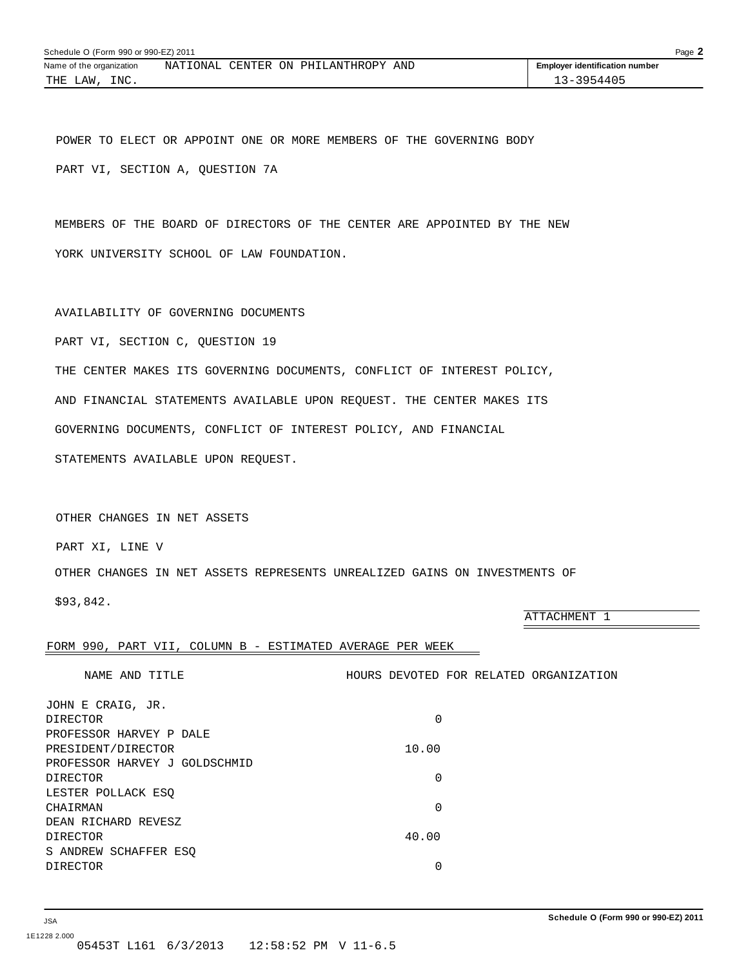<span id="page-31-0"></span>

| Schedule O (Form 990 or 990-EZ) 2011 |          |  |  |                            |  |  |                                       | Page $\blacktriangle$ |
|--------------------------------------|----------|--|--|----------------------------|--|--|---------------------------------------|-----------------------|
| Name of the organization             | NATIONAL |  |  | GENTER ON PHILANTHROPY AND |  |  | <b>Employer identification number</b> |                       |
| INC.<br>THE LAW                      |          |  |  |                            |  |  | 13-3954405                            |                       |

POWER TO ELECT OR APPOINT ONE OR MORE MEMBERS OF THE GOVERNING BODY PART VI, SECTION A, QUESTION 7A

MEMBERS OF THE BOARD OF DIRECTORS OF THE CENTER ARE APPOINTED BY THE NEW YORK UNIVERSITY SCHOOL OF LAW FOUNDATION.

AVAILABILITY OF GOVERNING DOCUMENTS

PART VI, SECTION C, QUESTION 19

THE CENTER MAKES ITS GOVERNING DOCUMENTS, CONFLICT OF INTEREST POLICY,

AND FINANCIAL STATEMENTS AVAILABLE UPON REQUEST. THE CENTER MAKES ITS

GOVERNING DOCUMENTS, CONFLICT OF INTEREST POLICY, AND FINANCIAL

STATEMENTS AVAILABLE UPON REQUEST.

OTHER CHANGES IN NET ASSETS

PART XI, LINE V

OTHER CHANGES IN NET ASSETS REPRESENTS UNREALIZED GAINS ON INVESTMENTS OF

\$93,842.

ATTACHMENT 1

#### FORM 990, PART VII, COLUMN B - ESTIMATED AVERAGE PER WEEK

| NAME AND TITLE                | HOURS DEVOTED FOR RELATED ORGANIZATION |
|-------------------------------|----------------------------------------|
| JOHN E CRAIG, JR.             |                                        |
| <b>DIRECTOR</b>               | 0                                      |
| PROFESSOR HARVEY P DALE       |                                        |
| PRESIDENT/DIRECTOR            | 10.00                                  |
| PROFESSOR HARVEY J GOLDSCHMID |                                        |
| <b>DIRECTOR</b>               | 0                                      |
| LESTER POLLACK ESQ            |                                        |
| CHAIRMAN                      | 0                                      |
| DEAN RICHARD REVESZ           |                                        |
| DIRECTOR                      | 40.00                                  |
| S ANDREW SCHAFFER ESO         |                                        |
| <b>DIRECTOR</b>               | 0                                      |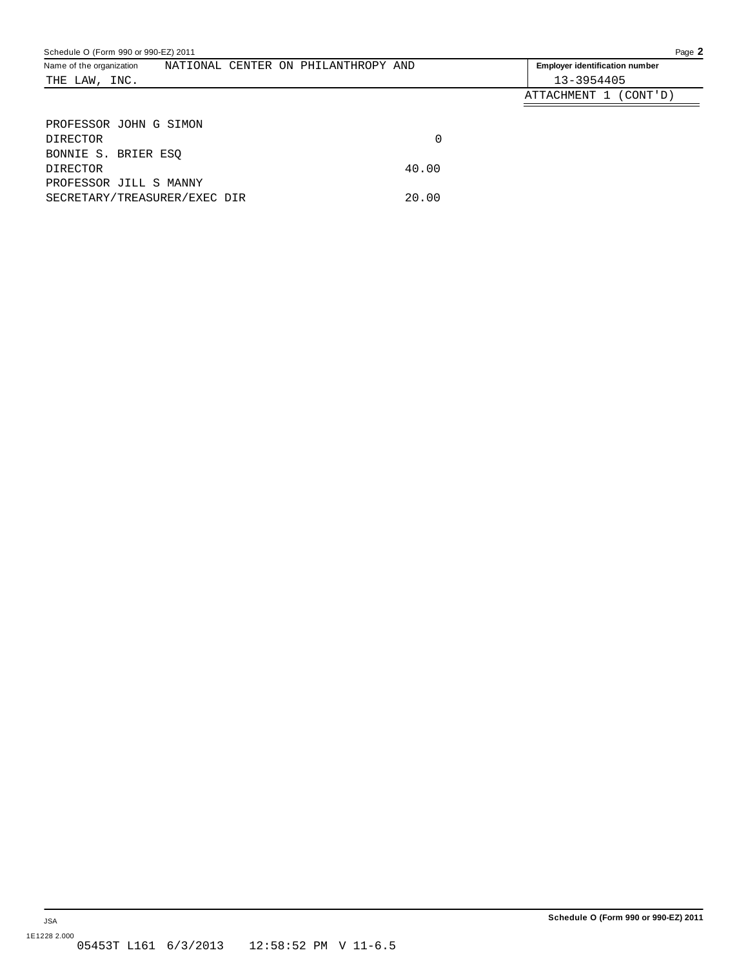| Schedule O (Form 990 or 990-EZ) 2011 |  | Page 2                              |       |                                       |
|--------------------------------------|--|-------------------------------------|-------|---------------------------------------|
| Name of the organization             |  | NATIONAL CENTER ON PHILANTHROPY AND |       | <b>Employer identification number</b> |
| THE LAW, INC.                        |  |                                     |       | 13-3954405                            |
|                                      |  |                                     |       | ATTACHMENT 1<br>(CONT' D)             |
| PROFESSOR JOHN G SIMON               |  |                                     |       |                                       |
| <b>DIRECTOR</b>                      |  |                                     | 0     |                                       |
| BONNIE S. BRIER ESO                  |  |                                     |       |                                       |
| <b>DIRECTOR</b>                      |  |                                     | 40.00 |                                       |
| PROFESSOR JILL S MANNY               |  |                                     |       |                                       |
| SECRETARY/TREASURER/EXEC DIR         |  |                                     | 20.00 |                                       |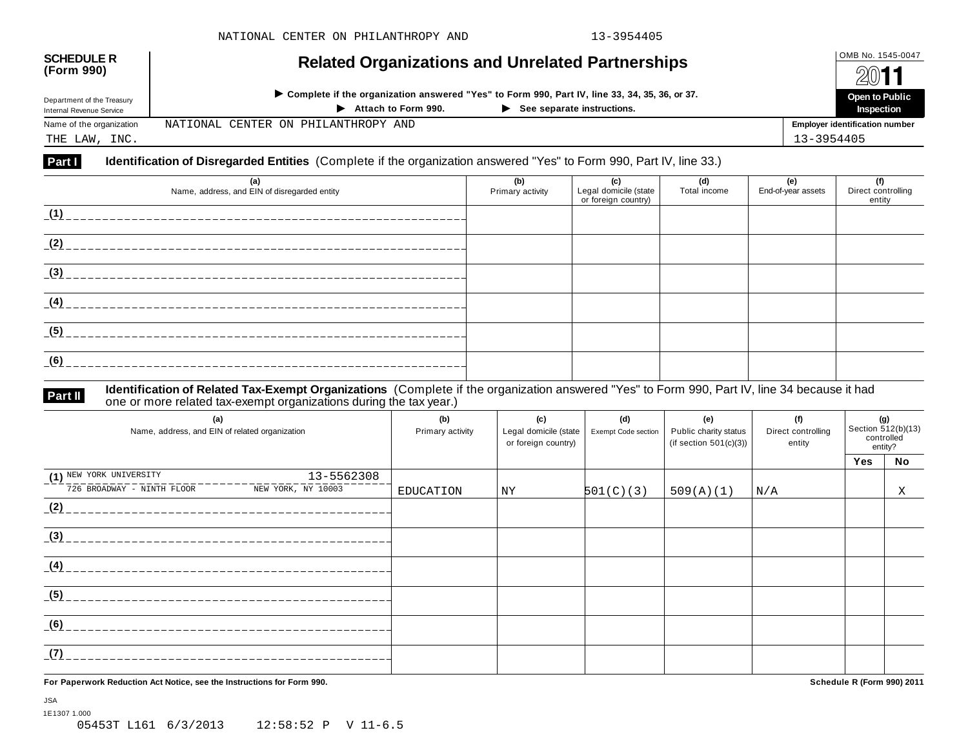| <b>SCHEDULE R</b><br>(Form 990)                        | <b>Related Organizations and Unrelated Partnerships</b>                                                                                      |     |     |                                      |            |                                       |  |
|--------------------------------------------------------|----------------------------------------------------------------------------------------------------------------------------------------------|-----|-----|--------------------------------------|------------|---------------------------------------|--|
| Department of the Treasury<br>Internal Revenue Service | ▶ Complete if the organization answered "Yes" to Form 990, Part IV, line 33, 34, 35, 36, or 37.<br>$\blacktriangleright$ Attach to Form 990. |     |     | 2011<br>Open to Public<br>Inspection |            |                                       |  |
| Name of the organization                               | NATIONAL CENTER ON PHILANTHROPY AND                                                                                                          |     |     |                                      |            | <b>Employer identification number</b> |  |
| THE LAW, INC.                                          |                                                                                                                                              |     |     |                                      | 13-3954405 |                                       |  |
| Part I                                                 | Identification of Disregarded Entities (Complete if the organization answered "Yes" to Form 990, Part IV, line 33.)                          |     |     |                                      |            |                                       |  |
|                                                        | (a)                                                                                                                                          | (b) | (c) | (d)                                  | (e)        |                                       |  |

| (a)<br>Name, address, and EIN of disregarded entity | (b)<br>Primary activity | (c)<br>Legal domicile (state<br>or foreign country) | (d)<br>Total income | (e)<br>End-of-year assets | (f)<br>Direct controlling<br>entity |
|-----------------------------------------------------|-------------------------|-----------------------------------------------------|---------------------|---------------------------|-------------------------------------|
| (1)                                                 |                         |                                                     |                     |                           |                                     |
| (2)                                                 |                         |                                                     |                     |                           |                                     |
| (3)                                                 |                         |                                                     |                     |                           |                                     |
| (4)                                                 |                         |                                                     |                     |                           |                                     |
| (5)                                                 |                         |                                                     |                     |                           |                                     |
| (6)                                                 |                         |                                                     |                     |                           |                                     |

JSA

**Part II** ldentification of Related Tax-Exempt Organizations (Complete if the organization answered "Yes" to Form 990, Part IV, line 34 because it had<br>one or more related tax-exempt organizations during the tax year.)

| (a)                        | Name, address, and EIN of related organization | (b)<br>Primary activity | (c)<br>Legal domicile (state<br>or foreign country) | (d)<br>Exempt Code section | (e)<br>Public charity status<br>(if section $501(c)(3)$ ) | (f)<br>Direct controlling<br>entity | (g)<br>Section $\overline{51}2(b)(13)$<br>controlled<br>entity? |    |
|----------------------------|------------------------------------------------|-------------------------|-----------------------------------------------------|----------------------------|-----------------------------------------------------------|-------------------------------------|-----------------------------------------------------------------|----|
|                            |                                                |                         |                                                     |                            |                                                           |                                     | <b>Yes</b>                                                      | No |
| (1) NEW YORK UNIVERSITY    | 13-5562308                                     |                         |                                                     |                            |                                                           |                                     |                                                                 |    |
| 726 BROADWAY - NINTH FLOOR | NEW YORK, NY 10003                             | EDUCATION               | NY                                                  | 501(C)(3)                  | 509(A)(1)                                                 | N/A                                 |                                                                 | Χ  |
| (2)                        |                                                |                         |                                                     |                            |                                                           |                                     |                                                                 |    |
| (3)                        |                                                |                         |                                                     |                            |                                                           |                                     |                                                                 |    |
| (4)                        |                                                |                         |                                                     |                            |                                                           |                                     |                                                                 |    |
| (5)                        |                                                |                         |                                                     |                            |                                                           |                                     |                                                                 |    |
| (6)                        |                                                |                         |                                                     |                            |                                                           |                                     |                                                                 |    |
| (7)                        |                                                |                         |                                                     |                            |                                                           |                                     |                                                                 |    |

**For Paperwork Reduction Act Notice, see the Instructions for Form 990. Schedule R (Form 990) 2011**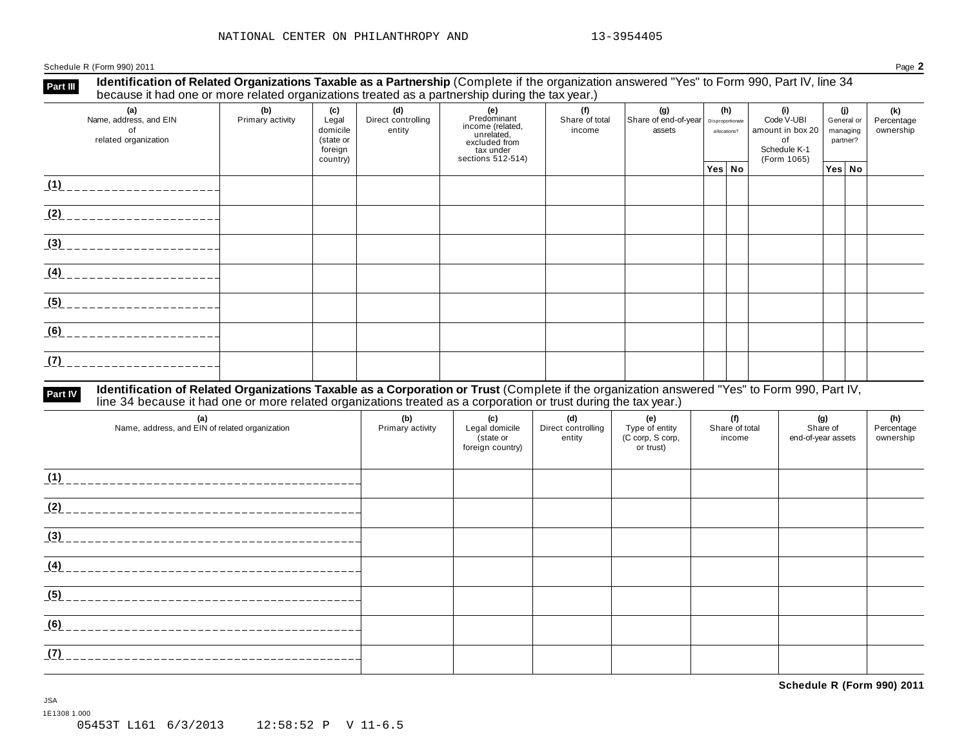Schedule R (Form 990) 2011 Page **2**

**Identification of Related Organizations Taxable as a Partnership** (Complete if the organization answered "Yes" to Form 990, Part IV, line 34 **because it had one or more related organizations i axable as a Partnership (Complete if the organizations) because it had one or more related organizations treated as a partnership during the tax year.)** 

| (a)<br>Name, address, and EIN<br>of<br>related organization | (b)<br>Primary activity | <b>(c)</b><br>Legal<br>domicile<br>(state or<br>foreign<br>country) | (d)<br>Direct controlling<br>entity | (e)<br>Predominant<br>income (related,<br>unrelated,<br>excluded from<br>tax under<br>sections 512-514) | (f)<br>Share of total<br>income |  |                |  |        |  |  |  |  |  |  |  |  |  |  |  |  |  |  |  | (g)<br>Share of end-of-year   Disproportionate<br>assets | (h)<br>allocations? | (i)<br>Code V-UBI<br>amount in box 20 $ $<br>of<br>Schedule K-1<br>(Form 1065) | (j)<br>General or<br>managing<br>partner? | (k)<br>Percentage<br>ownership |
|-------------------------------------------------------------|-------------------------|---------------------------------------------------------------------|-------------------------------------|---------------------------------------------------------------------------------------------------------|---------------------------------|--|----------------|--|--------|--|--|--|--|--|--|--|--|--|--|--|--|--|--|--|----------------------------------------------------------|---------------------|--------------------------------------------------------------------------------|-------------------------------------------|--------------------------------|
|                                                             |                         |                                                                     |                                     |                                                                                                         |                                 |  | Yes $ $ No $ $ |  | Yes No |  |  |  |  |  |  |  |  |  |  |  |  |  |  |  |                                                          |                     |                                                                                |                                           |                                |
| (1)                                                         |                         |                                                                     |                                     |                                                                                                         |                                 |  |                |  |        |  |  |  |  |  |  |  |  |  |  |  |  |  |  |  |                                                          |                     |                                                                                |                                           |                                |
| (2)                                                         |                         |                                                                     |                                     |                                                                                                         |                                 |  |                |  |        |  |  |  |  |  |  |  |  |  |  |  |  |  |  |  |                                                          |                     |                                                                                |                                           |                                |
| (3)                                                         |                         |                                                                     |                                     |                                                                                                         |                                 |  |                |  |        |  |  |  |  |  |  |  |  |  |  |  |  |  |  |  |                                                          |                     |                                                                                |                                           |                                |
| (4)                                                         |                         |                                                                     |                                     |                                                                                                         |                                 |  |                |  |        |  |  |  |  |  |  |  |  |  |  |  |  |  |  |  |                                                          |                     |                                                                                |                                           |                                |
| (5)                                                         |                         |                                                                     |                                     |                                                                                                         |                                 |  |                |  |        |  |  |  |  |  |  |  |  |  |  |  |  |  |  |  |                                                          |                     |                                                                                |                                           |                                |
| (6)                                                         |                         |                                                                     |                                     |                                                                                                         |                                 |  |                |  |        |  |  |  |  |  |  |  |  |  |  |  |  |  |  |  |                                                          |                     |                                                                                |                                           |                                |
| (7)                                                         |                         |                                                                     |                                     |                                                                                                         |                                 |  |                |  |        |  |  |  |  |  |  |  |  |  |  |  |  |  |  |  |                                                          |                     |                                                                                |                                           |                                |

# Part IV Identification of Related Organizations Taxable as a Corporation or Trust (Complete if the organization answered "Yes" to Form 990, Part IV,<br>line 34 because it had one or more related organizations treated as a cor

| (a)<br>Name, address, and EIN of related organization | (b)<br>Primary activity | (c)<br>Legal domicile<br>(state or<br>foreign country) | (d)<br>Direct controlling<br>entity | (e)<br>Type of entity<br>(C corp, S corp,<br>or trust) | (f)<br>Share of total<br>income | (g)<br>Share of<br>end-of-year assets | (h)<br>Percentage<br>ownership |
|-------------------------------------------------------|-------------------------|--------------------------------------------------------|-------------------------------------|--------------------------------------------------------|---------------------------------|---------------------------------------|--------------------------------|
| (1)                                                   |                         |                                                        |                                     |                                                        |                                 |                                       |                                |
| (2)                                                   |                         |                                                        |                                     |                                                        |                                 |                                       |                                |
| (3)                                                   |                         |                                                        |                                     |                                                        |                                 |                                       |                                |
| (4)                                                   |                         |                                                        |                                     |                                                        |                                 |                                       |                                |
| (5)                                                   |                         |                                                        |                                     |                                                        |                                 |                                       |                                |
| (6)                                                   |                         |                                                        |                                     |                                                        |                                 |                                       |                                |
| (7)                                                   |                         |                                                        |                                     |                                                        |                                 |                                       |                                |

**Schedule R (Form 990) 2011**

JSA

1E1308 1.000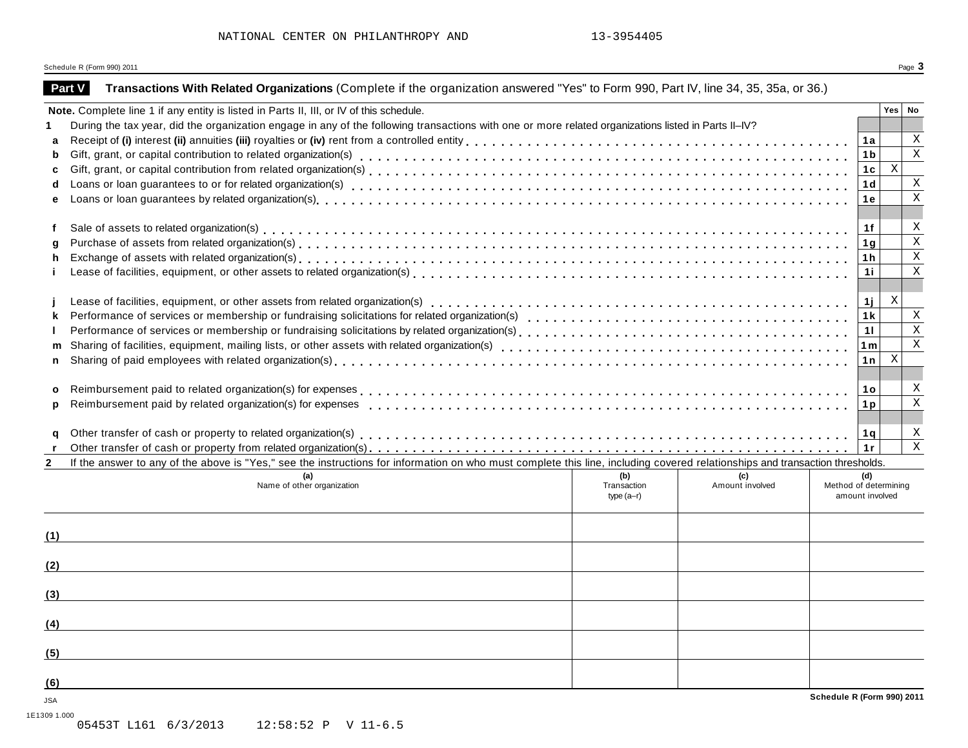**Schedule R (Form 990) 2011**

|                | Schedule R (Form 990) 2011                                                                                                                                                                                                        |                                   |                 |                       |                        | Page 3                    |
|----------------|-----------------------------------------------------------------------------------------------------------------------------------------------------------------------------------------------------------------------------------|-----------------------------------|-----------------|-----------------------|------------------------|---------------------------|
|                | Part V<br>Transactions With Related Organizations (Complete if the organization answered "Yes" to Form 990, Part IV, line 34, 35, 35a, or 36.)                                                                                    |                                   |                 |                       |                        |                           |
|                | Note. Complete line 1 if any entity is listed in Parts II, III, or IV of this schedule.                                                                                                                                           |                                   |                 |                       |                        | Yes   No                  |
| 1              | During the tax year, did the organization engage in any of the following transactions with one or more related organizations listed in Parts II-IV?                                                                               |                                   |                 |                       |                        |                           |
| a              |                                                                                                                                                                                                                                   |                                   |                 |                       | 1a                     | X                         |
| b              |                                                                                                                                                                                                                                   |                                   |                 |                       | 1 <sub>b</sub>         | $\mathbf{x}$              |
| c              |                                                                                                                                                                                                                                   |                                   |                 |                       | 1c                     | X                         |
| d              |                                                                                                                                                                                                                                   |                                   |                 |                       | 1d                     | X                         |
| e              |                                                                                                                                                                                                                                   |                                   |                 |                       | 1e                     | $\mathbf x$               |
|                |                                                                                                                                                                                                                                   |                                   |                 |                       | 1f                     | X                         |
| g              |                                                                                                                                                                                                                                   |                                   |                 |                       | 1 g                    | Χ                         |
| h              |                                                                                                                                                                                                                                   |                                   |                 |                       | 1 h                    | Χ                         |
|                |                                                                                                                                                                                                                                   |                                   |                 |                       | 1i                     | $\mathbf x$               |
|                |                                                                                                                                                                                                                                   |                                   |                 |                       | 1j                     | $\mathbf x$               |
| k              |                                                                                                                                                                                                                                   |                                   |                 |                       | 1k                     | $\mathbf X$               |
|                | Performance of services or membership or fundraising solicitations by related organization(s)<br>examination(s) examination(s) examples and an analyzer or an analyzer and the red red red rations by relations by red red red re |                                   |                 |                       | 11                     | $\,$ X                    |
|                |                                                                                                                                                                                                                                   |                                   |                 |                       | 1m                     | $\,$ X                    |
|                |                                                                                                                                                                                                                                   |                                   |                 |                       | ∣1n I                  | X                         |
| Ω              |                                                                                                                                                                                                                                   |                                   |                 |                       | ∣1o                    | X                         |
|                |                                                                                                                                                                                                                                   |                                   |                 |                       | 1p                     | $\mathbf X$               |
|                | Other transfer of cash or property to related organization(s)<br>interaction by containing the content of the transfer of cash or protocol.                                                                                       |                                   |                 |                       | 1 q                    | $\boldsymbol{\mathrm{X}}$ |
|                |                                                                                                                                                                                                                                   |                                   |                 |                       | $\vert$ 1r             | $\mathbf{x}$              |
| $\overline{2}$ | If the answer to any of the above is "Yes," see the instructions for information on who must complete this line, including covered relationships and transaction thresholds.                                                      |                                   |                 |                       |                        |                           |
|                | (a)<br>Name of other organization                                                                                                                                                                                                 | (b)<br>Transaction<br>$type(a-r)$ | Amount involved | Method of determining | (d)<br>amount involved |                           |
|                |                                                                                                                                                                                                                                   |                                   |                 |                       |                        |                           |
| (1)            |                                                                                                                                                                                                                                   |                                   |                 |                       |                        |                           |
| (2)            |                                                                                                                                                                                                                                   |                                   |                 |                       |                        |                           |
| (3)            |                                                                                                                                                                                                                                   |                                   |                 |                       |                        |                           |
|                |                                                                                                                                                                                                                                   |                                   |                 |                       |                        |                           |
| (4)            |                                                                                                                                                                                                                                   |                                   |                 |                       |                        |                           |

JSA 1E1309 1.000

**(5)**

**(6)**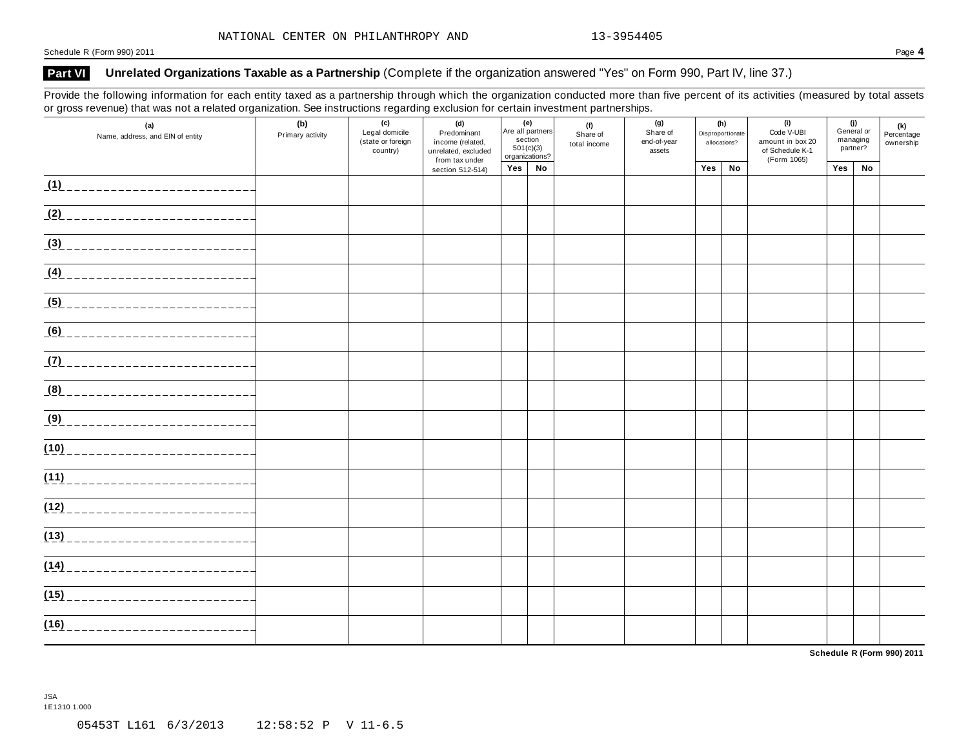Schedule R (Form 990) 2011 Page **4**

### **Part VI Unrelated Organizations Taxable as a Partnership** (Complete if the organization answered "Yes" on Form 990, Part IV, line 37.)

Provide the following information for each entity taxed as a partnership through which the organization conducted more than five percent of its activities (measured by total assets or gross revenue) that was not a related organization. See instructions regarding exclusion for certain investment partnerships.

|      | (a)<br>Name, address, and EIN of entity | (c)<br>(b)<br>Legal domicile<br>Primary activity<br>(state or foreign<br>country) |  | (d)<br>Predominant<br>income (related,<br>unrelated, excluded<br>from tax under | (e)<br>Are all partners<br>section<br>501(c)(3)<br>organizations? |    | (f)<br>Share of<br>total income | (g)<br>Share of<br>end-of-year<br>assets | (h)<br>Disproportionate<br>allocations? |    | (i)<br>Code V-UBI<br>amount in box 20<br>of Schedule K-1<br>(Form 1065) | (j)<br>General or<br>managing<br>partner? |    | (k)<br>Percentage<br>ownership |
|------|-----------------------------------------|-----------------------------------------------------------------------------------|--|---------------------------------------------------------------------------------|-------------------------------------------------------------------|----|---------------------------------|------------------------------------------|-----------------------------------------|----|-------------------------------------------------------------------------|-------------------------------------------|----|--------------------------------|
|      |                                         |                                                                                   |  | section 512-514)                                                                | Yes                                                               | No |                                 |                                          | Yes                                     | No |                                                                         | Yes                                       | No |                                |
|      | $\sqrt{11}$                             |                                                                                   |  |                                                                                 |                                                                   |    |                                 |                                          |                                         |    |                                                                         |                                           |    |                                |
|      | $(2)$ ______________________            |                                                                                   |  |                                                                                 |                                                                   |    |                                 |                                          |                                         |    |                                                                         |                                           |    |                                |
| (3)  | _____________________                   |                                                                                   |  |                                                                                 |                                                                   |    |                                 |                                          |                                         |    |                                                                         |                                           |    |                                |
|      | <u>(4) __________________________</u>   |                                                                                   |  |                                                                                 |                                                                   |    |                                 |                                          |                                         |    |                                                                         |                                           |    |                                |
| (5)  |                                         |                                                                                   |  |                                                                                 |                                                                   |    |                                 |                                          |                                         |    |                                                                         |                                           |    |                                |
|      |                                         |                                                                                   |  |                                                                                 |                                                                   |    |                                 |                                          |                                         |    |                                                                         |                                           |    |                                |
|      |                                         |                                                                                   |  |                                                                                 |                                                                   |    |                                 |                                          |                                         |    |                                                                         |                                           |    |                                |
|      | (8) _____________________________       |                                                                                   |  |                                                                                 |                                                                   |    |                                 |                                          |                                         |    |                                                                         |                                           |    |                                |
|      | (9) _____________________________       |                                                                                   |  |                                                                                 |                                                                   |    |                                 |                                          |                                         |    |                                                                         |                                           |    |                                |
|      |                                         |                                                                                   |  |                                                                                 |                                                                   |    |                                 |                                          |                                         |    |                                                                         |                                           |    |                                |
|      | (11)                                    |                                                                                   |  |                                                                                 |                                                                   |    |                                 |                                          |                                         |    |                                                                         |                                           |    |                                |
|      |                                         |                                                                                   |  |                                                                                 |                                                                   |    |                                 |                                          |                                         |    |                                                                         |                                           |    |                                |
|      | (13)                                    |                                                                                   |  |                                                                                 |                                                                   |    |                                 |                                          |                                         |    |                                                                         |                                           |    |                                |
|      | (14)                                    |                                                                                   |  |                                                                                 |                                                                   |    |                                 |                                          |                                         |    |                                                                         |                                           |    |                                |
|      | (15)                                    |                                                                                   |  |                                                                                 |                                                                   |    |                                 |                                          |                                         |    |                                                                         |                                           |    |                                |
| (16) | ------------------------                |                                                                                   |  |                                                                                 |                                                                   |    |                                 |                                          |                                         |    |                                                                         |                                           |    |                                |

**Schedule R (Form 990) 2011**

JSA 1E1310 1.000